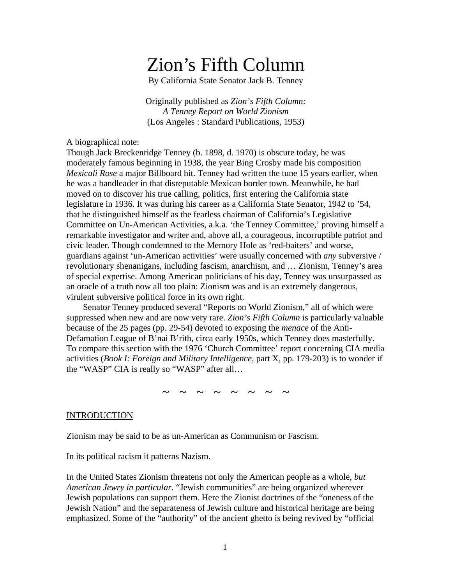# Zion's Fifth Column

By California State Senator Jack B. Tenney

Originally published as *Zion's Fifth Column: A Tenney Report on World Zionism*  (Los Angeles : Standard Publications, 1953)

A biographical note:

Though Jack Breckenridge Tenney (b. 1898, d. 1970) is obscure today, he was moderately famous beginning in 1938, the year Bing Crosby made his composition *Mexicali Rose* a major Billboard hit. Tenney had written the tune 15 years earlier, when he was a bandleader in that disreputable Mexican border town. Meanwhile, he had moved on to discover his true calling, politics, first entering the California state legislature in 1936. It was during his career as a California State Senator, 1942 to '54, that he distinguished himself as the fearless chairman of California's Legislative Committee on Un-American Activities, a.k.a. 'the Tenney Committee,' proving himself a remarkable investigator and writer and, above all, a courageous, incorruptible patriot and civic leader. Though condemned to the Memory Hole as 'red-baiters' and worse, guardians against 'un-American activities' were usually concerned with *any* subversive / revolutionary shenanigans, including fascism, anarchism, and … Zionism, Tenney's area of special expertise. Among American politicians of his day, Tenney was unsurpassed as an oracle of a truth now all too plain: Zionism was and is an extremely dangerous, virulent subversive political force in its own right.

Senator Tenney produced several "Reports on World Zionism," all of which were suppressed when new and are now very rare. *Zion's Fifth Column* is particularly valuable because of the 25 pages (pp. 29-54) devoted to exposing the *menace* of the Anti-Defamation League of B'nai B'rith, circa early 1950s, which Tenney does masterfully. To compare this section with the 1976 'Church Committee' report concerning CIA media activities (*Book I: Foreign and Military Intelligence*, part X, pp. 179-203) is to wonder if the "WASP" CIA is really so "WASP" after all…

~ ~ ~ ~ ~ ~ ~

## **INTRODUCTION**

Zionism may be said to be as un-American as Communism or Fascism.

In its political racism it patterns Nazism.

In the United States Zionism threatens not only the American people as a whole, *but American Jewry in particular.* "Jewish communities" are being organized wherever Jewish populations can support them. Here the Zionist doctrines of the "oneness of the Jewish Nation" and the separateness of Jewish culture and historical heritage are being emphasized. Some of the "authority" of the ancient ghetto is being revived by "official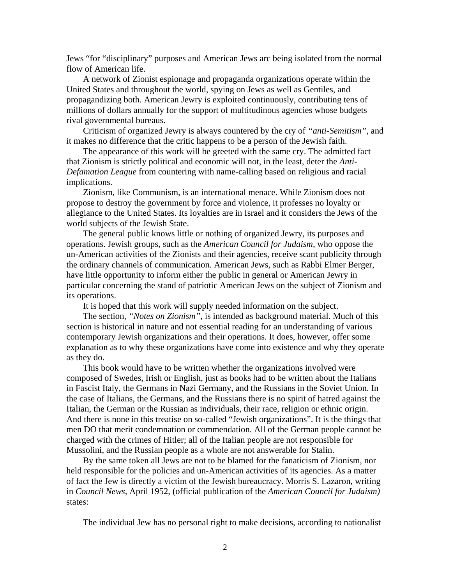Jews "for "disciplinary" purposes and American Jews arc being isolated from the normal flow of American life.

A network of Zionist espionage and propaganda organizations operate within the United States and throughout the world, spying on Jews as well as Gentiles, and propagandizing both. American Jewry is exploited continuously, contributing tens of millions of dollars annually for the support of multitudinous agencies whose budgets rival governmental bureaus.

Criticism of organized Jewry is always countered by the cry of *"anti-Semitism",* and it makes no difference that the critic happens to be a person of the Jewish faith.

The appearance of this work will be greeted with the same cry. The admitted fact that Zionism is strictly political and economic will not, in the least, deter the *Anti-Defamation League* from countering with name-calling based on religious and racial implications.

Zionism, like Communism, is an international menace. While Zionism does not propose to destroy the government by force and violence, it professes no loyalty or allegiance to the United States. Its loyalties are in Israel and it considers the Jews of the world subjects of the Jewish State.

The general public knows little or nothing of organized Jewry, its purposes and operations. Jewish groups, such as the *American Council for Judaism,* who oppose the un-American activities of the Zionists and their agencies, receive scant publicity through the ordinary channels of communication. American Jews, such as Rabbi Elmer Berger, have little opportunity to inform either the public in general or American Jewry in particular concerning the stand of patriotic American Jews on the subject of Zionism and its operations.

It is hoped that this work will supply needed information on the subject.

The section, *"Notes on Zionism",* is intended as background material. Much of this section is historical in nature and not essential reading for an understanding of various contemporary Jewish organizations and their operations. It does, however, offer some explanation as to why these organizations have come into existence and why they operate as they do.

This book would have to be written whether the organizations involved were composed of Swedes, Irish or English, just as books had to be written about the Italians in Fascist Italy, the Germans in Nazi Germany, and the Russians in the Soviet Union. In the case of Italians, the Germans, and the Russians there is no spirit of hatred against the Italian, the German or the Russian as individuals, their race, religion or ethnic origin. And there is none in this treatise on so-called "Jewish organizations". It is the things that men DO that merit condemnation or commendation. All of the German people cannot be charged with the crimes of Hitler; all of the Italian people are not responsible for Mussolini, and the Russian people as a whole are not answerable for Stalin.

By the same token all Jews are not to be blamed for the fanaticism of Zionism, nor held responsible for the policies and un-American activities of its agencies. As a matter of fact the Jew is directly a victim of the Jewish bureaucracy. Morris S. Lazaron, writing in *Council News,* April 1952, (official publication of the *American Council for Judaism)*  states:

The individual Jew has no personal right to make decisions, according to nationalist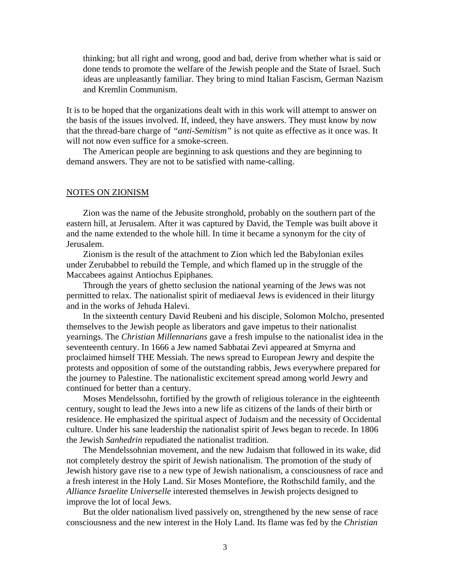thinking; but all right and wrong, good and bad, derive from whether what is said or done tends to promote the welfare of the Jewish people and the State of Israel. Such ideas are unpleasantly familiar. They bring to mind Italian Fascism, German Nazism and Kremlin Communism.

It is to be hoped that the organizations dealt with in this work will attempt to answer on the basis of the issues involved. If, indeed, they have answers. They must know by now that the thread-bare charge of *"anti-Semitism"* is not quite as effective as it once was. It will not now even suffice for a smoke-screen.

The American people are beginning to ask questions and they are beginning to demand answers. They are not to be satisfied with name-calling.

#### NOTES ON ZIONISM

Zion was the name of the Jebusite stronghold, probably on the southern part of the eastern hill, at Jerusalem. After it was captured by David, the Temple was built above it and the name extended to the whole hill. In time it became a synonym for the city of Jerusalem.

Zionism is the result of the attachment to Zion which led the Babylonian exiles under Zerubabbel to rebuild the Temple, and which flamed up in the struggle of the Maccabees against Antiochus Epiphanes.

Through the years of ghetto seclusion the national yearning of the Jews was not permitted to relax. The nationalist spirit of mediaeval Jews is evidenced in their liturgy and in the works of Jehuda Halevi.

In the sixteenth century David Reubeni and his disciple, Solomon Molcho, presented themselves to the Jewish people as liberators and gave impetus to their nationalist yearnings. The *Christian Millennarians* gave a fresh impulse to the nationalist idea in the seventeenth century. In 1666 a Jew named Sabbatai Zevi appeared at Smyrna and proclaimed himself THE Messiah. The news spread to European Jewry and despite the protests and opposition of some of the outstanding rabbis, Jews everywhere prepared for the journey to Palestine. The nationalistic excitement spread among world Jewry and continued for better than a century.

Moses Mendelssohn, fortified by the growth of religious tolerance in the eighteenth century, sought to lead the Jews into a new life as citizens of the lands of their birth or residence. He emphasized the spiritual aspect of Judaism and the necessity of Occidental culture. Under his sane leadership the nationalist spirit of Jews began to recede. In 1806 the Jewish *Sanhedrin* repudiated the nationalist tradition.

The Mendelssohnian movement, and the new Judaism that followed in its wake, did not completely destroy the spirit of Jewish nationalism. The promotion of the study of Jewish history gave rise to a new type of Jewish nationalism, a consciousness of race and a fresh interest in the Holy Land. Sir Moses Montefiore, the Rothschild family, and the *Alliance Israelite Universelle* interested themselves in Jewish projects designed to improve the lot of local Jews.

But the older nationalism lived passively on, strengthened by the new sense of race consciousness and the new interest in the Holy Land. Its flame was fed by the *Christian*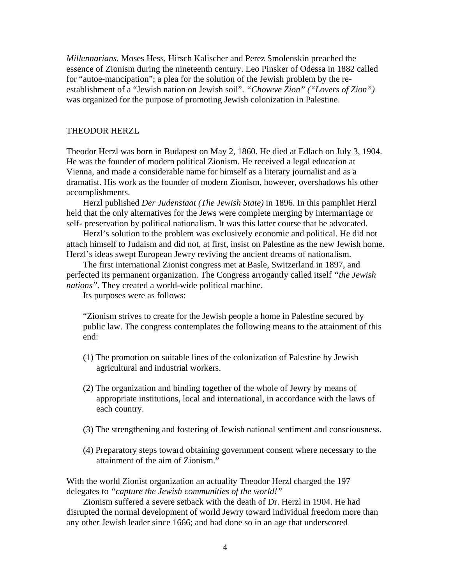*Millennarians.* Moses Hess, Hirsch Kalischer and Perez Smolenskin preached the essence of Zionism during the nineteenth century. Leo Pinsker of Odessa in 1882 called for "autoe-mancipation"; a plea for the solution of the Jewish problem by the reestablishment of a "Jewish nation on Jewish soil". *"Choveve Zion" ("Lovers of Zion")*  was organized for the purpose of promoting Jewish colonization in Palestine.

## THEODOR HERZL

Theodor Herzl was born in Budapest on May 2, 1860. He died at Edlach on July 3, 1904. He was the founder of modern political Zionism. He received a legal education at Vienna, and made a considerable name for himself as a literary journalist and as a dramatist. His work as the founder of modern Zionism, however, overshadows his other accomplishments.

Herzl published *Der Judenstaat (The Jewish State)* in 1896. In this pamphlet Herzl held that the only alternatives for the Jews were complete merging by intermarriage or self- preservation by political nationalism. It was this latter course that he advocated.

Herzl's solution to the problem was exclusively economic and political. He did not attach himself to Judaism and did not, at first, insist on Palestine as the new Jewish home. Herzl's ideas swept European Jewry reviving the ancient dreams of nationalism.

The first international Zionist congress met at Basle, Switzerland in 1897, and perfected its permanent organization. The Congress arrogantly called itself *"the Jewish nations".* They created a world-wide political machine.

Its purposes were as follows:

"Zionism strives to create for the Jewish people a home in Palestine secured by public law. The congress contemplates the following means to the attainment of this end:

- (1) The promotion on suitable lines of the colonization of Palestine by Jewish agricultural and industrial workers.
- (2) The organization and binding together of the whole of Jewry by means of appropriate institutions, local and international, in accordance with the laws of each country.
- (3) The strengthening and fostering of Jewish national sentiment and consciousness.
- (4) Preparatory steps toward obtaining government consent where necessary to the attainment of the aim of Zionism."

With the world Zionist organization an actuality Theodor Herzl charged the 197 delegates to *"capture the Jewish communities of the world!"* 

Zionism suffered a severe setback with the death of Dr. Herzl in 1904. He had disrupted the normal development of world Jewry toward individual freedom more than any other Jewish leader since 1666; and had done so in an age that underscored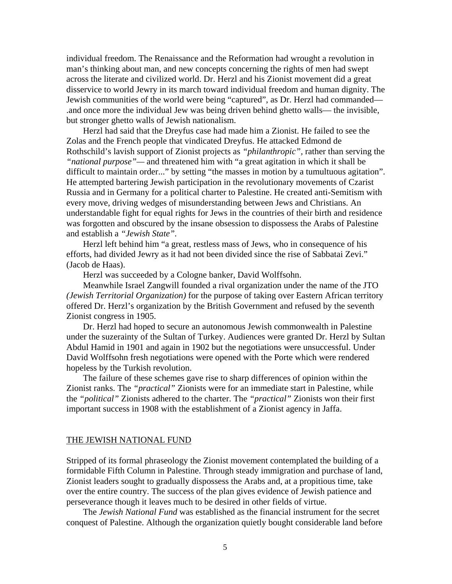individual freedom. The Renaissance and the Reformation had wrought a revolution in man's thinking about man, and new concepts concerning the rights of men had swept across the literate and civilized world. Dr. Herzl and his Zionist movement did a great disservice to world Jewry in its march toward individual freedom and human dignity. The Jewish communities of the world were being "captured", as Dr. Herzl had commanded— .and once more the individual Jew was being driven behind ghetto walls— the invisible, but stronger ghetto walls of Jewish nationalism.

Herzl had said that the Dreyfus case had made him a Zionist. He failed to see the Zolas and the French people that vindicated Dreyfus. He attacked Edmond de Rothschild's lavish support of Zionist projects as *"philanthropic",* rather than serving the *"national purpose"—* and threatened him with "a great agitation in which it shall be difficult to maintain order..." by setting "the masses in motion by a tumultuous agitation". He attempted bartering Jewish participation in the revolutionary movements of Czarist Russia and in Germany for a political charter to Palestine. He created anti-Semitism with every move, driving wedges of misunderstanding between Jews and Christians. An understandable fight for equal rights for Jews in the countries of their birth and residence was forgotten and obscured by the insane obsession to dispossess the Arabs of Palestine and establish a *"Jewish State".* 

Herzl left behind him "a great, restless mass of Jews, who in consequence of his efforts, had divided Jewry as it had not been divided since the rise of Sabbatai Zevi." (Jacob de Haas).

Herzl was succeeded by a Cologne banker, David Wolffsohn.

Meanwhile Israel Zangwill founded a rival organization under the name of the JTO *(Jewish Territorial Organization)* for the purpose of taking over Eastern African territory offered Dr. Herzl's organization by the British Government and refused by the seventh Zionist congress in 1905.

Dr. Herzl had hoped to secure an autonomous Jewish commonwealth in Palestine under the suzerainty of the Sultan of Turkey. Audiences were granted Dr. Herzl by Sultan Abdul Hamid in 1901 and again in 1902 but the negotiations were unsuccessful. Under David Wolffsohn fresh negotiations were opened with the Porte which were rendered hopeless by the Turkish revolution.

The failure of these schemes gave rise to sharp differences of opinion within the Zionist ranks. The *"practical"* Zionists were for an immediate start in Palestine, while the *"political"* Zionists adhered to the charter. The *"practical"* Zionists won their first important success in 1908 with the establishment of a Zionist agency in Jaffa.

#### THE JEWISH NATIONAL FUND

Stripped of its formal phraseology the Zionist movement contemplated the building of a formidable Fifth Column in Palestine. Through steady immigration and purchase of land, Zionist leaders sought to gradually dispossess the Arabs and, at a propitious time, take over the entire country. The success of the plan gives evidence of Jewish patience and perseverance though it leaves much to be desired in other fields of virtue.

The *Jewish National Fund* was established as the financial instrument for the secret conquest of Palestine. Although the organization quietly bought considerable land before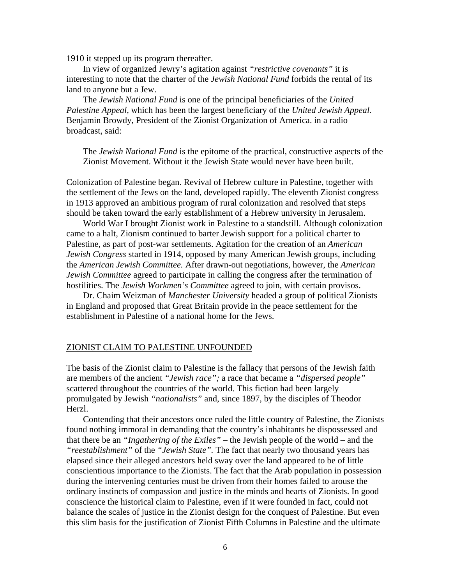1910 it stepped up its program thereafter.

In view of organized Jewry's agitation against *"restrictive covenants"* it is interesting to note that the charter of the *Jewish National Fund* forbids the rental of its land to anyone but a Jew.

The *Jewish National Fund* is one of the principal beneficiaries of the *United Palestine Appeal,* which has been the largest beneficiary of the *United Jewish Appeal.*  Benjamin Browdy, President of the Zionist Organization of America. in a radio broadcast, said:

The *Jewish National Fund* is the epitome of the practical, constructive aspects of the Zionist Movement. Without it the Jewish State would never have been built.

Colonization of Palestine began. Revival of Hebrew culture in Palestine, together with the settlement of the Jews on the land, developed rapidly. The eleventh Zionist congress in 1913 approved an ambitious program of rural colonization and resolved that steps should be taken toward the early establishment of a Hebrew university in Jerusalem.

World War I brought Zionist work in Palestine to a standstill. Although colonization came to a halt, Zionism continued to barter Jewish support for a political charter to Palestine, as part of post-war settlements. Agitation for the creation of an *American Jewish Congress* started in 1914, opposed by many American Jewish groups, including the *American Jewish Committee.* After drawn-out negotiations, however, the *American Jewish Committee* agreed to participate in calling the congress after the termination of hostilities. The *Jewish Workmen's Committee* agreed to join, with certain provisos.

Dr. Chaim Weizman of *Manchester University* headed a group of political Zionists in England and proposed that Great Britain provide in the peace settlement for the establishment in Palestine of a national home for the Jews.

## ZIONIST CLAIM TO PALESTINE UNFOUNDED

The basis of the Zionist claim to Palestine is the fallacy that persons of the Jewish faith are members of the ancient *"Jewish race";* a race that became a *"dispersed people"*  scattered throughout the countries of the world. This fiction had been largely promulgated by Jewish *"nationalists"* and, since 1897, by the disciples of Theodor Herzl.

Contending that their ancestors once ruled the little country of Palestine, the Zionists found nothing immoral in demanding that the country's inhabitants be dispossessed and that there be an *"Ingathering of the Exiles" –* the Jewish people of the world – and the *"reestablishment"* of the *"Jewish State".* The fact that nearly two thousand years has elapsed since their alleged ancestors held sway over the land appeared to be of little conscientious importance to the Zionists. The fact that the Arab population in possession during the intervening centuries must be driven from their homes failed to arouse the ordinary instincts of compassion and justice in the minds and hearts of Zionists. In good conscience the historical claim to Palestine, even if it were founded in fact, could not balance the scales of justice in the Zionist design for the conquest of Palestine. But even this slim basis for the justification of Zionist Fifth Columns in Palestine and the ultimate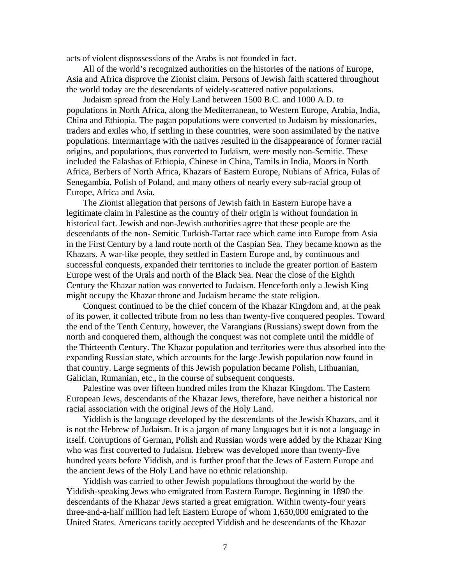acts of violent dispossessions of the Arabs is not founded in fact.

All of the world's recognized authorities on the histories of the nations of Europe, Asia and Africa disprove the Zionist claim. Persons of Jewish faith scattered throughout the world today are the descendants of widely-scattered native populations.

Judaism spread from the Holy Land between 1500 B.C. and 1000 A.D. to populations in North Africa, along the Mediterranean, to Western Europe, Arabia, India, China and Ethiopia. The pagan populations were converted to Judaism by missionaries, traders and exiles who, if settling in these countries, were soon assimilated by the native populations. Intermarriage with the natives resulted in the disappearance of former racial origins, and populations, thus converted to Judaism, were mostly non-Semitic. These included the Falashas of Ethiopia, Chinese in China, Tamils in India, Moors in North Africa, Berbers of North Africa, Khazars of Eastern Europe, Nubians of Africa, Fulas of Senegambia, Polish of Poland, and many others of nearly every sub-racial group of Europe, Africa and Asia.

The Zionist allegation that persons of Jewish faith in Eastern Europe have a legitimate claim in Palestine as the country of their origin is without foundation in historical fact. Jewish and non-Jewish authorities agree that these people are the descendants of the non- Semitic Turkish-Tartar race which came into Europe from Asia in the First Century by a land route north of the Caspian Sea. They became known as the Khazars. A war-like people, they settled in Eastern Europe and, by continuous and successful conquests, expanded their territories to include the greater portion of Eastern Europe west of the Urals and north of the Black Sea. Near the close of the Eighth Century the Khazar nation was converted to Judaism. Henceforth only a Jewish King might occupy the Khazar throne and Judaism became the state religion.

Conquest continued to be the chief concern of the Khazar Kingdom and, at the peak of its power, it collected tribute from no less than twenty-five conquered peoples. Toward the end of the Tenth Century, however, the Varangians (Russians) swept down from the north and conquered them, although the conquest was not complete until the middle of the Thirteenth Century. The Khazar population and territories were thus absorbed into the expanding Russian state, which accounts for the large Jewish population now found in that country. Large segments of this Jewish population became Polish, Lithuanian, Galician, Rumanian, etc., in the course of subsequent conquests.

Palestine was over fifteen hundred miles from the Khazar Kingdom. The Eastern European Jews, descendants of the Khazar Jews, therefore, have neither a historical nor racial association with the original Jews of the Holy Land.

Yiddish is the language developed by the descendants of the Jewish Khazars, and it is not the Hebrew of Judaism. It is a jargon of many languages but it is not a language in itself. Corruptions of German, Polish and Russian words were added by the Khazar King who was first converted to Judaism. Hebrew was developed more than twenty-five hundred years before Yiddish, and is further proof that the Jews of Eastern Europe and the ancient Jews of the Holy Land have no ethnic relationship.

Yiddish was carried to other Jewish populations throughout the world by the Yiddish-speaking Jews who emigrated from Eastern Europe. Beginning in 1890 the descendants of the Khazar Jews started a great emigration. Within twenty-four years three-and-a-half million had left Eastern Europe of whom 1,650,000 emigrated to the United States. Americans tacitly accepted Yiddish and he descendants of the Khazar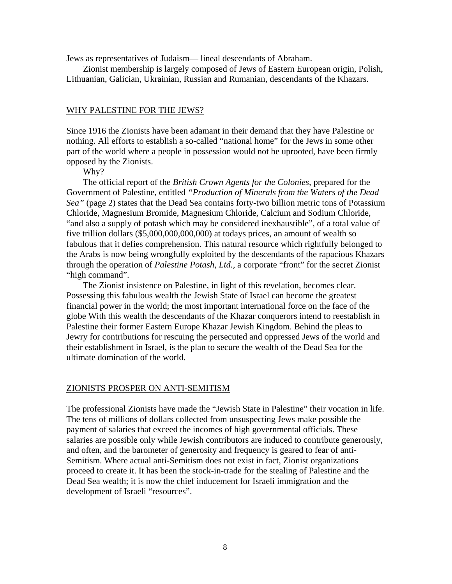Jews as representatives of Judaism— lineal descendants of Abraham.

Zionist membership is largely composed of Jews of Eastern European origin, Polish, Lithuanian, Galician, Ukrainian, Russian and Rumanian, descendants of the Khazars.

## WHY PALESTINE FOR THE JEWS?

Since 1916 the Zionists have been adamant in their demand that they have Palestine or nothing. All efforts to establish a so-called "national home" for the Jews in some other part of the world where a people in possession would not be uprooted, have been firmly opposed by the Zionists.

Why?

The official report of the *British Crown Agents for the Colonies,* prepared for the Government of Palestine, entitled *"Production of Minerals from the Waters of the Dead Sea"* (page 2) states that the Dead Sea contains forty-two billion metric tons of Potassium Chloride, Magnesium Bromide, Magnesium Chloride, Calcium and Sodium Chloride, "and also a supply of potash which may be considered inexhaustible", of a total value of five trillion dollars (\$5,000,000,000,000) at todays prices, an amount of wealth so fabulous that it defies comprehension. This natural resource which rightfully belonged to the Arabs is now being wrongfully exploited by the descendants of the rapacious Khazars through the operation of *Palestine Potash, Ltd.,* a corporate "front" for the secret Zionist "high command".

The Zionist insistence on Palestine, in light of this revelation, becomes clear. Possessing this fabulous wealth the Jewish State of Israel can become the greatest financial power in the world; the most important international force on the face of the globe With this wealth the descendants of the Khazar conquerors intend to reestablish in Palestine their former Eastern Europe Khazar Jewish Kingdom. Behind the pleas to Jewry for contributions for rescuing the persecuted and oppressed Jews of the world and their establishment in Israel, is the plan to secure the wealth of the Dead Sea for the ultimate domination of the world.

## ZIONISTS PROSPER ON ANTI-SEMITISM

The professional Zionists have made the "Jewish State in Palestine" their vocation in life. The tens of millions of dollars collected from unsuspecting Jews make possible the payment of salaries that exceed the incomes of high governmental officials. These salaries are possible only while Jewish contributors are induced to contribute generously, and often, and the barometer of generosity and frequency is geared to fear of anti-Semitism. Where actual anti-Semitism does not exist in fact, Zionist organizations proceed to create it. It has been the stock-in-trade for the stealing of Palestine and the Dead Sea wealth; it is now the chief inducement for Israeli immigration and the development of Israeli "resources".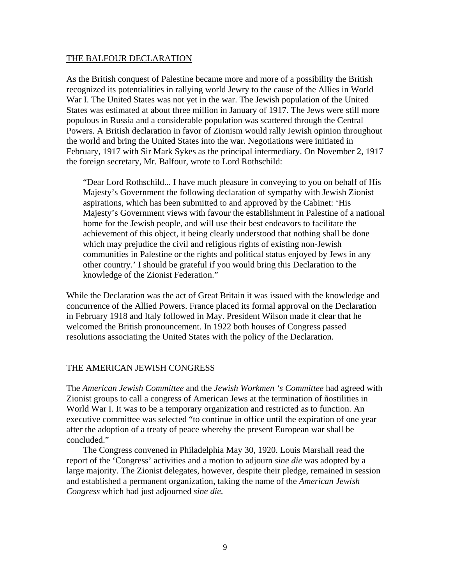# THE BALFOUR DECLARATION

As the British conquest of Palestine became more and more of a possibility the British recognized its potentialities in rallying world Jewry to the cause of the Allies in World War I. The United States was not yet in the war. The Jewish population of the United States was estimated at about three million in January of 1917. The Jews were still more populous in Russia and a considerable population was scattered through the Central Powers. A British declaration in favor of Zionism would rally Jewish opinion throughout the world and bring the United States into the war. Negotiations were initiated in February, 1917 with Sir Mark Sykes as the principal intermediary. On November 2, 1917 the foreign secretary, Mr. Balfour, wrote to Lord Rothschild:

"Dear Lord Rothschild... I have much pleasure in conveying to you on behalf of His Majesty's Government the following declaration of sympathy with Jewish Zionist aspirations, which has been submitted to and approved by the Cabinet: 'His Majesty's Government views with favour the establishment in Palestine of a national home for the Jewish people, and will use their best endeavors to facilitate the achievement of this object, it being clearly understood that nothing shall be done which may prejudice the civil and religious rights of existing non-Jewish communities in Palestine or the rights and political status enjoyed by Jews in any other country.' I should be grateful if you would bring this Declaration to the knowledge of the Zionist Federation."

While the Declaration was the act of Great Britain it was issued with the knowledge and concurrence of the Allied Powers. France placed its formal approval on the Declaration in February 1918 and Italy followed in May. President Wilson made it clear that he welcomed the British pronouncement. In 1922 both houses of Congress passed resolutions associating the United States with the policy of the Declaration.

# THE AMERICAN JEWISH CONGRESS

The *American Jewish Committee* and the *Jewish Workmen 's Committee* had agreed with Zionist groups to call a congress of American Jews at the termination of ñostilities in World War I. It was to be a temporary organization and restricted as to function. An executive committee was selected "to continue in office until the expiration of one year after the adoption of a treaty of peace whereby the present European war shall be concluded."

The Congress convened in Philadelphia May 30, 1920. Louis Marshall read the report of the 'Congress' activities and a motion to adjourn *sine die* was adopted by a large majority. The Zionist delegates, however, despite their pledge, remained in session and established a permanent organization, taking the name of the *American Jewish Congress* which had just adjourned *sine die.*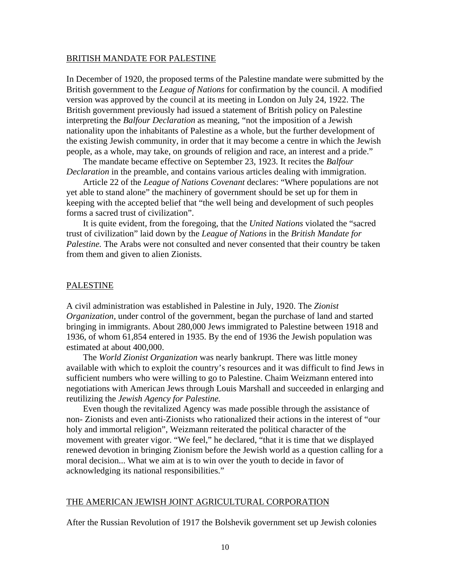#### BRITISH MANDATE FOR PALESTINE

In December of 1920, the proposed terms of the Palestine mandate were submitted by the British government to the *League of Nations* for confirmation by the council. A modified version was approved by the council at its meeting in London on July 24, 1922. The British government previously had issued a statement of British policy on Palestine interpreting the *Balfour Declaration* as meaning, "not the imposition of a Jewish nationality upon the inhabitants of Palestine as a whole, but the further development of the existing Jewish community, in order that it may become a centre in which the Jewish people, as a whole, may take, on grounds of religion and race, an interest and a pride."

The mandate became effective on September 23, 1923. It recites the *Balfour Declaration* in the preamble, and contains various articles dealing with immigration.

Article 22 of the *League of Nations Covenant* declares: "Where populations are not yet able to stand alone" the machinery of government should be set up for them in keeping with the accepted belief that "the well being and development of such peoples forms a sacred trust of civilization".

It is quite evident, from the foregoing, that the *United Nations* violated the "sacred trust of civilization" laid down by the *League of Nations* in the *British Mandate for Palestine.* The Arabs were not consulted and never consented that their country be taken from them and given to alien Zionists.

## PALESTINE

A civil administration was established in Palestine in July, 1920. The *Zionist Organization,* under control of the government, began the purchase of land and started bringing in immigrants. About 280,000 Jews immigrated to Palestine between 1918 and 1936, of whom 61,854 entered in 1935. By the end of 1936 the Jewish population was estimated at about 400,000.

The *World Zionist Organization* was nearly bankrupt. There was little money available with which to exploit the country's resources and it was difficult to find Jews in sufficient numbers who were willing to go to Palestine. Chaim Weizmann entered into negotiations with American Jews through Louis Marshall and succeeded in enlarging and reutilizing the *Jewish Agency for Palestine.* 

Even though the revitalized Agency was made possible through the assistance of non- Zionists and even anti-Zionists who rationalized their actions in the interest of "our holy and immortal religion", Weizmann reiterated the political character of the movement with greater vigor. "We feel," he declared, "that it is time that we displayed renewed devotion in bringing Zionism before the Jewish world as a question calling for a moral decision... What we aim at is to win over the youth to decide in favor of acknowledging its national responsibilities."

#### THE AMERICAN JEWISH JOINT AGRICULTURAL CORPORATION

After the Russian Revolution of 1917 the Bolshevik government set up Jewish colonies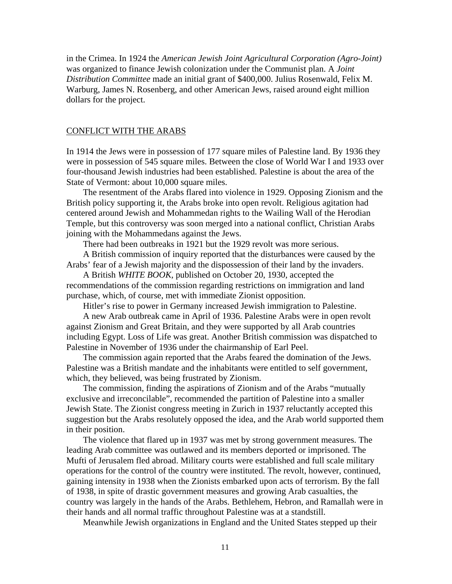in the Crimea. In 1924 the *American Jewish Joint Agricultural Corporation (Agro-Joint)*  was organized to finance Jewish colonization under the Communist plan. A *Joint Distribution Committee* made an initial grant of \$400,000. Julius Rosenwald, Felix M. Warburg, James N. Rosenberg, and other American Jews, raised around eight million dollars for the project.

## CONFLICT WITH THE ARABS

In 1914 the Jews were in possession of 177 square miles of Palestine land. By 1936 they were in possession of 545 square miles. Between the close of World War I and 1933 over four-thousand Jewish industries had been established. Palestine is about the area of the State of Vermont: about 10,000 square miles.

The resentment of the Arabs flared into violence in 1929. Opposing Zionism and the British policy supporting it, the Arabs broke into open revolt. Religious agitation had centered around Jewish and Mohammedan rights to the Wailing Wall of the Herodian Temple, but this controversy was soon merged into a national conflict, Christian Arabs joining with the Mohammedans against the Jews.

There had been outbreaks in 1921 but the 1929 revolt was more serious.

A British commission of inquiry reported that the disturbances were caused by the Arabs' fear of a Jewish majority and the dispossession of their land by the invaders.

A British *WHITE BOOK,* published on October 20, 1930, accepted the recommendations of the commission regarding restrictions on immigration and land purchase, which, of course, met with immediate Zionist opposition.

Hitler's rise to power in Germany increased Jewish immigration to Palestine.

A new Arab outbreak came in April of 1936. Palestine Arabs were in open revolt against Zionism and Great Britain, and they were supported by all Arab countries including Egypt. Loss of Life was great. Another British commission was dispatched to Palestine in November of 1936 under the chairmanship of Earl Peel.

The commission again reported that the Arabs feared the domination of the Jews. Palestine was a British mandate and the inhabitants were entitled to self government, which, they believed, was being frustrated by Zionism.

The commission, finding the aspirations of Zionism and of the Arabs "mutually exclusive and irreconcilable", recommended the partition of Palestine into a smaller Jewish State. The Zionist congress meeting in Zurich in 1937 reluctantly accepted this suggestion but the Arabs resolutely opposed the idea, and the Arab world supported them in their position.

The violence that flared up in 1937 was met by strong government measures. The leading Arab committee was outlawed and its members deported or imprisoned. The Mufti of Jerusalem fled abroad. Military courts were established and full scale military operations for the control of the country were instituted. The revolt, however, continued, gaining intensity in 1938 when the Zionists embarked upon acts of terrorism. By the fall of 1938, in spite of drastic government measures and growing Arab casualties, the country was largely in the hands of the Arabs. Bethlehem, Hebron, and Ramallah were in their hands and all normal traffic throughout Palestine was at a standstill.

Meanwhile Jewish organizations in England and the United States stepped up their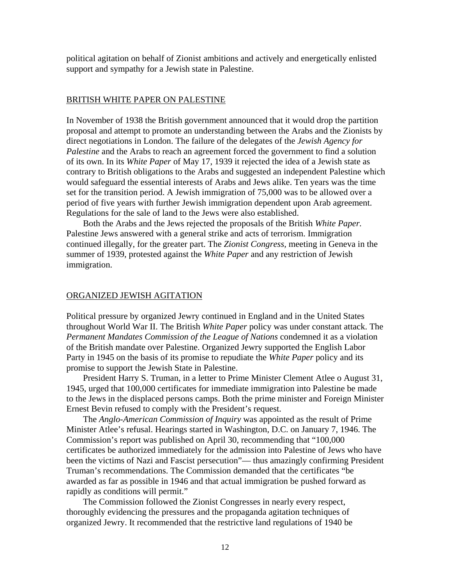political agitation on behalf of Zionist ambitions and actively and energetically enlisted support and sympathy for a Jewish state in Palestine.

#### BRITISH WHITE PAPER ON PALESTINE

In November of 1938 the British government announced that it would drop the partition proposal and attempt to promote an understanding between the Arabs and the Zionists by direct negotiations in London. The failure of the delegates of the *Jewish Agency for Palestine* and the Arabs to reach an agreement forced the government to find a solution of its own. In its *White Paper* of May 17, 1939 it rejected the idea of a Jewish state as contrary to British obligations to the Arabs and suggested an independent Palestine which would safeguard the essential interests of Arabs and Jews alike. Ten years was the time set for the transition period. A Jewish immigration of 75,000 was to be allowed over a period of five years with further Jewish immigration dependent upon Arab agreement. Regulations for the sale of land to the Jews were also established.

Both the Arabs and the Jews rejected the proposals of the British *White Paper.*  Palestine Jews answered with a general strike and acts of terrorism. Immigration continued illegally, for the greater part. The *Zionist Congress,* meeting in Geneva in the summer of 1939, protested against the *White Paper* and any restriction of Jewish immigration.

## ORGANIZED JEWISH AGITATION

Political pressure by organized Jewry continued in England and in the United States throughout World War II. The British *White Paper* policy was under constant attack. The *Permanent Mandates Commission of the League of Nations* condemned it as a violation of the British mandate over Palestine. Organized Jewry supported the English Labor Party in 1945 on the basis of its promise to repudiate the *White Paper* policy and its promise to support the Jewish State in Palestine.

President Harry S. Truman, in a letter to Prime Minister Clement Atlee o August 31, 1945, urged that 100,000 certificates for immediate immigration into Palestine be made to the Jews in the displaced persons camps. Both the prime minister and Foreign Minister Ernest Bevin refused to comply with the President's request.

The *Anglo-American Commission of Inquiry* was appointed as the result of Prime Minister Atlee's refusal. Hearings started in Washington, D.C. on January 7, 1946. The Commission's report was published on April 30, recommending that "100,000 certificates be authorized immediately for the admission into Palestine of Jews who have been the victims of Nazi and Fascist persecution"— thus amazingly confirming President Truman's recommendations. The Commission demanded that the certificates "be awarded as far as possible in 1946 and that actual immigration be pushed forward as rapidly as conditions will permit."

The Commission followed the Zionist Congresses in nearly every respect, thoroughly evidencing the pressures and the propaganda agitation techniques of organized Jewry. It recommended that the restrictive land regulations of 1940 be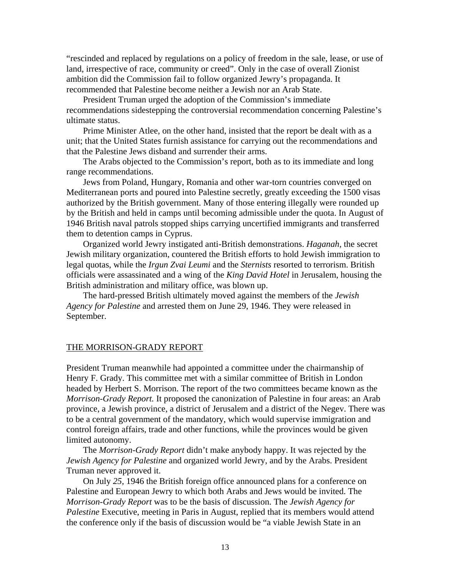"rescinded and replaced by regulations on a policy of freedom in the sale, lease, or use of land, irrespective of race, community or creed". Only in the case of overall Zionist ambition did the Commission fail to follow organized Jewry's propaganda. It recommended that Palestine become neither a Jewish nor an Arab State.

President Truman urged the adoption of the Commission's immediate recommendations sidestepping the controversial recommendation concerning Palestine's ultimate status.

Prime Minister Atlee, on the other hand, insisted that the report be dealt with as a unit; that the United States furnish assistance for carrying out the recommendations and that the Palestine Jews disband and surrender their arms.

The Arabs objected to the Commission's report, both as to its immediate and long range recommendations.

Jews from Poland, Hungary, Romania and other war-torn countries converged on Mediterranean ports and poured into Palestine secretly, greatly exceeding the 1500 visas authorized by the British government. Many of those entering illegally were rounded up by the British and held in camps until becoming admissible under the quota. In August of 1946 British naval patrols stopped ships carrying uncertified immigrants and transferred them to detention camps in Cyprus.

Organized world Jewry instigated anti-British demonstrations. *Haganah,* the secret Jewish military organization, countered the British efforts to hold Jewish immigration to legal quotas, while the *Irgun Zvai Leumi* and the *Sternists* resorted to terrorism. British officials were assassinated and a wing of the *King David Hotel* in Jerusalem, housing the British administration and military office, was blown up.

The hard-pressed British ultimately moved against the members of the *Jewish Agency for Palestine* and arrested them on June 29, 1946. They were released in September.

## THE MORRISON-GRADY REPORT

President Truman meanwhile had appointed a committee under the chairmanship of Henry F. Grady. This committee met with a similar committee of British in London headed by Herbert S. Morrison. The report of the two committees became known as the *Morrison-Grady Report.* It proposed the canonization of Palestine in four areas: an Arab province, a Jewish province, a district of Jerusalem and a district of the Negev. There was to be a central government of the mandatory, which would supervise immigration and control foreign affairs, trade and other functions, while the provinces would be given limited autonomy.

The *Morrison-Grady Report* didn't make anybody happy. It was rejected by the *Jewish Agency for Palestine* and organized world Jewry, and by the Arabs. President Truman never approved it.

On July *25,* 1946 the British foreign office announced plans for a conference on Palestine and European Jewry to which both Arabs and Jews would be invited. The *Morrison-Grady Report* was to be the basis of discussion. The *Jewish Agency for Palestine* Executive, meeting in Paris in August, replied that its members would attend the conference only if the basis of discussion would be "a viable Jewish State in an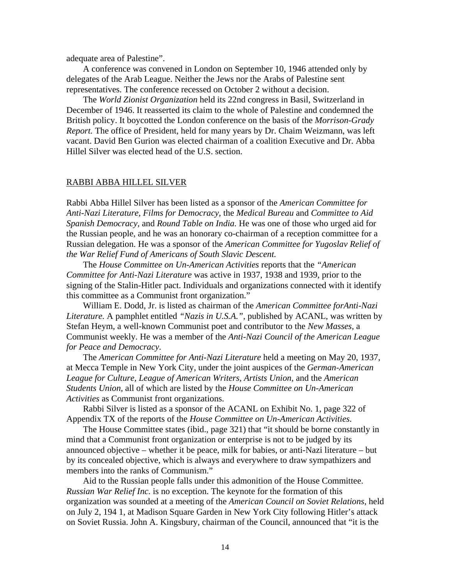adequate area of Palestine".

A conference was convened in London on September 10, 1946 attended only by delegates of the Arab League. Neither the Jews nor the Arabs of Palestine sent representatives. The conference recessed on October 2 without a decision.

The *World Zionist Organization* held its 22nd congress in Basil, Switzerland in December of 1946. It reasserted its claim to the whole of Palestine and condemned the British policy. It boycotted the London conference on the basis of the *Morrison-Grady Report.* The office of President, held for many years by Dr. Chaim Weizmann, was left vacant. David Ben Gurion was elected chairman of a coalition Executive and Dr. Abba Hillel Silver was elected head of the U.S. section.

## RABBI ABBA HILLEL SILVER

Rabbi Abba Hillel Silver has been listed as a sponsor of the *American Committee for Anti-Nazi Literature, Films for Democracy,* the *Medical Bureau* and *Committee to Aid Spanish Democracy,* and *Round Table on India.* He was one of those who urged aid for the Russian people, and he was an honorary co-chairman of a reception committee for a Russian delegation. He was a sponsor of the *American Committee for Yugoslav Relief of the War Relief Fund of Americans of South Slavic Descent.* 

The *House Committee on Un-American Activities* reports that the *"American Committee for Anti-Nazi Literature* was active in 1937, 1938 and 1939, prior to the signing of the Stalin-Hitler pact. Individuals and organizations connected with it identify this committee as a Communist front organization."

William E. Dodd, Jr. is listed as chairman of the *American Committee forAnti-Nazi Literature.* A pamphlet entitled *"Nazis in U.S.A.",* published by ACANL, was written by Stefan Heym, a well-known Communist poet and contributor to the *New Masses,* a Communist weekly. He was a member of the *Anti-Nazi Council of the American League for Peace and Democracy.* 

The *American Committee for Anti-Nazi Literature* held a meeting on May 20, 1937, at Mecca Temple in New York City, under the joint auspices of the *German-American League for Culture, League of American Writers, Artists Union,* and the *American Students Union,* all of which are listed by the *House Committee on Un-American Activities* as Communist front organizations.

Rabbi Silver is listed as a sponsor of the ACANL on Exhibit No. 1, page 322 of Appendix TX of the reports of the *House Committee on Un-American Activities.* 

The House Committee states (ibid., page 321) that "it should be borne constantly in mind that a Communist front organization or enterprise is not to be judged by its announced objective – whether it be peace, milk for babies, or anti-Nazi literature – but by its concealed objective, which is always and everywhere to draw sympathizers and members into the ranks of Communism."

Aid to the Russian people falls under this admonition of the House Committee. *Russian War Relief Inc.* is no exception. The keynote for the formation of this organization was sounded at a meeting of the *American Council on Soviet Relations,* held on July 2, 194 1, at Madison Square Garden in New York City following Hitler's attack on Soviet Russia. John A. Kingsbury, chairman of the Council, announced that "it is the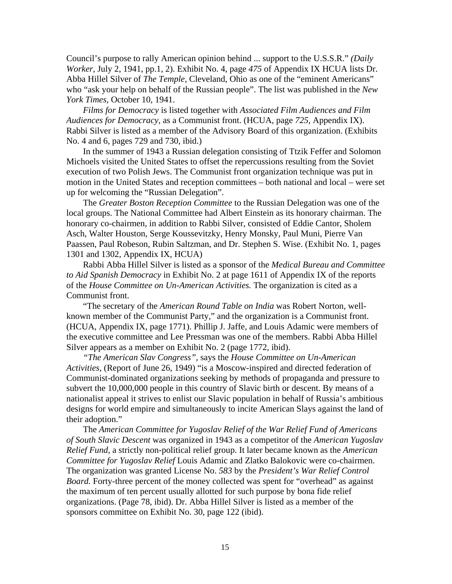Council's purpose to rally American opinion behind ... support to the U.S.S.R." *(Daily Worker,* July 2, 1941, pp.1, 2). Exhibit No. 4, page *475* of Appendix IX HCUA lists Dr. Abba Hillel Silver of *The Temple,* Cleveland, Ohio as one of the "eminent Americans" who "ask your help on behalf of the Russian people". The list was published in the *New York Times,* October 10, 1941.

*Films for Democracy* is listed together with *Associated Film Audiences and Film Audiences for Democracy,* as a Communist front. (HCUA, page *725,* Appendix IX). Rabbi Silver is listed as a member of the Advisory Board of this organization. (Exhibits No. 4 and 6, pages 729 and 730, ibid.)

In the summer of 1943 a Russian delegation consisting of Ttzik Feffer and Solomon Michoels visited the United States to offset the repercussions resulting from the Soviet execution of two Polish Jews. The Communist front organization technique was put in motion in the United States and reception committees – both national and local – were set up for welcoming the "Russian Delegation".

The *Greater Boston Reception Committee* to the Russian Delegation was one of the local groups. The National Committee had Albert Einstein as its honorary chairman. The honorary co-chairmen, in addition to Rabbi Silver, consisted of Eddie Cantor, Sholem Asch, Walter Houston, Serge Koussevitzky, Henry Monsky, Paul Muni, Pierre Van Paassen, Paul Robeson, Rubin Saltzman, and Dr. Stephen S. Wise. (Exhibit No. 1, pages 1301 and 1302, Appendix IX, HCUA)

Rabbi Abba Hillel Silver is listed as a sponsor of the *Medical Bureau and Committee to Aid Spanish Democracy* in Exhibit No. 2 at page 1611 of Appendix IX of the reports of the *House Committee on Un-American Activities.* The organization is cited as a Communist front.

"The secretary of the *American Round Table on India* was Robert Norton, wellknown member of the Communist Party," and the organization is a Communist front. (HCUA, Appendix IX, page 1771). Phillip J. Jaffe, and Louis Adamic were members of the executive committee and Lee Pressman was one of the members. Rabbi Abba Hillel Silver appears as a member on Exhibit No. 2 (page 1772, ibid).

*"The American Slav Congress",* says the *House Committee on Un-American Activities,* (Report of June 26, 1949) "is a Moscow-inspired and directed federation of Communist-dominated organizations seeking by methods of propaganda and pressure to subvert the 10,000,000 people in this country of Slavic birth or descent. By means of a nationalist appeal it strives to enlist our Slavic population in behalf of Russia's ambitious designs for world empire and simultaneously to incite American Slays against the land of their adoption."

The *American Committee for Yugoslav Relief of the War Relief Fund of Americans of South Slavic Descent* was organized in 1943 as a competitor of the *American Yugoslav Relief Fund,* a strictly non-political relief group. It later became known as the *American Committee for Yugoslav Relief* Louis Adamic and Zlatko Balokovic were co-chairmen. The organization was granted License No. *583* by the *President's War Relief Control Board.* Forty-three percent of the money collected was spent for "overhead" as against the maximum of ten percent usually allotted for such purpose by bona fide relief organizations. (Page 78, ibid). Dr. Abba Hillel Silver is listed as a member of the sponsors committee on Exhibit No. 30, page 122 (ibid).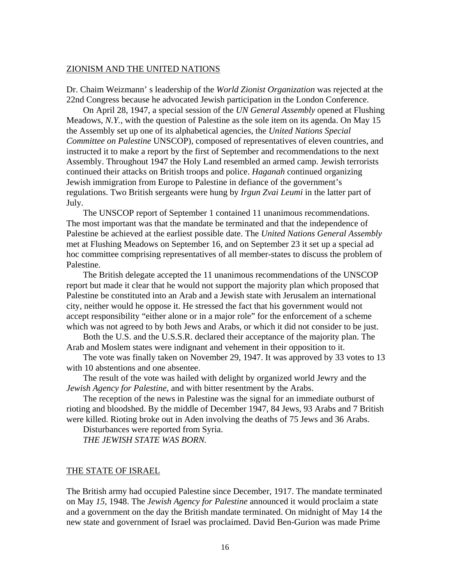## ZIONISM AND THE UNITED NATIONS

Dr. Chaim Weizmann' s leadership of the *World Zionist Organization* was rejected at the 22nd Congress because he advocated Jewish participation in the London Conference.

On April 28, 1947, a special session of the *UN General Assembly* opened at Flushing Meadows, *N.Y.,* with the question of Palestine as the sole item on its agenda. On May 15 the Assembly set up one of its alphabetical agencies, the *United Nations Special Committee on Palestine* UNSCOP), composed of representatives of eleven countries, and instructed it to make a report by the first of September and recommendations to the next Assembly. Throughout 1947 the Holy Land resembled an armed camp. Jewish terrorists continued their attacks on British troops and police. *Haganah* continued organizing Jewish immigration from Europe to Palestine in defiance of the government's regulations. Two British sergeants were hung by *Irgun Zvai Leumi* in the latter part of July.

The UNSCOP report of September 1 contained 11 unanimous recommendations. The most important was that the mandate be terminated and that the independence of Palestine be achieved at the earliest possible date. The *United Nations General Assembly*  met at Flushing Meadows on September 16, and on September 23 it set up a special ad hoc committee comprising representatives of all member-states to discuss the problem of Palestine.

The British delegate accepted the 11 unanimous recommendations of the UNSCOP report but made it clear that he would not support the majority plan which proposed that Palestine be constituted into an Arab and a Jewish state with Jerusalem an international city, neither would he oppose it. He stressed the fact that his government would not accept responsibility "either alone or in a major role" for the enforcement of a scheme which was not agreed to by both Jews and Arabs, or which it did not consider to be just.

Both the U.S. and the U.S.S.R. declared their acceptance of the majority plan. The Arab and Moslem states were indignant and vehement in their opposition to it.

The vote was finally taken on November 29, 1947. It was approved by 33 votes to 13 with 10 abstentions and one absentee.

The result of the vote was hailed with delight by organized world Jewry and the *Jewish Agency for Palestine,* and with bitter resentment by the Arabs.

The reception of the news in Palestine was the signal for an immediate outburst of rioting and bloodshed. By the middle of December 1947, 84 Jews, 93 Arabs and 7 British were killed. Rioting broke out in Aden involving the deaths of 75 Jews and 36 Arabs.

Disturbances were reported from Syria.

*THE JEWISH STATE WAS BORN.* 

#### THE STATE OF ISRAEL

The British army had occupied Palestine since December, 1917. The mandate terminated on May *15,* 1948. The *Jewish Agency for Palestine* announced it would proclaim a state and a government on the day the British mandate terminated. On midnight of May 14 the new state and government of Israel was proclaimed. David Ben-Gurion was made Prime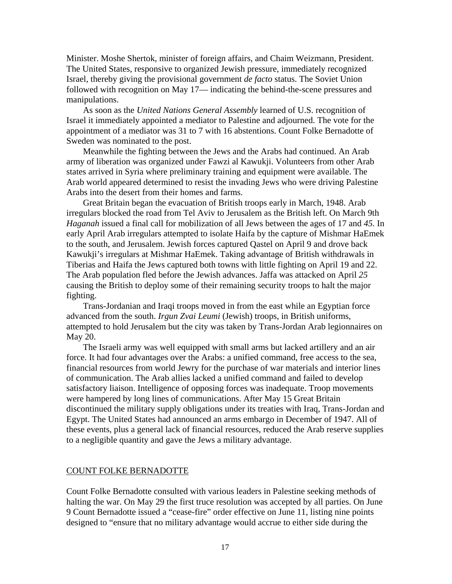Minister. Moshe Shertok, minister of foreign affairs, and Chaim Weizmann, President. The United States, responsive to organized Jewish pressure, immediately recognized Israel, thereby giving the provisional government *de facto* status. The Soviet Union followed with recognition on May 17— indicating the behind-the-scene pressures and manipulations.

As soon as the *United Nations General Assembly* learned of U.S. recognition of Israel it immediately appointed a mediator to Palestine and adjourned. The vote for the appointment of a mediator was 31 to 7 with 16 abstentions. Count Folke Bernadotte of Sweden was nominated to the post.

Meanwhile the fighting between the Jews and the Arabs had continued. An Arab army of liberation was organized under Fawzi al Kawukji. Volunteers from other Arab states arrived in Syria where preliminary training and equipment were available. The Arab world appeared determined to resist the invading Jews who were driving Palestine Arabs into the desert from their homes and farms.

Great Britain began the evacuation of British troops early in March, 1948. Arab irregulars blocked the road from Tel Aviv to Jerusalem as the British left. On March 9th *Haganah* issued a final call for mobilization of all Jews between the ages of 17 and *45.* In early April Arab irregulars attempted to isolate Haifa by the capture of Mishmar HaEmek to the south, and Jerusalem. Jewish forces captured Qastel on April 9 and drove back Kawukji's irregulars at Mishmar HaEmek. Taking advantage of British withdrawals in Tiberias and Haifa the Jews captured both towns with little fighting on April 19 and 22. The Arab population fled before the Jewish advances. Jaffa was attacked on April *25*  causing the British to deploy some of their remaining security troops to halt the major fighting.

Trans-Jordanian and Iraqi troops moved in from the east while an Egyptian force advanced from the south. *Irgun Zvai Leumi* (Jewish) troops, in British uniforms, attempted to hold Jerusalem but the city was taken by Trans-Jordan Arab legionnaires on May 20.

The Israeli army was well equipped with small arms but lacked artillery and an air force. It had four advantages over the Arabs: a unified command, free access to the sea, financial resources from world Jewry for the purchase of war materials and interior lines of communication. The Arab allies lacked a unified command and failed to develop satisfactory liaison. Intelligence of opposing forces was inadequate. Troop movements were hampered by long lines of communications. After May 15 Great Britain discontinued the military supply obligations under its treaties with Iraq, Trans-Jordan and Egypt. The United States had announced an arms embargo in December of 1947. All of these events, plus a general lack of financial resources, reduced the Arab reserve supplies to a negligible quantity and gave the Jews a military advantage.

#### COUNT FOLKE BERNADOTTE

Count Folke Bernadotte consulted with various leaders in Palestine seeking methods of halting the war. On May 29 the first truce resolution was accepted by all parties. On June 9 Count Bernadotte issued a "cease-fire" order effective on June 11, listing nine points designed to "ensure that no military advantage would accrue to either side during the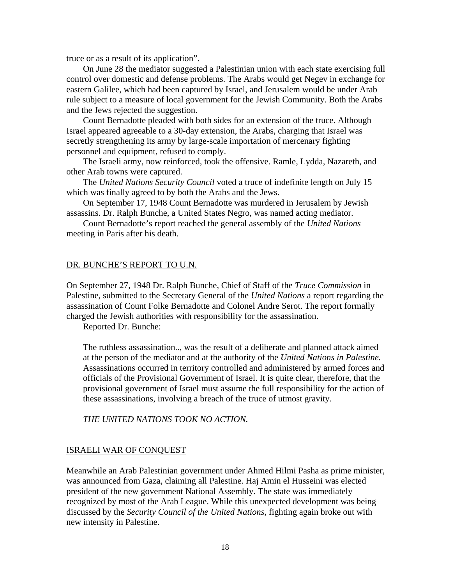truce or as a result of its application".

On June 28 the mediator suggested a Palestinian union with each state exercising full control over domestic and defense problems. The Arabs would get Negev in exchange for eastern Galilee, which had been captured by Israel, and Jerusalem would be under Arab rule subject to a measure of local government for the Jewish Community. Both the Arabs and the Jews rejected the suggestion.

Count Bernadotte pleaded with both sides for an extension of the truce. Although Israel appeared agreeable to a 30-day extension, the Arabs, charging that Israel was secretly strengthening its army by large-scale importation of mercenary fighting personnel and equipment, refused to comply.

The Israeli army, now reinforced, took the offensive. Ramle, Lydda, Nazareth, and other Arab towns were captured.

The *United Nations Security Council* voted a truce of indefinite length on July 15 which was finally agreed to by both the Arabs and the Jews.

On September 17, 1948 Count Bernadotte was murdered in Jerusalem by Jewish assassins. Dr. Ralph Bunche, a United States Negro, was named acting mediator.

Count Bernadotte's report reached the general assembly of the *United Nations*  meeting in Paris after his death.

#### DR. BUNCHE'S REPORT TO U.N.

On September 27, 1948 Dr. Ralph Bunche, Chief of Staff of the *Truce Commission* in Palestine, submitted to the Secretary General of the *United Nations* a report regarding the assassination of Count Folke Bernadotte and Colonel Andre Serot. The report formally charged the Jewish authorities with responsibility for the assassination.

Reported Dr. Bunche:

The ruthless assassination.., was the result of a deliberate and planned attack aimed at the person of the mediator and at the authority of the *United Nations in Palestine.*  Assassinations occurred in territory controlled and administered by armed forces and officials of the Provisional Government of Israel. It is quite clear, therefore, that the provisional government of Israel must assume the full responsibility for the action of these assassinations, involving a breach of the truce of utmost gravity.

*THE UNITED NATIONS TOOK NO ACTION.* 

## ISRAELI WAR OF CONQUEST

Meanwhile an Arab Palestinian government under Ahmed Hilmi Pasha as prime minister, was announced from Gaza, claiming all Palestine. Haj Amin el Husseini was elected president of the new government National Assembly. The state was immediately recognized by most of the Arab League. While this unexpected development was being discussed by the *Security Council of the United Nations,* fighting again broke out with new intensity in Palestine.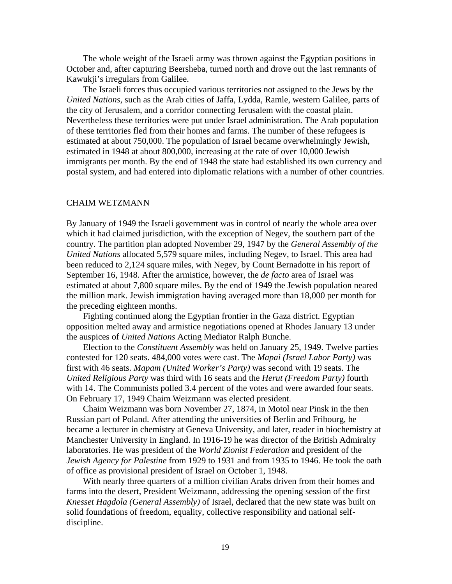The whole weight of the Israeli army was thrown against the Egyptian positions in October and, after capturing Beersheba, turned north and drove out the last remnants of Kawukji's irregulars from Galilee.

The Israeli forces thus occupied various territories not assigned to the Jews by the *United Nations,* such as the Arab cities of Jaffa, Lydda, Ramle, western Galilee, parts of the city of Jerusalem, and a corridor connecting Jerusalem with the coastal plain. Nevertheless these territories were put under Israel administration. The Arab population of these territories fled from their homes and farms. The number of these refugees is estimated at about 750,000. The population of Israel became overwhelmingly Jewish, estimated in 1948 at about 800,000, increasing at the rate of over 10,000 Jewish immigrants per month. By the end of 1948 the state had established its own currency and postal system, and had entered into diplomatic relations with a number of other countries.

## CHAIM WETZMANN

By January of 1949 the Israeli government was in control of nearly the whole area over which it had claimed jurisdiction, with the exception of Negev, the southern part of the country. The partition plan adopted November 29, 1947 by the *General Assembly of the United Nations* allocated 5,579 square miles, including Negev, to Israel. This area had been reduced to 2,124 square miles, with Negev, by Count Bernadotte in his report of September 16, 1948. After the armistice, however, the *de facto* area of Israel was estimated at about 7,800 square miles. By the end of 1949 the Jewish population neared the million mark. Jewish immigration having averaged more than 18,000 per month for the preceding eighteen months.

Fighting continued along the Egyptian frontier in the Gaza district. Egyptian opposition melted away and armistice negotiations opened at Rhodes January 13 under the auspices of *United Nations* Acting Mediator Ralph Bunche.

Election to the *Constituent Assembly* was held on January 25, 1949. Twelve parties contested for 120 seats. 484,000 votes were cast. The *Mapai (Israel Labor Party)* was first with 46 seats. *Mapam (United Worker's Party)* was second with 19 seats. The *United Religious Party* was third with 16 seats and the *Herut (Freedom Party)* fourth with 14. The Communists polled 3.4 percent of the votes and were awarded four seats. On February 17, 1949 Chaim Weizmann was elected president.

Chaim Weizmann was born November 27, 1874, in Motol near Pinsk in the then Russian part of Poland. After attending the universities of Berlin and Fribourg, he became a lecturer in chemistry at Geneva University, and later, reader in biochemistry at Manchester University in England. In 1916-19 he was director of the British Admiralty laboratories. He was president of the *World Zionist Federation* and president of the *Jewish Agency for Palestine* from 1929 to 1931 and from 1935 to 1946. He took the oath of office as provisional president of Israel on October 1, 1948.

With nearly three quarters of a million civilian Arabs driven from their homes and farms into the desert, President Weizmann, addressing the opening session of the first *Knesset Hagdola (General Assembly)* of Israel, declared that the new state was built on solid foundations of freedom, equality, collective responsibility and national selfdiscipline.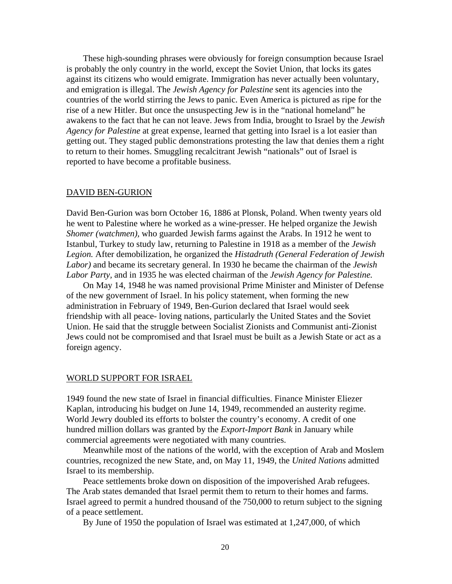These high-sounding phrases were obviously for foreign consumption because Israel is probably the only country in the world, except the Soviet Union, that locks its gates against its citizens who would emigrate. Immigration has never actually been voluntary, and emigration is illegal. The *Jewish Agency for Palestine* sent its agencies into the countries of the world stirring the Jews to panic. Even America is pictured as ripe for the rise of a new Hitler. But once the unsuspecting Jew is in the "national homeland" he awakens to the fact that he can not leave. Jews from India, brought to Israel by the *Jewish Agency for Palestine* at great expense, learned that getting into Israel is a lot easier than getting out. They staged public demonstrations protesting the law that denies them a right to return to their homes. Smuggling recalcitrant Jewish "nationals" out of Israel is reported to have become a profitable business.

#### DAVID BEN-GURION

David Ben-Gurion was born October 16, 1886 at Plonsk, Poland. When twenty years old he went to Palestine where he worked as a wine-presser. He helped organize the Jewish *Shomer (watchmen),* who guarded Jewish farms against the Arabs. In 1912 he went to Istanbul, Turkey to study law, returning to Palestine in 1918 as a member of the *Jewish Legion.* After demobilization, he organized the *Histadruth (General Federation of Jewish Labor)* and became its secretary general. In 1930 he became the chairman of the *Jewish Labor Party,* and in 1935 he was elected chairman of the *Jewish Agency for Palestine.* 

On May 14, 1948 he was named provisional Prime Minister and Minister of Defense of the new government of Israel. In his policy statement, when forming the new administration in February of 1949, Ben-Gurion declared that Israel would seek friendship with all peace- loving nations, particularly the United States and the Soviet Union. He said that the struggle between Socialist Zionists and Communist anti-Zionist Jews could not be compromised and that Israel must be built as a Jewish State or act as a foreign agency.

#### WORLD SUPPORT FOR ISRAEL

1949 found the new state of Israel in financial difficulties. Finance Minister Eliezer Kaplan, introducing his budget on June 14, 1949, recommended an austerity regime. World Jewry doubled its efforts to bolster the country's economy. A credit of one hundred million dollars was granted by the *Export-Import Bank* in January while commercial agreements were negotiated with many countries.

Meanwhile most of the nations of the world, with the exception of Arab and Moslem countries, recognized the new State, and, on May 11, 1949, the *United Nations* admitted Israel to its membership.

Peace settlements broke down on disposition of the impoverished Arab refugees. The Arab states demanded that Israel permit them to return to their homes and farms. Israel agreed to permit a hundred thousand of the 750,000 to return subject to the signing of a peace settlement.

By June of 1950 the population of Israel was estimated at 1,247,000, of which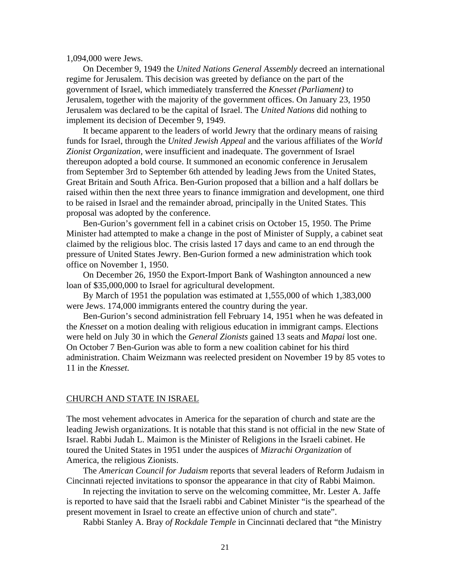1,094,000 were Jews.

On December 9, 1949 the *United Nations General Assembly* decreed an international regime for Jerusalem. This decision was greeted by defiance on the part of the government of Israel, which immediately transferred the *Knesset (Parliament)* to Jerusalem, together with the majority of the government offices. On January 23, 1950 Jerusalem was declared to be the capital of Israel. The *United Nations* did nothing to implement its decision of December 9, 1949.

It became apparent to the leaders of world Jewry that the ordinary means of raising funds for Israel, through the *United Jewish Appeal* and the various affiliates of the *World Zionist Organization,* were insufficient and inadequate. The government of Israel thereupon adopted a bold course. It summoned an economic conference in Jerusalem from September 3rd to September 6th attended by leading Jews from the United States, Great Britain and South Africa. Ben-Gurion proposed that a billion and a half dollars be raised within then the next three years to finance immigration and development, one third to be raised in Israel and the remainder abroad, principally in the United States. This proposal was adopted by the conference.

Ben-Gurion's government fell in a cabinet crisis on October 15, 1950. The Prime Minister had attempted to make a change in the post of Minister of Supply, a cabinet seat claimed by the religious bloc. The crisis lasted 17 days and came to an end through the pressure of United States Jewry. Ben-Gurion formed a new administration which took office on November 1, 1950.

On December 26, 1950 the Export-Import Bank of Washington announced a new loan of \$35,000,000 to Israel for agricultural development.

By March of 1951 the population was estimated at 1,555,000 of which 1,383,000 were Jews. 174,000 immigrants entered the country during the year.

Ben-Gurion's second administration fell February 14, 1951 when he was defeated in the *Knesset* on a motion dealing with religious education in immigrant camps. Elections were held on July 30 in which the *General Zionists* gained 13 seats and *Mapai* lost one. On October 7 Ben-Gurion was able to form a new coalition cabinet for his third administration. Chaim Weizmann was reelected president on November 19 by 85 votes to 11 in the *Knesset.* 

## CHURCH AND STATE IN ISRAEL

The most vehement advocates in America for the separation of church and state are the leading Jewish organizations. It is notable that this stand is not official in the new State of Israel. Rabbi Judah L. Maimon is the Minister of Religions in the Israeli cabinet. He toured the United States in 1951 under the auspices of *Mizrachi Organization* of America, the religious Zionists.

The *American Council for Judaism* reports that several leaders of Reform Judaism in Cincinnati rejected invitations to sponsor the appearance in that city of Rabbi Maimon.

In rejecting the invitation to serve on the welcoming committee, Mr. Lester A. Jaffe is reported to have said that the Israeli rabbi and Cabinet Minister "is the spearhead of the present movement in Israel to create an effective union of church and state".

Rabbi Stanley A. Bray *of Rockdale Temple* in Cincinnati declared that "the Ministry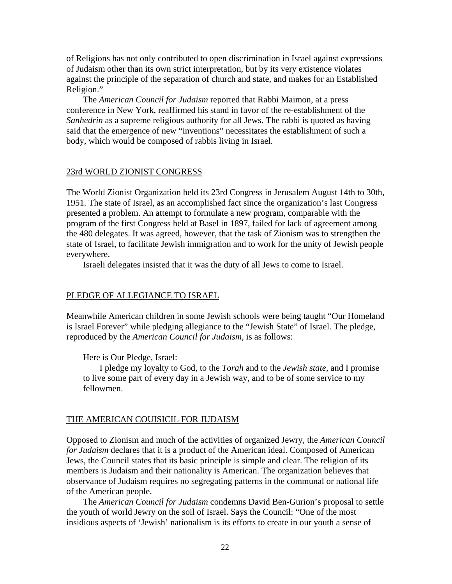of Religions has not only contributed to open discrimination in Israel against expressions of Judaism other than its own strict interpretation, but by its very existence violates against the principle of the separation of church and state, and makes for an Established Religion."

The *American Council for Judaism* reported that Rabbi Maimon, at a press conference in New York, reaffirmed his stand in favor of the re-establishment of the *Sanhedrin* as a supreme religious authority for all Jews. The rabbi is quoted as having said that the emergence of new "inventions" necessitates the establishment of such a body, which would be composed of rabbis living in Israel.

#### 23rd WORLD ZIONIST CONGRESS

The World Zionist Organization held its 23rd Congress in Jerusalem August 14th to 30th, 1951. The state of Israel, as an accomplished fact since the organization's last Congress presented a problem. An attempt to formulate a new program, comparable with the program of the first Congress held at Basel in 1897, failed for lack of agreement among the 480 delegates. It was agreed, however, that the task of Zionism was to strengthen the state of Israel, to facilitate Jewish immigration and to work for the unity of Jewish people everywhere.

Israeli delegates insisted that it was the duty of all Jews to come to Israel.

## PLEDGE OF ALLEGIANCE TO ISRAEL

Meanwhile American children in some Jewish schools were being taught "Our Homeland is Israel Forever" while pledging allegiance to the "Jewish State" of Israel. The pledge, reproduced by the *American Council for Judaism,* is as follows:

Here is Our Pledge, Israel:

I pledge my loyalty to God, to the *Torah* and to the *Jewish state,* and I promise to live some part of every day in a Jewish way, and to be of some service to my fellowmen.

#### THE AMERICAN COUISICIL FOR JUDAISM

Opposed to Zionism and much of the activities of organized Jewry, the *American Council for Judaism* declares that it is a product of the American ideal. Composed of American Jews, the Council states that its basic principle is simple and clear. The religion of its members is Judaism and their nationality is American. The organization believes that observance of Judaism requires no segregating patterns in the communal or national life of the American people.

The *American Council for Judaism* condemns David Ben-Gurion's proposal to settle the youth of world Jewry on the soil of Israel. Says the Council: "One of the most insidious aspects of 'Jewish' nationalism is its efforts to create in our youth a sense of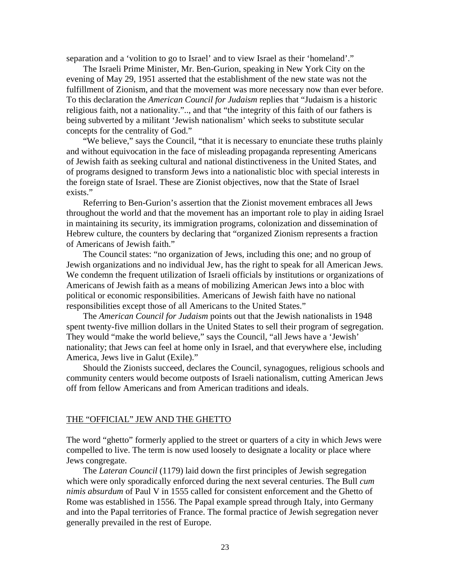separation and a 'volition to go to Israel' and to view Israel as their 'homeland'."

The Israeli Prime Minister, Mr. Ben-Gurion, speaking in New York City on the evening of May 29, 1951 asserted that the establishment of the new state was not the fulfillment of Zionism, and that the movement was more necessary now than ever before. To this declaration the *American Council for Judaism* replies that "Judaism is a historic religious faith, not a nationality.".., and that "the integrity of this faith of our fathers is being subverted by a militant 'Jewish nationalism' which seeks to substitute secular concepts for the centrality of God."

"We believe," says the Council, "that it is necessary to enunciate these truths plainly and without equivocation in the face of misleading propaganda representing Americans of Jewish faith as seeking cultural and national distinctiveness in the United States, and of programs designed to transform Jews into a nationalistic bloc with special interests in the foreign state of Israel. These are Zionist objectives, now that the State of Israel exists."

Referring to Ben-Gurion's assertion that the Zionist movement embraces all Jews throughout the world and that the movement has an important role to play in aiding Israel in maintaining its security, its immigration programs, colonization and dissemination of Hebrew culture, the counters by declaring that "organized Zionism represents a fraction of Americans of Jewish faith."

The Council states: "no organization of Jews, including this one; and no group of Jewish organizations and no individual Jew, has the right to speak for all American Jews. We condemn the frequent utilization of Israeli officials by institutions or organizations of Americans of Jewish faith as a means of mobilizing American Jews into a bloc with political or economic responsibilities. Americans of Jewish faith have no national responsibilities except those of all Americans to the United States."

The *American Council for Judaism* points out that the Jewish nationalists in 1948 spent twenty-five million dollars in the United States to sell their program of segregation. They would "make the world believe," says the Council, "all Jews have a 'Jewish' nationality; that Jews can feel at home only in Israel, and that everywhere else, including America, Jews live in Galut (Exile)."

Should the Zionists succeed, declares the Council, synagogues, religious schools and community centers would become outposts of Israeli nationalism, cutting American Jews off from fellow Americans and from American traditions and ideals.

#### THE "OFFICIAL" JEW AND THE GHETTO

The word "ghetto" formerly applied to the street or quarters of a city in which Jews were compelled to live. The term is now used loosely to designate a locality or place where Jews congregate.

The *Lateran Council* (1179) laid down the first principles of Jewish segregation which were only sporadically enforced during the next several centuries. The Bull *cum nimis absurdum* of Paul V in 1555 called for consistent enforcement and the Ghetto of Rome was established in 1556. The Papal example spread through Italy, into Germany and into the Papal territories of France. The formal practice of Jewish segregation never generally prevailed in the rest of Europe.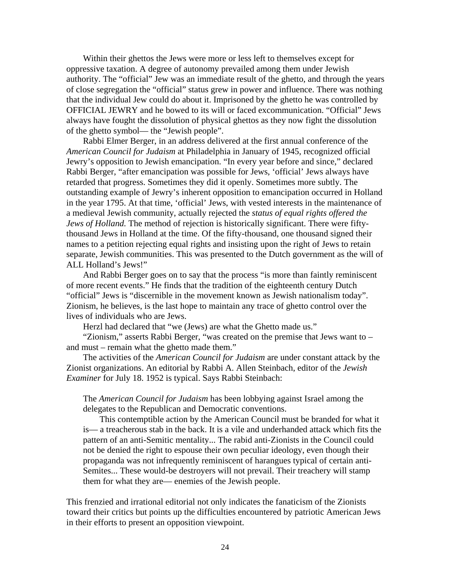Within their ghettos the Jews were more or less left to themselves except for oppressive taxation. A degree of autonomy prevailed among them under Jewish authority. The "official" Jew was an immediate result of the ghetto, and through the years of close segregation the "official" status grew in power and influence. There was nothing that the individual Jew could do about it. Imprisoned by the ghetto he was controlled by OFFICIAL JEWRY and he bowed to its will or faced excommunication. "Official" Jews always have fought the dissolution of physical ghettos as they now fight the dissolution of the ghetto symbol— the "Jewish people".

Rabbi Elmer Berger, in an address delivered at the first annual conference of the *American Council for Judaism* at Philadelphia in January of 1945, recognized official Jewry's opposition to Jewish emancipation. "In every year before and since," declared Rabbi Berger, "after emancipation was possible for Jews, 'official' Jews always have retarded that progress. Sometimes they did it openly. Sometimes more subtly. The outstanding example of Jewry's inherent opposition to emancipation occurred in Holland in the year 1795. At that time, 'official' Jews, with vested interests in the maintenance of a medieval Jewish community, actually rejected the *status of equal rights offered the Jews of Holland.* The method of rejection is historically significant. There were fiftythousand Jews in Holland at the time. Of the fifty-thousand, one thousand signed their names to a petition rejecting equal rights and insisting upon the right of Jews to retain separate, Jewish communities. This was presented to the Dutch government as the will of ALL Holland's Jews!"

And Rabbi Berger goes on to say that the process "is more than faintly reminiscent of more recent events." He finds that the tradition of the eighteenth century Dutch "official" Jews is "discernible in the movement known as Jewish nationalism today". Zionism, he believes, is the last hope to maintain any trace of ghetto control over the lives of individuals who are Jews.

Herzl had declared that "we (Jews) are what the Ghetto made us."

"Zionism," asserts Rabbi Berger, "was created on the premise that Jews want to – and must – remain what the ghetto made them."

The activities of the *American Council for Judaism* are under constant attack by the Zionist organizations. An editorial by Rabbi A. Allen Steinbach, editor of the *Jewish Examiner* for July 18. 1952 is typical. Says Rabbi Steinbach:

The *American Council for Judaism* has been lobbying against Israel among the delegates to the Republican and Democratic conventions.

This contemptible action by the American Council must be branded for what it is— a treacherous stab in the back. It is a vile and underhanded attack which fits the pattern of an anti-Semitic mentality... The rabid anti-Zionists in the Council could not be denied the right to espouse their own peculiar ideology, even though their propaganda was not infrequently reminiscent of harangues typical of certain anti-Semites... These would-be destroyers will not prevail. Their treachery will stamp them for what they are— enemies of the Jewish people.

This frenzied and irrational editorial not only indicates the fanaticism of the Zionists toward their critics but points up the difficulties encountered by patriotic American Jews in their efforts to present an opposition viewpoint.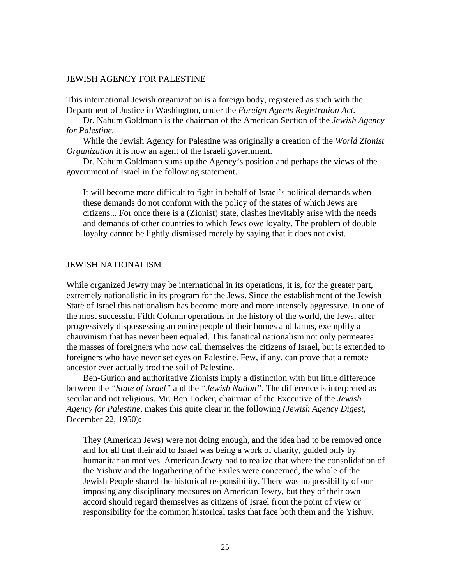## JEWISH AGENCY FOR PALESTINE

This international Jewish organization is a foreign body, registered as such with the Department of Justice in Washington, under the *Foreign Agents Registration Act.* 

Dr. Nahum Goldmann is the chairman of the American Section of the *Jewish Agency for Palestine.* 

While the Jewish Agency for Palestine was originally a creation of the *World Zionist Organization* it is now an agent of the Israeli government.

Dr. Nahum Goldmann sums up the Agency's position and perhaps the views of the government of Israel in the following statement.

It will become more difficult to fight in behalf of Israel's political demands when these demands do not conform with the policy of the states of which Jews are citizens... For once there is a (Zionist) state, clashes inevitably arise with the needs and demands of other countries to which Jews owe loyalty. The problem of double loyalty cannot be lightly dismissed merely by saying that it does not exist.

#### JEWISH NATIONALISM

While organized Jewry may be international in its operations, it is, for the greater part, extremely nationalistic in its program for the Jews. Since the establishment of the Jewish State of Israel this nationalism has become more and more intensely aggressive. In one of the most successful Fifth Column operations in the history of the world, the Jews, after progressively dispossessing an entire people of their homes and farms, exemplify a chauvinism that has never been equaled. This fanatical nationalism not only permeates the masses of foreigners who now call themselves the citizens of Israel, but is extended to foreigners who have never set eyes on Palestine. Few, if any, can prove that a remote ancestor ever actually trod the soil of Palestine.

Ben-Gurion and authoritative Zionists imply a distinction with but little difference between the *"State of Israel"* and the *"Jewish Nation".* The difference is interpreted as secular and not religious. Mr. Ben Locker, chairman of the Executive of the *Jewish Agency for Palestine,* makes this quite clear in the following *(Jewish Agency Digest,*  December 22, 1950):

They (American Jews) were not doing enough, and the idea had to be removed once and for all that their aid to Israel was being a work of charity, guided only by humanitarian motives. American Jewry had to realize that where the consolidation of the Yishuv and the Ingathering of the Exiles were concerned, the whole of the Jewish People shared the historical responsibility. There was no possibility of our imposing any disciplinary measures on American Jewry, but they of their own accord should regard themselves as citizens of Israel from the point of view or responsibility for the common historical tasks that face both them and the Yishuv.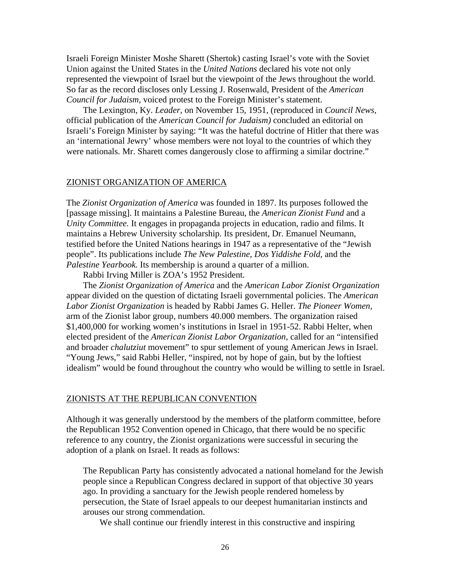Israeli Foreign Minister Moshe Sharett (Shertok) casting Israel's vote with the Soviet Union against the United States in the *United Nations* declared his vote not only represented the viewpoint of Israel but the viewpoint of the Jews throughout the world. So far as the record discloses only Lessing J. Rosenwald, President of the *American Council for Judaism,* voiced protest to the Foreign Minister's statement.

The Lexington, Ky. *Leader,* on November 15, 1951, (reproduced in *Council News,*  official publication of the *American Council for Judaism)* concluded an editorial on Israeli's Foreign Minister by saying: "It was the hateful doctrine of Hitler that there was an 'international Jewry' whose members were not loyal to the countries of which they were nationals. Mr. Sharett comes dangerously close to affirming a similar doctrine."

## ZIONIST ORGANIZATION OF AMERICA

The *Zionist Organization of America* was founded in 1897. Its purposes followed the [passage missing]. It maintains a Palestine Bureau, the *American Zionist Fund* and a *Unity Committee.* It engages in propaganda projects in education, radio and films. It maintains a Hebrew University scholarship. Its president, Dr. Emanuel Neumann, testified before the United Nations hearings in 1947 as a representative of the "Jewish people". Its publications include *The New Palestine, Dos Yiddishe Fold,* and the *Palestine Yearbook.* Its membership is around a quarter of a million.

Rabbi Irving Miller is ZOA's 1952 President.

The *Zionist Organization of America* and the *American Labor Zionist Organization*  appear divided on the question of dictating Israeli governmental policies. The *American Labor Zionist Organization* is headed by Rabbi James G. Heller. *The Pioneer Women,*  arm of the Zionist labor group, numbers 40.000 members. The organization raised \$1,400,000 for working women's institutions in Israel in 1951-52. Rabbi Helter, when elected president of the *American Zionist Labor Organization,* called for an "intensified and broader *chalutziut* movement" to spur settlement of young American Jews in Israel. "Young Jews," said Rabbi Heller, "inspired, not by hope of gain, but by the loftiest idealism" would be found throughout the country who would be willing to settle in Israel.

## ZIONISTS AT THE REPUBLICAN CONVENTION

Although it was generally understood by the members of the platform committee, before the Republican 1952 Convention opened in Chicago, that there would be no specific reference to any country, the Zionist organizations were successful in securing the adoption of a plank on Israel. It reads as follows:

The Republican Party has consistently advocated a national homeland for the Jewish people since a Republican Congress declared in support of that objective 30 years ago. In providing a sanctuary for the Jewish people rendered homeless by persecution, the State of Israel appeals to our deepest humanitarian instincts and arouses our strong commendation.

We shall continue our friendly interest in this constructive and inspiring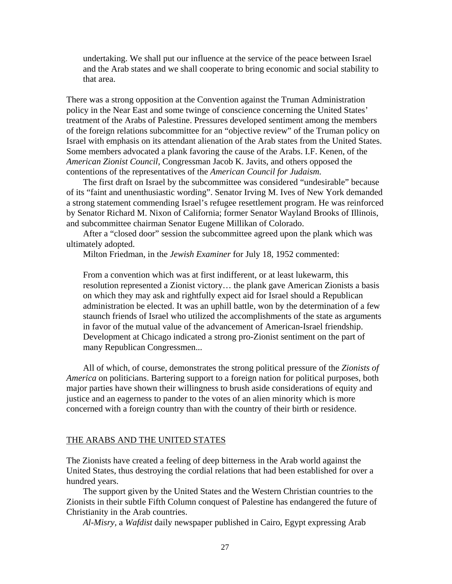undertaking. We shall put our influence at the service of the peace between Israel and the Arab states and we shall cooperate to bring economic and social stability to that area.

There was a strong opposition at the Convention against the Truman Administration policy in the Near East and some twinge of conscience concerning the United States' treatment of the Arabs of Palestine. Pressures developed sentiment among the members of the foreign relations subcommittee for an "objective review" of the Truman policy on Israel with emphasis on its attendant alienation of the Arab states from the United States. Some members advocated a plank favoring the cause of the Arabs. I.F. Kenen, of the *American Zionist Council,* Congressman Jacob K. Javits, and others opposed the contentions of the representatives of the *American Council for Judaism.* 

The first draft on Israel by the subcommittee was considered "undesirable" because of its "faint and unenthusiastic wording". Senator Irving M. Ives of New York demanded a strong statement commending Israel's refugee resettlement program. He was reinforced by Senator Richard M. Nixon of California; former Senator Wayland Brooks of Illinois, and subcommittee chairman Senator Eugene Millikan of Colorado.

After a "closed door" session the subcommittee agreed upon the plank which was ultimately adopted.

Milton Friedman, in the *Jewish Examiner* for July 18, 1952 commented:

From a convention which was at first indifferent, or at least lukewarm, this resolution represented a Zionist victory… the plank gave American Zionists a basis on which they may ask and rightfully expect aid for Israel should a Republican administration be elected. It was an uphill battle, won by the determination of a few staunch friends of Israel who utilized the accomplishments of the state as arguments in favor of the mutual value of the advancement of American-Israel friendship. Development at Chicago indicated a strong pro-Zionist sentiment on the part of many Republican Congressmen...

All of which, of course, demonstrates the strong political pressure of the *Zionists of America* on politicians. Bartering support to a foreign nation for political purposes, both major parties have shown their willingness to brush aside considerations of equity and justice and an eagerness to pander to the votes of an alien minority which is more concerned with a foreign country than with the country of their birth or residence.

#### THE ARABS AND THE UNITED STATES

The Zionists have created a feeling of deep bitterness in the Arab world against the United States, thus destroying the cordial relations that had been established for over a hundred years.

The support given by the United States and the Western Christian countries to the Zionists in their subtle Fifth Column conquest of Palestine has endangered the future of Christianity in the Arab countries.

*Al-Misry,* a *Wafdist* daily newspaper published in Cairo, Egypt expressing Arab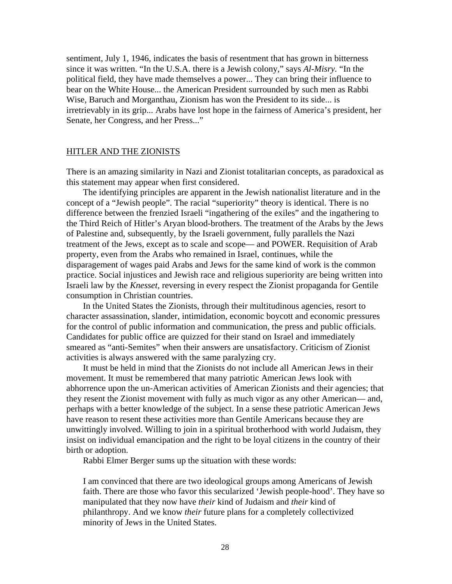sentiment, July 1, 1946, indicates the basis of resentment that has grown in bitterness since it was written. "In the U.S.A. there is a Jewish colony," says *Al-Misry.* "In the political field, they have made themselves a power... They can bring their influence to bear on the White House... the American President surrounded by such men as Rabbi Wise, Baruch and Morganthau, Zionism has won the President to its side... is irretrievably in its grip... Arabs have lost hope in the fairness of America's president, her Senate, her Congress, and her Press..."

#### HITLER AND THE ZIONISTS

There is an amazing similarity in Nazi and Zionist totalitarian concepts, as paradoxical as this statement may appear when first considered.

The identifying principles are apparent in the Jewish nationalist literature and in the concept of a "Jewish people". The racial "superiority" theory is identical. There is no difference between the frenzied Israeli "ingathering of the exiles" and the ingathering to the Third Reich of Hitler's Aryan blood-brothers. The treatment of the Arabs by the Jews of Palestine and, subsequently, by the Israeli government, fully parallels the Nazi treatment of the Jews, except as to scale and scope— and POWER. Requisition of Arab property, even from the Arabs who remained in Israel, continues, while the disparagement of wages paid Arabs and Jews for the same kind of work is the common practice. Social injustices and Jewish race and religious superiority are being written into Israeli law by the *Knesset,* reversing in every respect the Zionist propaganda for Gentile consumption in Christian countries.

In the United States the Zionists, through their multitudinous agencies, resort to character assassination, slander, intimidation, economic boycott and economic pressures for the control of public information and communication, the press and public officials. Candidates for public office are quizzed for their stand on Israel and immediately smeared as "anti-Semites" when their answers are unsatisfactory. Criticism of Zionist activities is always answered with the same paralyzing cry.

It must be held in mind that the Zionists do not include all American Jews in their movement. It must be remembered that many patriotic American Jews look with abhorrence upon the un-American activities of American Zionists and their agencies; that they resent the Zionist movement with fully as much vigor as any other American— and, perhaps with a better knowledge of the subject. In a sense these patriotic American Jews have reason to resent these activities more than Gentile Americans because they are unwittingly involved. Willing to join in a spiritual brotherhood with world Judaism, they insist on individual emancipation and the right to be loyal citizens in the country of their birth or adoption.

Rabbi Elmer Berger sums up the situation with these words:

I am convinced that there are two ideological groups among Americans of Jewish faith. There are those who favor this secularized 'Jewish people-hood'. They have so manipulated that they now have *their* kind of Judaism and *their* kind of philanthropy. And we know *their* future plans for a completely collectivized minority of Jews in the United States.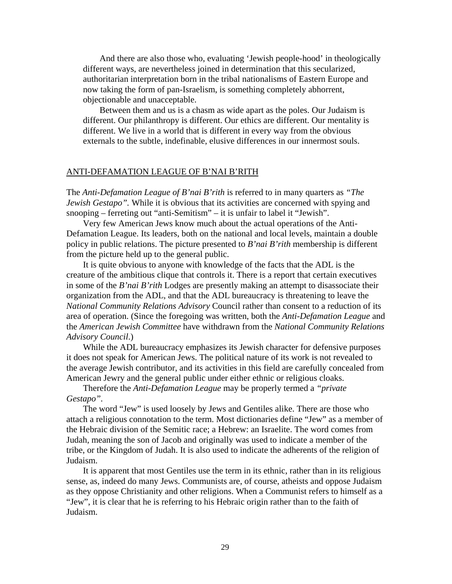And there are also those who, evaluating 'Jewish people-hood' in theologically different ways, are nevertheless joined in determination that this secularized, authoritarian interpretation born in the tribal nationalisms of Eastern Europe and now taking the form of pan-Israelism, is something completely abhorrent, objectionable and unacceptable.

Between them and us is a chasm as wide apart as the poles. Our Judaism is different. Our philanthropy is different. Our ethics are different. Our mentality is different. We live in a world that is different in every way from the obvious externals to the subtle, indefinable, elusive differences in our innermost souls.

## ANTI-DEFAMATION LEAGUE OF B'NAI B'RITH

The *Anti-Defamation League of B'nai B'rith* is referred to in many quarters as *"The Jewish Gestapo".* While it is obvious that its activities are concerned with spying and snooping – ferreting out "anti-Semitism" – it is unfair to label it "Jewish".

Very few American Jews know much about the actual operations of the Anti-Defamation League. Its leaders, both on the national and local levels, maintain a double policy in public relations. The picture presented to *B'nai B'rith* membership is different from the picture held up to the general public.

It is quite obvious to anyone with knowledge of the facts that the ADL is the creature of the ambitious clique that controls it. There is a report that certain executives in some of the *B'nai B'rith* Lodges are presently making an attempt to disassociate their organization from the ADL, and that the ADL bureaucracy is threatening to leave the *National Community Relations Advisory* Council rather than consent to a reduction of its area of operation. (Since the foregoing was written, both the *Anti-Defamation League* and the *American Jewish Committee* have withdrawn from the *National Community Relations Advisory Council*.)

While the ADL bureaucracy emphasizes its Jewish character for defensive purposes it does not speak for American Jews. The political nature of its work is not revealed to the average Jewish contributor, and its activities in this field are carefully concealed from American Jewry and the general public under either ethnic or religious cloaks.

Therefore the *Anti-Defamation League* may be properly termed a *"private Gestapo".* 

The word "Jew" is used loosely by Jews and Gentiles alike. There are those who attach a religious connotation to the term. Most dictionaries define "Jew" as a member of the Hebraic division of the Semitic race; a Hebrew: an Israelite. The word comes from Judah, meaning the son of Jacob and originally was used to indicate a member of the tribe, or the Kingdom of Judah. It is also used to indicate the adherents of the religion of Judaism.

It is apparent that most Gentiles use the term in its ethnic, rather than in its religious sense, as, indeed do many Jews. Communists are, of course, atheists and oppose Judaism as they oppose Christianity and other religions. When a Communist refers to himself as a "Jew", it is clear that he is referring to his Hebraic origin rather than to the faith of Judaism.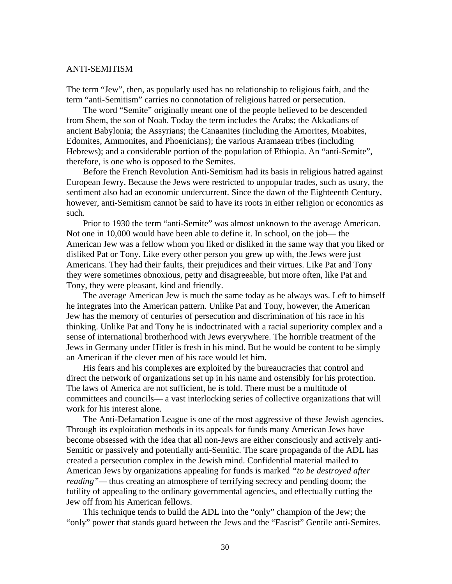## ANTI-SEMITISM

The term "Jew", then, as popularly used has no relationship to religious faith, and the term "anti-Semitism" carries no connotation of religious hatred or persecution.

The word "Semite" originally meant one of the people believed to be descended from Shem, the son of Noah. Today the term includes the Arabs; the Akkadians of ancient Babylonia; the Assyrians; the Canaanites (including the Amorites, Moabites, Edomites, Ammonites, and Phoenicians); the various Aramaean tribes (including Hebrews); and a considerable portion of the population of Ethiopia. An "anti-Semite", therefore, is one who is opposed to the Semites.

Before the French Revolution Anti-Semitism had its basis in religious hatred against European Jewry. Because the Jews were restricted to unpopular trades, such as usury, the sentiment also had an economic undercurrent. Since the dawn of the Eighteenth Century, however, anti-Semitism cannot be said to have its roots in either religion or economics as such.

Prior to 1930 the term "anti-Semite" was almost unknown to the average American. Not one in 10,000 would have been able to define it. In school, on the job— the American Jew was a fellow whom you liked or disliked in the same way that you liked or disliked Pat or Tony. Like every other person you grew up with, the Jews were just Americans. They had their faults, their prejudices and their virtues. Like Pat and Tony they were sometimes obnoxious, petty and disagreeable, but more often, like Pat and Tony, they were pleasant, kind and friendly.

The average American Jew is much the same today as he always was. Left to himself he integrates into the American pattern. Unlike Pat and Tony, however, the American Jew has the memory of centuries of persecution and discrimination of his race in his thinking. Unlike Pat and Tony he is indoctrinated with a racial superiority complex and a sense of international brotherhood with Jews everywhere. The horrible treatment of the Jews in Germany under Hitler is fresh in his mind. But he would be content to be simply an American if the clever men of his race would let him.

His fears and his complexes are exploited by the bureaucracies that control and direct the network of organizations set up in his name and ostensibly for his protection. The laws of America are not sufficient, he is told. There must be a multitude of committees and councils— a vast interlocking series of collective organizations that will work for his interest alone.

The Anti-Defamation League is one of the most aggressive of these Jewish agencies. Through its exploitation methods in its appeals for funds many American Jews have become obsessed with the idea that all non-Jews are either consciously and actively anti-Semitic or passively and potentially anti-Semitic. The scare propaganda of the ADL has created a persecution complex in the Jewish mind. Confidential material mailed to American Jews by organizations appealing for funds is marked *"to be destroyed after reading*"— thus creating an atmosphere of terrifying secrecy and pending doom; the futility of appealing to the ordinary governmental agencies, and effectually cutting the Jew off from his American fellows.

This technique tends to build the ADL into the "only" champion of the Jew; the "only" power that stands guard between the Jews and the "Fascist" Gentile anti-Semites.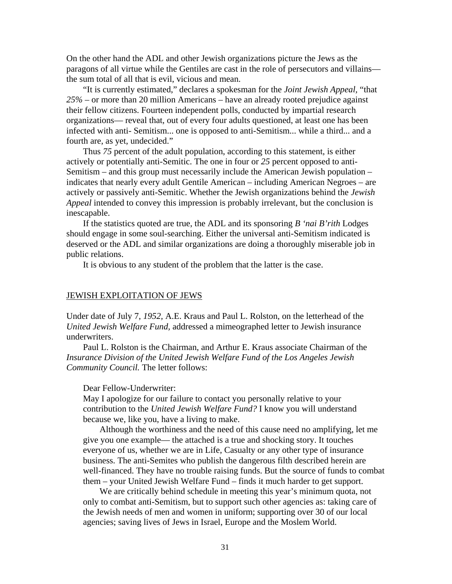On the other hand the ADL and other Jewish organizations picture the Jews as the paragons of all virtue while the Gentiles are cast in the role of persecutors and villains the sum total of all that is evil, vicious and mean.

"It is currently estimated," declares a spokesman for the *Joint Jewish Appeal,* "that *25% –* or more than 20 million Americans – have an already rooted prejudice against their fellow citizens. Fourteen independent polls, conducted by impartial research organizations— reveal that, out of every four adults questioned, at least one has been infected with anti- Semitism... one is opposed to anti-Semitism... while a third... and a fourth are, as yet, undecided."

Thus *75* percent of the adult population, according to this statement, is either actively or potentially anti-Semitic. The one in four or *25* percent opposed to anti-Semitism – and this group must necessarily include the American Jewish population – indicates that nearly every adult Gentile American – including American Negroes – are actively or passively anti-Semitic. Whether the Jewish organizations behind the *Jewish Appeal* intended to convey this impression is probably irrelevant, but the conclusion is inescapable.

If the statistics quoted are true, the ADL and its sponsoring *B 'nai B'rith* Lodges should engage in some soul-searching. Either the universal anti-Semitism indicated is deserved or the ADL and similar organizations are doing a thoroughly miserable job in public relations.

It is obvious to any student of the problem that the latter is the case.

## JEWISH EXPLOITATION OF JEWS

Under date of July 7, *1952,* A.E. Kraus and Paul L. Rolston, on the letterhead of the *United Jewish Welfare Fund,* addressed a mimeographed letter to Jewish insurance underwriters.

Paul L. Rolston is the Chairman, and Arthur E. Kraus associate Chairman of the *Insurance Division of the United Jewish Welfare Fund of the Los Angeles Jewish Community Council.* The letter follows:

#### Dear Fellow-Underwriter:

May I apologize for our failure to contact you personally relative to your contribution to the *United Jewish Welfare Fund?* I know you will understand because we, like you, have a living to make.

Although the worthiness and the need of this cause need no amplifying, let me give you one example— the attached is a true and shocking story. It touches everyone of us, whether we are in Life, Casualty or any other type of insurance business. The anti-Semites who publish the dangerous filth described herein are well-financed. They have no trouble raising funds. But the source of funds to combat them – your United Jewish Welfare Fund – finds it much harder to get support.

We are critically behind schedule in meeting this year's minimum quota, not only to combat anti-Semitism, but to support such other agencies as: taking care of the Jewish needs of men and women in uniform; supporting over 30 of our local agencies; saving lives of Jews in Israel, Europe and the Moslem World.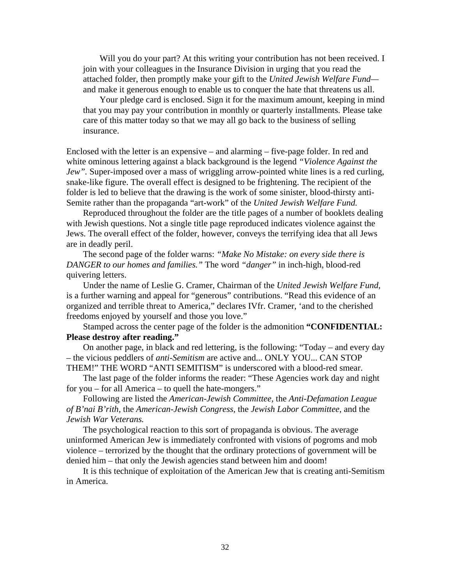Will you do your part? At this writing your contribution has not been received. I join with your colleagues in the Insurance Division in urging that you read the attached folder, then promptly make your gift to the *United Jewish Welfare Fund*  and make it generous enough to enable us to conquer the hate that threatens us all.

Your pledge card is enclosed. Sign it for the maximum amount, keeping in mind that you may pay your contribution in monthly or quarterly installments. Please take care of this matter today so that we may all go back to the business of selling insurance.

Enclosed with the letter is an expensive – and alarming – five-page folder. In red and white ominous lettering against a black background is the legend *"Violence Against the Jew"*. Super-imposed over a mass of wriggling arrow-pointed white lines is a red curling, snake-like figure. The overall effect is designed to be frightening. The recipient of the folder is led to believe that the drawing is the work of some sinister, blood-thirsty anti-Semite rather than the propaganda "art-work" of the *United Jewish Welfare Fund.* 

Reproduced throughout the folder are the title pages of a number of booklets dealing with Jewish questions. Not a single title page reproduced indicates violence against the Jews. The overall effect of the folder, however, conveys the terrifying idea that all Jews are in deadly peril.

The second page of the folder warns: *"Make No Mistake: on every side there is DANGER to our homes and families."* The word *"danger"* in inch-high, blood-red quivering letters.

Under the name of Leslie G. Cramer, Chairman of the *United Jewish Welfare Fund,*  is a further warning and appeal for "generous" contributions. "Read this evidence of an organized and terrible threat to America," declares IVfr. Cramer, 'and to the cherished freedoms enjoyed by yourself and those you love."

Stamped across the center page of the folder is the admonition **"CONFIDENTIAL: Please destroy after reading."** 

On another page, in black and red lettering, is the following: "Today – and every day – the vicious peddlers of *anti-Semitism* are active and... ONLY YOU... CAN STOP THEM!" THE WORD "ANTI SEMITISM" is underscored with a blood-red smear.

The last page of the folder informs the reader: "These Agencies work day and night for you – for all America – to quell the hate-mongers."

Following are listed the *American-Jewish Committee,* the *Anti-Defamation League of B'nai B'rith,* the *American-Jewish Congress,* the *Jewish Labor Committee,* and the *Jewish War Veterans.* 

The psychological reaction to this sort of propaganda is obvious. The average uninformed American Jew is immediately confronted with visions of pogroms and mob violence – terrorized by the thought that the ordinary protections of government will be denied him – that only the Jewish agencies stand between him and doom!

It is this technique of exploitation of the American Jew that is creating anti-Semitism in America.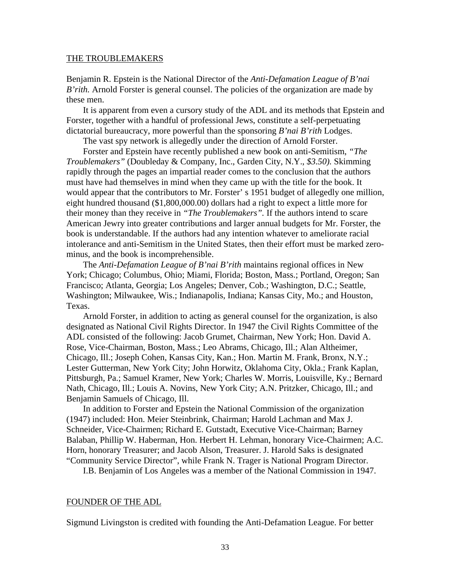#### THE TROUBLEMAKERS

Benjamin R. Epstein is the National Director of the *Anti-Defamation League of B'nai B'rith.* Arnold Forster is general counsel. The policies of the organization are made by these men.

It is apparent from even a cursory study of the ADL and its methods that Epstein and Forster, together with a handful of professional Jews, constitute a self-perpetuating dictatorial bureaucracy, more powerful than the sponsoring *B'nai B'rith* Lodges.

The vast spy network is allegedly under the direction of Arnold Forster.

Forster and Epstein have recently published a new book on anti-Semitism, *"The Troublemakers"* (Doubleday & Company, Inc., Garden City, N.Y., *\$3.50).* Skimming rapidly through the pages an impartial reader comes to the conclusion that the authors must have had themselves in mind when they came up with the title for the book. It would appear that the contributors to Mr. Forster' s 1951 budget of allegedly one million, eight hundred thousand (\$1,800,000.00) dollars had a right to expect a little more for their money than they receive in *"The Troublemakers".* If the authors intend to scare American Jewry into greater contributions and larger annual budgets for Mr. Forster, the book is understandable. If the authors had any intention whatever to ameliorate racial intolerance and anti-Semitism in the United States, then their effort must be marked zerominus, and the book is incomprehensible.

The *Anti-Defamation League of B'nai B'rith* maintains regional offices in New York; Chicago; Columbus, Ohio; Miami, Florida; Boston, Mass.; Portland, Oregon; San Francisco; Atlanta, Georgia; Los Angeles; Denver, Cob.; Washington, D.C.; Seattle, Washington; Milwaukee, Wis.; Indianapolis, Indiana; Kansas City, Mo.; and Houston, Texas.

Arnold Forster, in addition to acting as general counsel for the organization, is also designated as National Civil Rights Director. In 1947 the Civil Rights Committee of the ADL consisted of the following: Jacob Grumet, Chairman, New York; Hon. David A. Rose, Vice-Chairman, Boston, Mass.; Leo Abrams, Chicago, Ill.; Alan Altheimer, Chicago, Ill.; Joseph Cohen, Kansas City, Kan.; Hon. Martin M. Frank, Bronx, N.Y.; Lester Gutterman, New York City; John Horwitz, Oklahoma City, Okla.; Frank Kaplan, Pittsburgh, Pa.; Samuel Kramer, New York; Charles W. Morris, Louisville, Ky.; Bernard Nath, Chicago, Ill.; Louis A. Novins, New York City; A.N. Pritzker, Chicago, Ill.; and Benjamin Samuels of Chicago, Ill.

In addition to Forster and Epstein the National Commission of the organization (1947) included: Hon. Meier Steinbrink, Chairman; Harold Lachman and Max J. Schneider, Vice-Chairmen; Richard E. Gutstadt, Executive Vice-Chairman; Barney Balaban, Phillip W. Haberman, Hon. Herbert H. Lehman, honorary Vice-Chairmen; A.C. Horn, honorary Treasurer; and Jacob Alson, Treasurer. J. Harold Saks is designated "Community Service Director", while Frank N. Trager is National Program Director.

I.B. Benjamin of Los Angeles was a member of the National Commission in 1947.

#### FOUNDER OF THE ADL

Sigmund Livingston is credited with founding the Anti-Defamation League. For better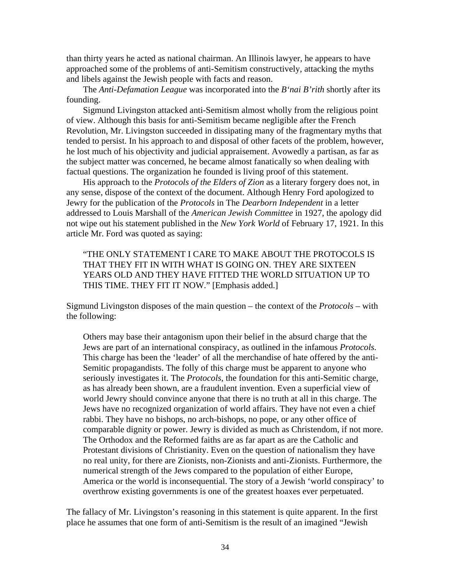than thirty years he acted as national chairman. An Illinois lawyer, he appears to have approached some of the problems of anti-Semitism constructively, attacking the myths and libels against the Jewish people with facts and reason.

The *Anti-Defamation League* was incorporated into the *B'nai B'rith* shortly after its founding.

Sigmund Livingston attacked anti-Semitism almost wholly from the religious point of view. Although this basis for anti-Semitism became negligible after the French Revolution, Mr. Livingston succeeded in dissipating many of the fragmentary myths that tended to persist. In his approach to and disposal of other facets of the problem, however, he lost much of his objectivity and judicial appraisement. Avowedly a partisan, as far as the subject matter was concerned, he became almost fanatically so when dealing with factual questions. The organization he founded is living proof of this statement.

His approach to the *Protocols of the Elders of Zion* as a literary forgery does not, in any sense, dispose of the context of the document. Although Henry Ford apologized to Jewry for the publication of the *Protocols* in The *Dearborn Independent* in a letter addressed to Louis Marshall of the *American Jewish Committee* in 1927, the apology did not wipe out his statement published in the *New York World* of February 17, 1921. In this article Mr. Ford was quoted as saying:

# "THE ONLY STATEMENT I CARE TO MAKE ABOUT THE PROTOCOLS IS THAT THEY FIT IN WITH WHAT IS GOING ON. THEY ARE SIXTEEN YEARS OLD AND THEY HAVE FITTED THE WORLD SITUATION UP TO THIS TIME. THEY FIT IT NOW." [Emphasis added.]

Sigmund Livingston disposes of the main question – the context of the *Protocols –* with the following:

Others may base their antagonism upon their belief in the absurd charge that the Jews are part of an international conspiracy, as outlined in the infamous *Protocols.*  This charge has been the 'leader' of all the merchandise of hate offered by the anti-Semitic propagandists. The folly of this charge must be apparent to anyone who seriously investigates it. The *Protocols,* the foundation for this anti-Semitic charge, as has already been shown, are a fraudulent invention. Even a superficial view of world Jewry should convince anyone that there is no truth at all in this charge. The Jews have no recognized organization of world affairs. They have not even a chief rabbi. They have no bishops, no arch-bishops, no pope, or any other office of comparable dignity or power. Jewry is divided as much as Christendom, if not more. The Orthodox and the Reformed faiths are as far apart as are the Catholic and Protestant divisions of Christianity. Even on the question of nationalism they have no real unity, for there are Zionists, non-Zionists and anti-Zionists. Furthermore, the numerical strength of the Jews compared to the population of either Europe, America or the world is inconsequential. The story of a Jewish 'world conspiracy' to overthrow existing governments is one of the greatest hoaxes ever perpetuated.

The fallacy of Mr. Livingston's reasoning in this statement is quite apparent. In the first place he assumes that one form of anti-Semitism is the result of an imagined "Jewish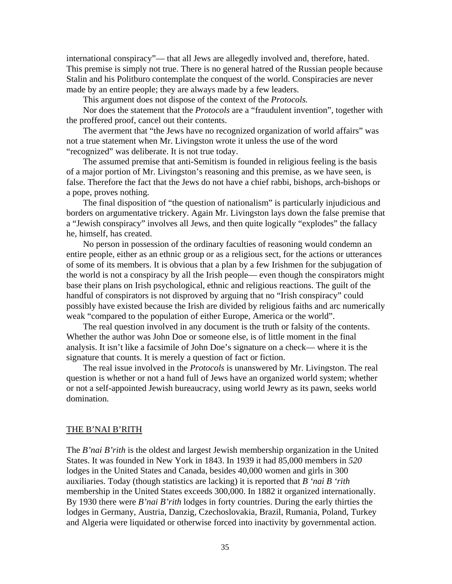international conspiracy"— that all Jews are allegedly involved and, therefore, hated. This premise is simply not true. There is no general hatred of the Russian people because Stalin and his Politburo contemplate the conquest of the world. Conspiracies are never made by an entire people; they are always made by a few leaders.

This argument does not dispose of the context of the *Protocols.* 

Nor does the statement that the *Protocols* are a "fraudulent invention", together with the proffered proof, cancel out their contents.

The averment that "the Jews have no recognized organization of world affairs" was not a true statement when Mr. Livingston wrote it unless the use of the word "recognized" was deliberate. It is not true today.

The assumed premise that anti-Semitism is founded in religious feeling is the basis of a major portion of Mr. Livingston's reasoning and this premise, as we have seen, is false. Therefore the fact that the Jews do not have a chief rabbi, bishops, arch-bishops or a pope, proves nothing.

The final disposition of "the question of nationalism" is particularly injudicious and borders on argumentative trickery. Again Mr. Livingston lays down the false premise that a "Jewish conspiracy" involves all Jews, and then quite logically "explodes" the fallacy he, himself, has created.

No person in possession of the ordinary faculties of reasoning would condemn an entire people, either as an ethnic group or as a religious sect, for the actions or utterances of some of its members. It is obvious that a plan by a few Irishmen for the subjugation of the world is not a conspiracy by all the Irish people— even though the conspirators might base their plans on Irish psychological, ethnic and religious reactions. The guilt of the handful of conspirators is not disproved by arguing that no "Irish conspiracy" could possibly have existed because the Irish are divided by religious faiths and arc numerically weak "compared to the population of either Europe, America or the world".

The real question involved in any document is the truth or falsity of the contents. Whether the author was John Doe or someone else, is of little moment in the final analysis. It isn't like a facsimile of John Doe's signature on a check— where it is the signature that counts. It is merely a question of fact or fiction.

The real issue involved in the *Protocols* is unanswered by Mr. Livingston. The real question is whether or not a hand full of Jews have an organized world system; whether or not a self-appointed Jewish bureaucracy, using world Jewry as its pawn, seeks world domination.

## THE B'NAI B'RITH

The *B'nai B'rith* is the oldest and largest Jewish membership organization in the United States. It was founded in New York in 1843. In 1939 it had 85,000 members in *520*  lodges in the United States and Canada, besides 40,000 women and girls in 300 auxiliaries. Today (though statistics are lacking) it is reported that *B 'nai B 'rith*  membership in the United States exceeds 300,000. In 1882 it organized internationally. By 1930 there were *B'nai B'rith* lodges in forty countries. During the early thirties the lodges in Germany, Austria, Danzig, Czechoslovakia, Brazil, Rumania, Poland, Turkey and Algeria were liquidated or otherwise forced into inactivity by governmental action.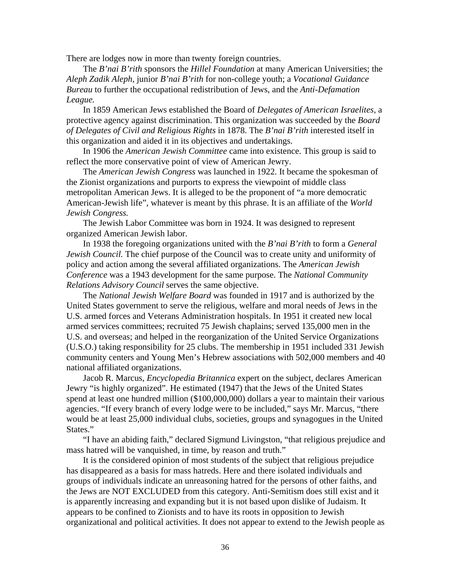There are lodges now in more than twenty foreign countries.

The *B'nai B'rith* sponsors the *Hillel Foundation* at many American Universities; the *Aleph Zadik Aleph,* junior *B'nai B'rith* for non-college youth; a *Vocational Guidance Bureau* to further the occupational redistribution of Jews, and the *Anti-Defamation League.* 

In 1859 American Jews established the Board of *Delegates of American Israelites,* a protective agency against discrimination. This organization was succeeded by the *Board of Delegates of Civil and Religious Rights* in 1878. The *B'nai B'rith* interested itself in this organization and aided it in its objectives and undertakings.

In 1906 the *American Jewish Committee* came into existence. This group is said to reflect the more conservative point of view of American Jewry.

The *American Jewish Congress* was launched in 1922. It became the spokesman of the Zionist organizations and purports to express the viewpoint of middle class metropolitan American Jews. It is alleged to be the proponent of "a more democratic American-Jewish life", whatever is meant by this phrase. It is an affiliate of the *World Jewish Congress.* 

The Jewish Labor Committee was born in 1924. It was designed to represent organized American Jewish labor.

In 1938 the foregoing organizations united with the *B'nai B'rith* to form a *General Jewish Council.* The chief purpose of the Council was to create unity and uniformity of policy and action among the several affiliated organizations. The *American Jewish Conference* was a 1943 development for the same purpose. The *National Community Relations Advisory Council* serves the same objective.

The *National Jewish Welfare Board* was founded in 1917 and is authorized by the United States government to serve the religious, welfare and moral needs of Jews in the U.S. armed forces and Veterans Administration hospitals. In 1951 it created new local armed services committees; recruited 75 Jewish chaplains; served 135,000 men in the U.S. and overseas; and helped in the reorganization of the United Service Organizations (U.S.O.) taking responsibility for 25 clubs. The membership in 1951 included 331 Jewish community centers and Young Men's Hebrew associations with 502,000 members and 40 national affiliated organizations.

Jacob R. Marcus, *Encyclopedia Britannica* expert on the subject, declares American Jewry "is highly organized". He estimated (1947) that the Jews of the United States spend at least one hundred million (\$100,000,000) dollars a year to maintain their various agencies. "If every branch of every lodge were to be included," says Mr. Marcus, "there would be at least 25,000 individual clubs, societies, groups and synagogues in the United States."

"I have an abiding faith," declared Sigmund Livingston, "that religious prejudice and mass hatred will be vanquished, in time, by reason and truth."

It is the considered opinion of most students of the subject that religious prejudice has disappeared as a basis for mass hatreds. Here and there isolated individuals and groups of individuals indicate an unreasoning hatred for the persons of other faiths, and the Jews are NOT EXCLUDED from this category. Anti-Semitism does still exist and it is apparently increasing and expanding but it is not based upon dislike of Judaism. It appears to be confined to Zionists and to have its roots in opposition to Jewish organizational and political activities. It does not appear to extend to the Jewish people as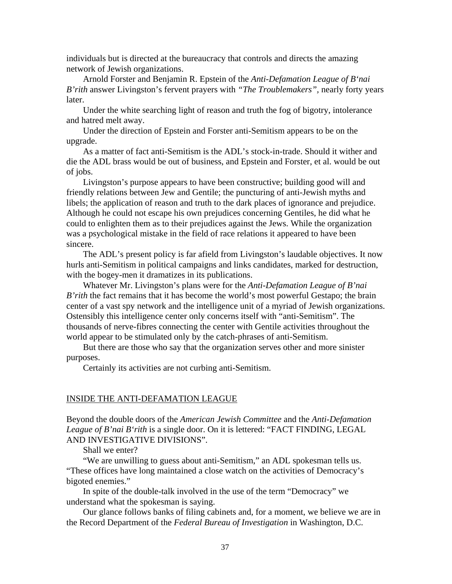individuals but is directed at the bureaucracy that controls and directs the amazing network of Jewish organizations.

Arnold Forster and Benjamin R. Epstein of the *Anti-Defamation League of B'nai B'rith* answer Livingston's fervent prayers with *"The Troublemakers",* nearly forty years later.

Under the white searching light of reason and truth the fog of bigotry, intolerance and hatred melt away.

Under the direction of Epstein and Forster anti-Semitism appears to be on the upgrade.

As a matter of fact anti-Semitism is the ADL's stock-in-trade. Should it wither and die the ADL brass would be out of business, and Epstein and Forster, et al. would be out of jobs.

Livingston's purpose appears to have been constructive; building good will and friendly relations between Jew and Gentile; the puncturing of anti-Jewish myths and libels; the application of reason and truth to the dark places of ignorance and prejudice. Although he could not escape his own prejudices concerning Gentiles, he did what he could to enlighten them as to their prejudices against the Jews. While the organization was a psychological mistake in the field of race relations it appeared to have been sincere.

The ADL's present policy is far afield from Livingston's laudable objectives. It now hurls anti-Semitism in political campaigns and links candidates, marked for destruction, with the bogey-men it dramatizes in its publications.

Whatever Mr. Livingston's plans were for the *Anti-Defamation League of B'nai B'rith* the fact remains that it has become the world's most powerful Gestapo; the brain center of a vast spy network and the intelligence unit of a myriad of Jewish organizations. Ostensibly this intelligence center only concerns itself with "anti-Semitism". The thousands of nerve-fibres connecting the center with Gentile activities throughout the world appear to be stimulated only by the catch-phrases of anti-Semitism.

But there are those who say that the organization serves other and more sinister purposes.

Certainly its activities are not curbing anti-Semitism.

#### INSIDE THE ANTI-DEFAMATION LEAGUE

Beyond the double doors of the *American Jewish Committee* and the *Anti-Defamation League of B'nai B'rith* is a single door. On it is lettered: "FACT FINDING, LEGAL AND INVESTIGATIVE DIVISIONS".

Shall we enter?

"We are unwilling to guess about anti-Semitism," an ADL spokesman tells us. "These offices have long maintained a close watch on the activities of Democracy's bigoted enemies."

In spite of the double-talk involved in the use of the term "Democracy" we understand what the spokesman is saying.

Our glance follows banks of filing cabinets and, for a moment, we believe we are in the Record Department of the *Federal Bureau of Investigation* in Washington, D.C.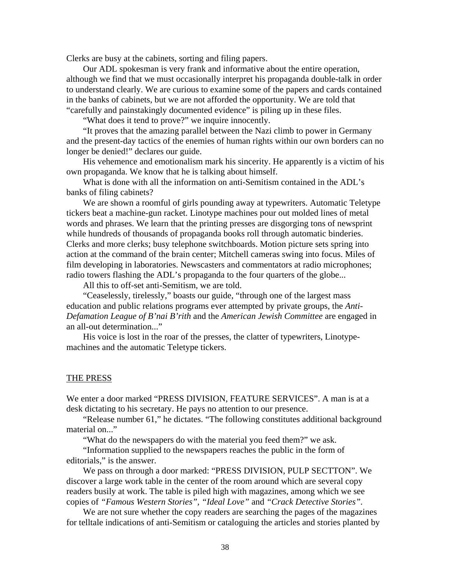Clerks are busy at the cabinets, sorting and filing papers.

Our ADL spokesman is very frank and informative about the entire operation, although we find that we must occasionally interpret his propaganda double-talk in order to understand clearly. We are curious to examine some of the papers and cards contained in the banks of cabinets, but we are not afforded the opportunity. We are told that "carefully and painstakingly documented evidence" is piling up in these files.

"What does it tend to prove?" we inquire innocently.

"It proves that the amazing parallel between the Nazi climb to power in Germany and the present-day tactics of the enemies of human rights within our own borders can no longer be denied!" declares our guide.

His vehemence and emotionalism mark his sincerity. He apparently is a victim of his own propaganda. We know that he is talking about himself.

What is done with all the information on anti-Semitism contained in the ADL's banks of filing cabinets?

We are shown a roomful of girls pounding away at typewriters. Automatic Teletype tickers beat a machine-gun racket. Linotype machines pour out molded lines of metal words and phrases. We learn that the printing presses are disgorging tons of newsprint while hundreds of thousands of propaganda books roll through automatic binderies. Clerks and more clerks; busy telephone switchboards. Motion picture sets spring into action at the command of the brain center; Mitchell cameras swing into focus. Miles of film developing in laboratories. Newscasters and commentators at radio microphones; radio towers flashing the ADL's propaganda to the four quarters of the globe...

All this to off-set anti-Semitism, we are told.

"Ceaselessly, tirelessly," boasts our guide, "through one of the largest mass education and public relations programs ever attempted by private groups, the *Anti-Defamation League of B'nai B'rith* and the *American Jewish Committee* are engaged in an all-out determination..."

His voice is lost in the roar of the presses, the clatter of typewriters, Linotypemachines and the automatic Teletype tickers.

## THE PRESS

We enter a door marked "PRESS DIVISION, FEATURE SERVICES". A man is at a desk dictating to his secretary. He pays no attention to our presence.

"Release number 61," he dictates. "The following constitutes additional background material on..."

"What do the newspapers do with the material you feed them?" we ask.

"Information supplied to the newspapers reaches the public in the form of editorials," is the answer.

We pass on through a door marked: "PRESS DIVISION, PULP SECTTON". We discover a large work table in the center of the room around which are several copy readers busily at work. The table is piled high with magazines, among which we see copies of *"Famous Western Stories", "Ideal Love"* and *"Crack Detective Stories".* 

We are not sure whether the copy readers are searching the pages of the magazines for telltale indications of anti-Semitism or cataloguing the articles and stories planted by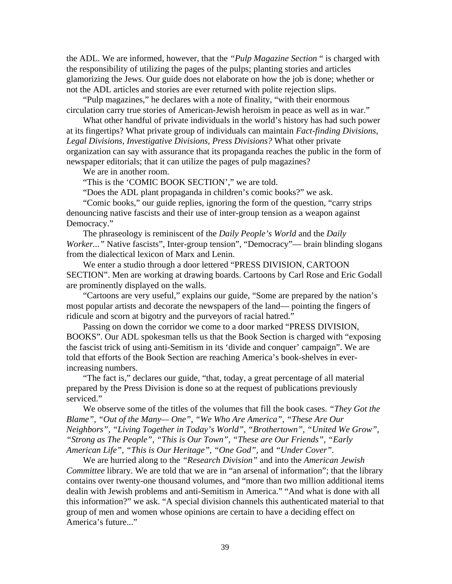the ADL. We are informed, however, that the *"Pulp Magazine Section* " is charged with the responsibility of utilizing the pages of the pulps; planting stories and articles glamorizing the Jews. Our guide does not elaborate on how the job is done; whether or not the ADL articles and stories are ever returned with polite rejection slips.

"Pulp magazines," he declares with a note of finality, "with their enormous circulation carry true stories of American-Jewish heroism in peace as well as in war."

What other handful of private individuals in the world's history has had such power at its fingertips? What private group of individuals can maintain *Fact-finding Divisions, Legal Divisions, Investigative Divisions, Press Divisions?* What other private organization can say with assurance that its propaganda reaches the public in the form of newspaper editorials; that it can utilize the pages of pulp magazines?

We are in another room.

"This is the 'COMIC BOOK SECTION'," we are told.

"Does the ADL plant propaganda in children's comic books?" we ask.

"Comic books," our guide replies, ignoring the form of the question, "carry strips denouncing native fascists and their use of inter-group tension as a weapon against Democracy."

The phraseology is reminiscent of the *Daily People's World* and the *Daily Worker..."* Native fascists", Inter-group tension", "Democracy"— brain blinding slogans from the dialectical lexicon of Marx and Lenin.

We enter a studio through a door lettered "PRESS DIVISION, CARTOON SECTION". Men are working at drawing boards. Cartoons by Carl Rose and Eric Godall are prominently displayed on the walls.

"Cartoons are very useful," explains our guide, "Some are prepared by the nation's most popular artists and decorate the newspapers of the land— pointing the fingers of ridicule and scorn at bigotry and the purveyors of racial hatred."

Passing on down the corridor we come to a door marked "PRESS DIVISION, BOOKS". Our ADL spokesman tells us that the Book Section is charged with "exposing the fascist trick of using anti-Semitism in its 'divide and conquer' campaign". We are told that efforts of the Book Section are reaching America's book-shelves in everincreasing numbers.

"The fact is," declares our guide, "that, today, a great percentage of all material prepared by the Press Division is done so at the request of publications previously serviced."

We observe some of the titles of the volumes that fill the book cases. *"They Got the Blame", "Out of the Many— One", "We Who Are America", "These Are Our Neighbors", "Living Together in Today's World", "Brothertown", "United We Grow", "Strong as The People", "This is Our Town", "These are Our Friends", "Early American Life", "This is Our Heritage", "One God",* and *"Under Cover".* 

We are hurried along to the *"Research Division"* and into the *American Jewish Committee* library. We are told that we are in "an arsenal of information"; that the library contains over twenty-one thousand volumes, and "more than two million additional items dealin with Jewish problems and anti-Semitism in America." "And what is done with all this information?" we ask. "A special division channels this authenticated material to that group of men and women whose opinions are certain to have a deciding effect on America's future..."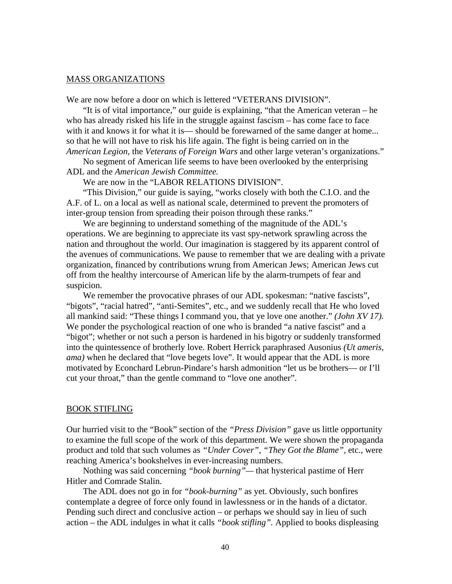## MASS ORGANIZATIONS

We are now before a door on which is lettered "VETERANS DIVISION".

"It is of vital importance," our guide is explaining, "that the American veteran – he who has already risked his life in the struggle against fascism – has come face to face with it and knows it for what it is— should be forewarned of the same danger at home... so that he will not have to risk his life again. The fight is being carried on in the *American Legion,* the *Veterans of Foreign Wars* and other large veteran's organizations."

No segment of American life seems to have been overlooked by the enterprising ADL and the *American Jewish Committee.* 

We are now in the "LABOR RELATIONS DIVISION".

"This Division," our guide is saying, "works closely with both the C.I.O. and the A.F. of L. on a local as well as national scale, determined to prevent the promoters of inter-group tension from spreading their poison through these ranks."

We are beginning to understand something of the magnitude of the ADL's operations. We are beginning to appreciate its vast spy-network sprawling across the nation and throughout the world. Our imagination is staggered by its apparent control of the avenues of communications. We pause to remember that we are dealing with a private organization, financed by contributions wrung from American Jews; American Jews cut off from the healthy intercourse of American life by the alarm-trumpets of fear and suspicion.

We remember the provocative phrases of our ADL spokesman: "native fascists", "bigots", "racial hatred", "anti-Semites", etc., and we suddenly recall that He who loved all mankind said: "These things I command you, that ye love one another." *(John XV 17).*  We ponder the psychological reaction of one who is branded "a native fascist" and a "bigot"; whether or not such a person is hardened in his bigotry or suddenly transformed into the quintessence of brotherly love. Robert Herrick paraphrased Ausonius *(Ut ameris, ama*) when he declared that "love begets love". It would appear that the ADL is more motivated by Econchard Lebrun-Pindare's harsh admonition "let us be brothers— or I'll cut your throat," than the gentle command to "love one another".

#### BOOK STIFLING

Our hurried visit to the "Book" section of the *"Press Division"* gave us little opportunity to examine the full scope of the work of this department. We were shown the propaganda product and told that such volumes as *"Under Cover", "They Got the Blame",* etc., were reaching America's bookshelves in ever-increasing numbers.

Nothing was said concerning *"book burning"—* that hysterical pastime of Herr Hitler and Comrade Stalin.

The ADL does not go in for *"book-burning"* as yet. Obviously, such bonfires contemplate a degree of force only found in lawlessness or in the hands of a dictator. Pending such direct and conclusive action – or perhaps we should say in lieu of such action – the ADL indulges in what it calls *"book stifling".* Applied to books displeasing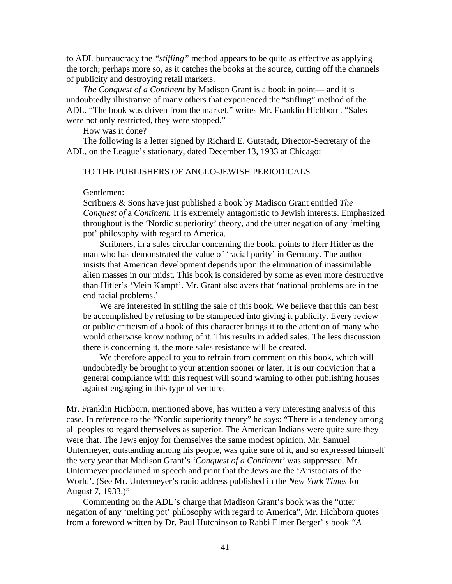to ADL bureaucracy the *"stifling"* method appears to be quite as effective as applying the torch; perhaps more so, as it catches the books at the source, cutting off the channels of publicity and destroying retail markets.

*The Conquest of a Continent* by Madison Grant is a book in point— and it is undoubtedly illustrative of many others that experienced the "stifling" method of the ADL. "The book was driven from the market," writes Mr. Franklin Hichborn. "Sales were not only restricted, they were stopped."

How was it done?

The following is a letter signed by Richard E. Gutstadt, Director-Secretary of the ADL, on the League's stationary, dated December 13, 1933 at Chicago:

## TO THE PUBLISHERS OF ANGLO-JEWISH PERIODICALS

Gentlemen:

Scribners & Sons have just published a book by Madison Grant entitled *The Conquest of* a *Continent.* It is extremely antagonistic to Jewish interests. Emphasized throughout is the 'Nordic superiority' theory, and the utter negation of any 'melting pot' philosophy with regard to America.

Scribners, in a sales circular concerning the book, points to Herr Hitler as the man who has demonstrated the value of 'racial purity' in Germany. The author insists that American development depends upon the elimination of inassimilable alien masses in our midst. This book is considered by some as even more destructive than Hitler's 'Mein Kampf'. Mr. Grant also avers that 'national problems are in the end racial problems.'

We are interested in stifling the sale of this book. We believe that this can best be accomplished by refusing to be stampeded into giving it publicity. Every review or public criticism of a book of this character brings it to the attention of many who would otherwise know nothing of it. This results in added sales. The less discussion there is concerning it, the more sales resistance will be created.

We therefore appeal to you to refrain from comment on this book, which will undoubtedly be brought to your attention sooner or later. It is our conviction that a general compliance with this request will sound warning to other publishing houses against engaging in this type of venture.

Mr. Franklin Hichborn, mentioned above, has written a very interesting analysis of this case. In reference to the "Nordic superiority theory" he says: "There is a tendency among all peoples to regard themselves as superior. The American Indians were quite sure they were that. The Jews enjoy for themselves the same modest opinion. Mr. Samuel Untermeyer, outstanding among his people, was quite sure of it, and so expressed himself the very year that Madison Grant's *'Conquest of a Continent'* was suppressed. Mr. Untermeyer proclaimed in speech and print that the Jews are the 'Aristocrats of the World'. (See Mr. Untermeyer's radio address published in the *New York Times* for August 7, 1933.)"

Commenting on the ADL's charge that Madison Grant's book was the "utter negation of any 'melting pot' philosophy with regard to America", Mr. Hichborn quotes from a foreword written by Dr. Paul Hutchinson to Rabbi Elmer Berger' s book *"A*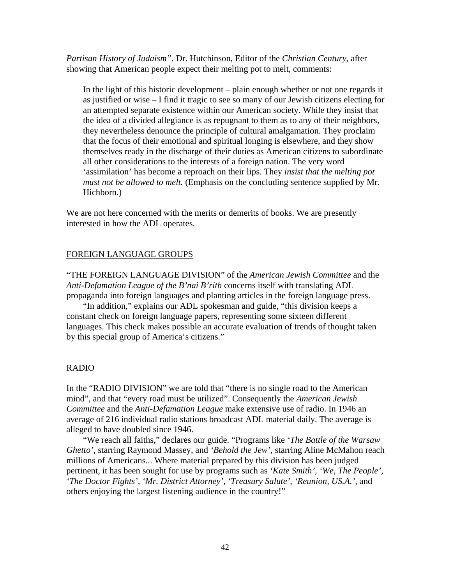*Partisan History of Judaism".* Dr. Hutchinson, Editor of the *Christian Century,* after showing that American people expect their melting pot to melt, comments:

In the light of this historic development – plain enough whether or not one regards it as justified or wise – I find it tragic to see so many of our Jewish citizens electing for an attempted separate existence within our American society. While they insist that the idea of a divided allegiance is as repugnant to them as to any of their neighbors, they nevertheless denounce the principle of cultural amalgamation. They proclaim that the focus of their emotional and spiritual longing is elsewhere, and they show themselves ready in the discharge of their duties as American citizens to subordinate all other considerations to the interests of a foreign nation. The very word 'assimilation' has become a reproach on their lips. They *insist that the melting pot must not be allowed to melt.* (Emphasis on the concluding sentence supplied by Mr. Hichborn.)

We are not here concerned with the merits or demerits of books. We are presently interested in how the ADL operates.

# FOREIGN LANGUAGE GROUPS

"THE FOREIGN LANGUAGE DIVISION" of the *American Jewish Committee* and the *Anti-Defamation League of the B'nai B'rith* concerns itself with translating ADL propaganda into foreign languages and planting articles in the foreign language press.

"In addition," explains our ADL spokesman and guide, "this division keeps a constant check on foreign language papers, representing some sixteen different languages. This check makes possible an accurate evaluation of trends of thought taken by this special group of America's citizens."

# RADIO

In the "RADIO DIVISION" we are told that "there is no single road to the American mind", and that "every road must be utilized". Consequently the *American Jewish Committee* and the *Anti-Defamation League* make extensive use of radio. In 1946 an average of 216 individual radio stations broadcast ADL material daily. The average is alleged to have doubled since 1946.

"We reach all faiths," declares our guide. "Programs like *'The Battle of the Warsaw Ghetto',* starring Raymond Massey, and *'Behold the Jew',* starring Aline McMahon reach millions of Americans... Where material prepared by this division has been judged pertinent, it has been sought for use by programs such as *'Kate Smith', 'We, The People', 'The Doctor Fights', 'Mr. District Attorney', 'Treasury Salute', 'Reunion, US.A.',* and others enjoying the largest listening audience in the country!"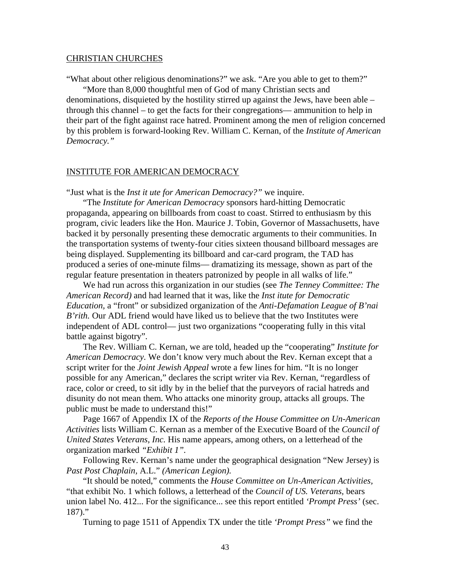#### CHRISTIAN CHURCHES

"What about other religious denominations?" we ask. "Are you able to get to them?"

"More than 8,000 thoughtful men of God of many Christian sects and denominations, disquieted by the hostility stirred up against the Jews, have been able – through this channel – to get the facts for their congregations— ammunition to help in their part of the fight against race hatred. Prominent among the men of religion concerned by this problem is forward-looking Rev. William C. Kernan, of the *Institute of American Democracy."* 

## INSTITUTE FOR AMERICAN DEMOCRACY

"Just what is the *Inst it ute for American Democracy?"* we inquire.

"The *Institute for American Democracy* sponsors hard-hitting Democratic propaganda, appearing on billboards from coast to coast. Stirred to enthusiasm by this program, civic leaders like the Hon. Maurice J. Tobin, Governor of Massachusetts, have backed it by personally presenting these democratic arguments to their communities. In the transportation systems of twenty-four cities sixteen thousand billboard messages are being displayed. Supplementing its billboard and car-card program, the TAD has produced a series of one-minute films— dramatizing its message, shown as part of the regular feature presentation in theaters patronized by people in all walks of life."

We had run across this organization in our studies (see *The Tenney Committee: The American Record)* and had learned that it was, like the *Inst itute for Democratic Education,* a "front" or subsidized organization of the *Anti-Defamation League of B'nai B'rith.* Our ADL friend would have liked us to believe that the two Institutes were independent of ADL control— just two organizations "cooperating fully in this vital battle against bigotry".

The Rev. William C. Kernan, we are told, headed up the "cooperating" *Institute for American Democracy.* We don't know very much about the Rev. Kernan except that a script writer for the *Joint Jewish Appeal* wrote a few lines for him. "It is no longer possible for any American," declares the script writer via Rev. Kernan, "regardless of race, color or creed, to sit idly by in the belief that the purveyors of racial hatreds and disunity do not mean them. Who attacks one minority group, attacks all groups. The public must be made to understand this!"

Page 1667 of Appendix IX of the *Reports of the House Committee on Un-American Activities* lists William C. Kernan as a member of the Executive Board of the *Council of United States Veterans, Inc.* His name appears, among others, on a letterhead of the organization marked *"Exhibit 1".* 

Following Rev. Kernan's name under the geographical designation "New Jersey) is *Past Post Chaplain,* A.L." *(American Legion).* 

"It should be noted," comments the *House Committee on Un-American Activities,*  "that exhibit No. 1 which follows, a letterhead of the *Council of US. Veterans,* bears union label No. 412... For the significance... see this report entitled *'Prompt Press'* (sec. 187)."

Turning to page 1511 of Appendix TX under the title *'Prompt Press"* we find the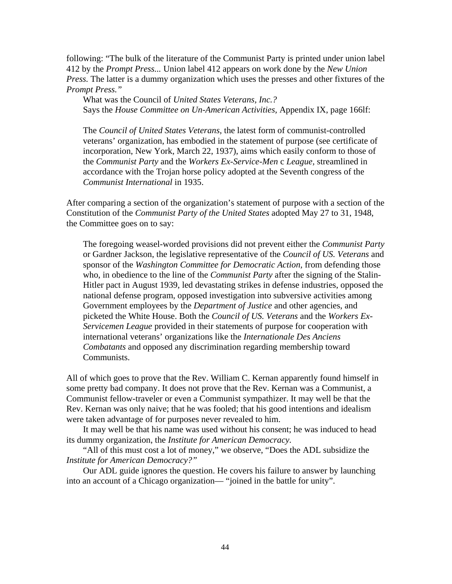following: "The bulk of the literature of the Communist Party is printed under union label 412 by the *Prompt Press...* Union label 412 appears on work done by the *New Union Press.* The latter is a dummy organization which uses the presses and other fixtures of the *Prompt Press."* 

What was the Council of *United States Veterans, Inc.?*  Says the *House Committee on Un-American Activities,* Appendix IX, page 166lf:

The *Council of United States Veterans,* the latest form of communist-controlled veterans' organization, has embodied in the statement of purpose (see certificate of incorporation, New York, March 22, 1937), aims which easily conform to those of the *Communist Party* and the *Workers Ex-Service-Men* c *League,* streamlined in accordance with the Trojan horse policy adopted at the Seventh congress of the *Communist International* in 1935.

After comparing a section of the organization's statement of purpose with a section of the Constitution of the *Communist Party of the United States* adopted May 27 to 31, 1948, the Committee goes on to say:

The foregoing weasel-worded provisions did not prevent either the *Communist Party*  or Gardner Jackson, the legislative representative of the *Council of US. Veterans* and sponsor of the *Washington Committee for Democratic Action,* from defending those who, in obedience to the line of the *Communist Party* after the signing of the Stalin-Hitler pact in August 1939, led devastating strikes in defense industries, opposed the national defense program, opposed investigation into subversive activities among Government employees by the *Department of Justice* and other agencies, and picketed the White House. Both the *Council of US. Veterans* and the *Workers Ex-Servicemen League* provided in their statements of purpose for cooperation with international veterans' organizations like the *Internationale Des Anciens Combatants* and opposed any discrimination regarding membership toward Communists.

All of which goes to prove that the Rev. William C. Kernan apparently found himself in some pretty bad company. It does not prove that the Rev. Kernan was a Communist, a Communist fellow-traveler or even a Communist sympathizer. It may well be that the Rev. Kernan was only naive; that he was fooled; that his good intentions and idealism were taken advantage of for purposes never revealed to him.

It may well be that his name was used without his consent; he was induced to head its dummy organization, the *Institute for American Democracy.* 

"All of this must cost a lot of money," we observe, "Does the ADL subsidize the *Institute for American Democracy?"* 

Our ADL guide ignores the question. He covers his failure to answer by launching into an account of a Chicago organization— "joined in the battle for unity".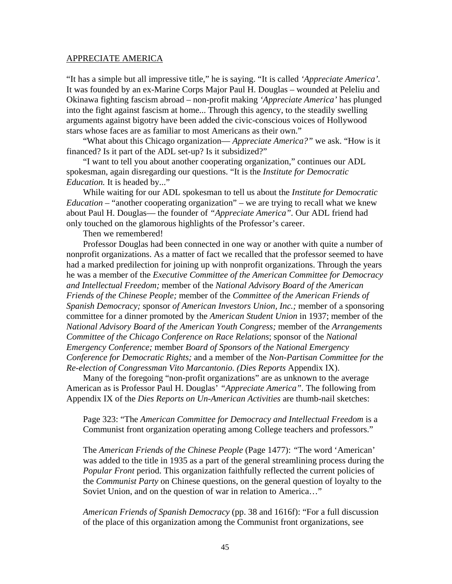#### APPRECIATE AMERICA

"It has a simple but all impressive title," he is saying. "It is called *'Appreciate America'.*  It was founded by an ex-Marine Corps Major Paul H. Douglas – wounded at Peleliu and Okinawa fighting fascism abroad – non-profit making *'Appreciate America'* has plunged into the fight against fascism at home... Through this agency, to the steadily swelling arguments against bigotry have been added the civic-conscious voices of Hollywood stars whose faces are as familiar to most Americans as their own."

"What about this Chicago organization— *Appreciate America?"* we ask. "How is it financed? Is it part of the ADL set-up? Is it subsidized?"

"I want to tell you about another cooperating organization," continues our ADL spokesman, again disregarding our questions. "It is the *Institute for Democratic Education.* It is headed by..."

While waiting for our ADL spokesman to tell us about the *Institute for Democratic Education* – "another cooperating organization" – we are trying to recall what we knew about Paul H. Douglas— the founder of *"Appreciate America".* Our ADL friend had only touched on the glamorous highlights of the Professor's career.

Then we remembered!

Professor Douglas had been connected in one way or another with quite a number of nonprofit organizations. As a matter of fact we recalled that the professor seemed to have had a marked predilection for joining up with nonprofit organizations. Through the years he was a member of the *Executive Committee of the American Committee for Democracy and Intellectual Freedom;* member of the *National Advisory Board of the American Friends of the Chinese People;* member of the *Committee of the American Friends of Spanish Democracy;* sponsor *of American Investors Union, Inc.;* member of a sponsoring committee for a dinner promoted by the *American Student Union* in 1937; member of the *National Advisory Board of the American Youth Congress;* member of the *Arrangements Committee of the Chicago Conference on Race Relations*; sponsor of the *National Emergency Conference;* member *Board of Sponsors of the National Emergency Conference for Democratic Rights;* and a member of the *Non-Partisan Committee for the Re-election of Congressman Vito Marcantonio. (Dies Reports* Appendix IX).

Many of the foregoing "non-profit organizations" are as unknown to the average American as is Professor Paul H. Douglas' *"Appreciate America".* The following from Appendix IX of the *Dies Reports on Un-American Activities* are thumb-nail sketches:

Page 323: "The *American Committee for Democracy and Intellectual Freedom* is a Communist front organization operating among College teachers and professors."

The *American Friends of the Chinese People* (Page 1477): *"*The word 'American' was added to the title in 1935 as a part of the general streamlining process during the *Popular Front* period. This organization faithfully reflected the current policies of the *Communist Party* on Chinese questions, on the general question of loyalty to the Soviet Union, and on the question of war in relation to America…"

*American Friends of Spanish Democracy* (pp. 38 and 1616f): "For a full discussion of the place of this organization among the Communist front organizations, see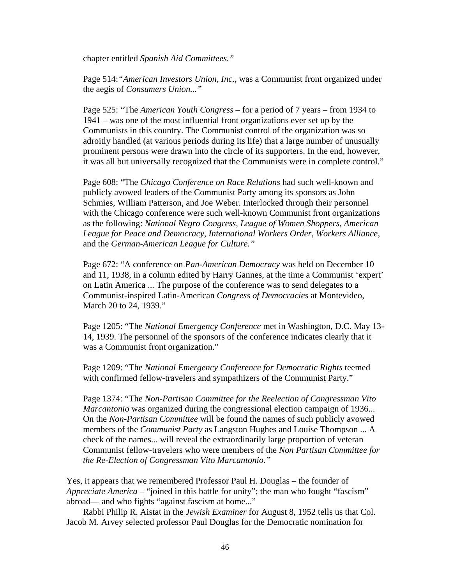chapter entitled *Spanish Aid Committees."* 

Page 514:*"American Investors Union, Inc.,* was a Communist front organized under the aegis of *Consumers Union..."*

Page 525: "The *American Youth Congress –* for a period of 7 years – from 1934 to 1941 – was one of the most influential front organizations ever set up by the Communists in this country. The Communist control of the organization was so adroitly handled (at various periods during its life) that a large number of unusually prominent persons were drawn into the circle of its supporters. In the end, however, it was all but universally recognized that the Communists were in complete control."

Page 608: "The *Chicago Conference on Race Relations* had such well-known and publicly avowed leaders of the Communist Party among its sponsors as John Schmies, William Patterson, and Joe Weber. Interlocked through their personnel with the Chicago conference were such well-known Communist front organizations as the following: *National Negro Congress, League of Women Shoppers, American League for Peace and Democracy, International Workers Order, Workers Alliance,*  and the *German-American League for Culture."* 

Page 672: "A conference on *Pan-American Democracy* was held on December 10 and 11, 1938, in a column edited by Harry Gannes, at the time a Communist 'expert' on Latin America ... The purpose of the conference was to send delegates to a Communist-inspired Latin-American *Congress of Democracies* at Montevideo, March 20 to 24, 1939."

Page 1205: "The *National Emergency Conference* met in Washington, D.C. May 13- 14, 1939. The personnel of the sponsors of the conference indicates clearly that it was a Communist front organization."

Page 1209: "The *National Emergency Conference for Democratic Rights* teemed with confirmed fellow-travelers and sympathizers of the Communist Party."

Page 1374: "The *Non-Partisan Committee for the Reelection of Congressman Vito Marcantonio* was organized during the congressional election campaign of 1936... On the *Non-Partisan Committee* will be found the names of such publicly avowed members of the *Communist Party* as Langston Hughes and Louise Thompson ... A check of the names... will reveal the extraordinarily large proportion of veteran Communist fellow-travelers who were members of the *Non Partisan Committee for the Re-Election of Congressman Vito Marcantonio."* 

Yes, it appears that we remembered Professor Paul H. Douglas – the founder of *Appreciate America – "joined in this battle for unity"; the man who fought "fascism"* abroad— and who fights "against fascism at home..."

Rabbi Philip R. Aistat in the *Jewish Examiner* for August 8, 1952 tells us that Col. Jacob M. Arvey selected professor Paul Douglas for the Democratic nomination for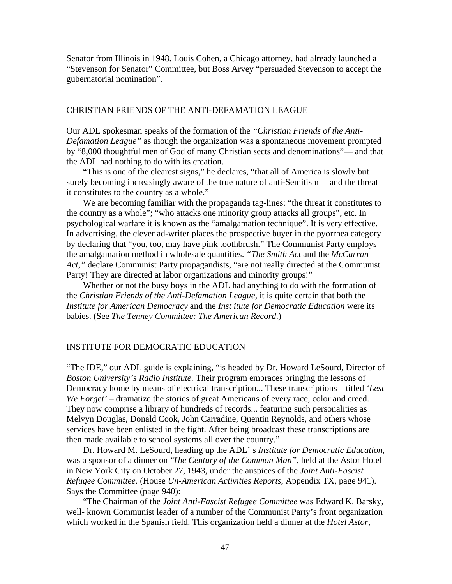Senator from Illinois in 1948. Louis Cohen, a Chicago attorney, had already launched a "Stevenson for Senator" Committee, but Boss Arvey "persuaded Stevenson to accept the gubernatorial nomination".

# CHRISTIAN FRIENDS OF THE ANTI-DEFAMATION LEAGUE

Our ADL spokesman speaks of the formation of the *"Christian Friends of the Anti-Defamation League"* as though the organization was a spontaneous movement prompted by "8,000 thoughtful men of God of many Christian sects and denominations"— and that the ADL had nothing to do with its creation.

"This is one of the clearest signs," he declares, "that all of America is slowly but surely becoming increasingly aware of the true nature of anti-Semitism— and the threat it constitutes to the country as a whole."

We are becoming familiar with the propaganda tag-lines: "the threat it constitutes to the country as a whole"; "who attacks one minority group attacks all groups", etc. In psychological warfare it is known as the "amalgamation technique". It is very effective. In advertising, the clever ad-writer places the prospective buyer in the pyorrhea category by declaring that "you, too, may have pink toothbrush." The Communist Party employs the amalgamation method in wholesale quantities. *"The Smith Act* and the *McCarran Act,"* declare Communist Party propagandists, "are not really directed at the Communist Party! They are directed at labor organizations and minority groups!"

Whether or not the busy boys in the ADL had anything to do with the formation of the *Christian Friends of the Anti-Defamation League,* it is quite certain that both the *Institute for American Democracy* and the *Inst itute for Democratic Education* were its babies. (See *The Tenney Committee: The American Record*.)

## INSTITUTE FOR DEMOCRATIC EDUCATION

"The IDE," our ADL guide is explaining, "is headed by Dr. Howard LeSourd, Director of *Boston University's Radio Institute.* Their program embraces bringing the lessons of Democracy home by means of electrical transcription... These transcriptions – titled *'Lest We Forget'* – dramatize the stories of great Americans of every race, color and creed. They now comprise a library of hundreds of records... featuring such personalities as Melvyn Douglas, Donald Cook, John Carradine, Quentin Reynolds, and others whose services have been enlisted in the fight. After being broadcast these transcriptions are then made available to school systems all over the country."

Dr. Howard M. LeSourd, heading up the ADL' s *Institute for Democratic Education,*  was a sponsor of a dinner on *'The Century of the Common Man",* held at the Astor Hotel in New York City on October 27, 1943, under the auspices of the *Joint Anti-Fascist Refugee Committee.* (House *Un-American Activities Reports,* Appendix TX, page 941). Says the Committee (page 940):

"The Chairman of the *Joint Anti-Fascist Refugee Committee* was Edward K. Barsky, well- known Communist leader of a number of the Communist Party's front organization which worked in the Spanish field. This organization held a dinner at the *Hotel Astor,*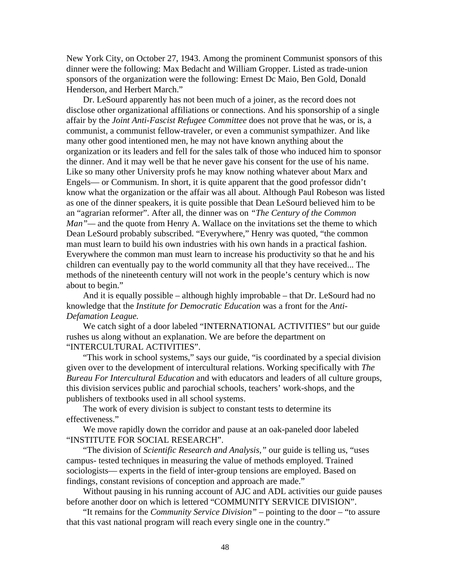New York City, on October 27, 1943. Among the prominent Communist sponsors of this dinner were the following: Max Bedacht and William Gropper. Listed as trade-union sponsors of the organization were the following: Ernest Dc Maio, Ben Gold, Donald Henderson, and Herbert March."

Dr. LeSourd apparently has not been much of a joiner, as the record does not disclose other organizational affiliations or connections. And his sponsorship of a single affair by the *Joint Anti-Fascist Refugee Committee* does not prove that he was, or is, a communist, a communist fellow-traveler, or even a communist sympathizer. And like many other good intentioned men, he may not have known anything about the organization or its leaders and fell for the sales talk of those who induced him to sponsor the dinner. And it may well be that he never gave his consent for the use of his name. Like so many other University profs he may know nothing whatever about Marx and Engels— or Communism. In short, it is quite apparent that the good professor didn't know what the organization or the affair was all about. Although Paul Robeson was listed as one of the dinner speakers, it is quite possible that Dean LeSourd believed him to be an "agrarian reformer". After all, the dinner was on *"The Century of the Common Man"—* and the quote from Henry A. Wallace on the invitations set the theme to which Dean LeSourd probably subscribed. "Everywhere," Henry was quoted, "the common man must learn to build his own industries with his own hands in a practical fashion. Everywhere the common man must learn to increase his productivity so that he and his children can eventually pay to the world community all that they have received... The methods of the nineteenth century will not work in the people's century which is now about to begin."

And it is equally possible – although highly improbable – that Dr. LeSourd had no knowledge that the *Institute for Democratic Education* was a front for the *Anti-Defamation League.* 

We catch sight of a door labeled "INTERNATIONAL ACTIVITIES" but our guide rushes us along without an explanation. We are before the department on "INTERCULTURAL ACTIVITIES".

"This work in school systems," says our guide, "is coordinated by a special division given over to the development of intercultural relations. Working specifically with *The Bureau For Intercultural Education* and with educators and leaders of all culture groups, this division services public and parochial schools, teachers' work-shops, and the publishers of textbooks used in all school systems.

The work of every division is subject to constant tests to determine its effectiveness."

We move rapidly down the corridor and pause at an oak-paneled door labeled "INSTITUTE FOR SOCIAL RESEARCH".

"The division of *Scientific Research and Analysis,"* our guide is telling us, "uses campus- tested techniques in measuring the value of methods employed. Trained sociologists— experts in the field of inter-group tensions are employed. Based on findings, constant revisions of conception and approach are made."

Without pausing in his running account of AJC and ADL activities our guide pauses before another door on which is lettered "COMMUNITY SERVICE DIVISION".

"It remains for the *Community Service Division" –* pointing to the door – "to assure that this vast national program will reach every single one in the country."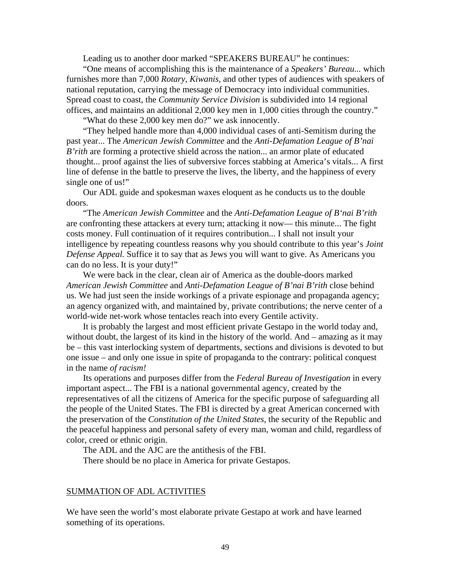Leading us to another door marked "SPEAKERS BUREAU" he continues:

"One means of accomplishing this is the maintenance of a *Speakers' Bureau...* which furnishes more than 7,000 *Rotary, Kiwanis,* and other types of audiences with speakers of national reputation, carrying the message of Democracy into individual communities. Spread coast to coast, the *Community Service Division* is subdivided into 14 regional offices, and maintains an additional 2,000 key men in 1,000 cities through the country."

"What do these 2,000 key men do?" we ask innocently.

"They helped handle more than 4,000 individual cases of anti-Semitism during the past year... The *American Jewish Committee* and the *Anti-Defamation League of B'nai B'rith* are forming a protective shield across the nation... an armor plate of educated thought... proof against the lies of subversive forces stabbing at America's vitals... A first line of defense in the battle to preserve the lives, the liberty, and the happiness of every single one of us!"

Our ADL guide and spokesman waxes eloquent as he conducts us to the double doors.

"The *American Jewish Committee* and the *Anti-Defamation League of B'nai B'rith*  are confronting these attackers at every turn; attacking it now— this minute... The fight costs money. Full continuation of it requires contribution... I shall not insult your intelligence by repeating countless reasons why you should contribute to this year's *Joint Defense Appeal.* Suffice it to say that as Jews you will want to give. As Americans you can do no less. It is your duty!"

We were back in the clear, clean air of America as the double-doors marked *American Jewish Committee* and *Anti-Defamation League of B'nai B'rith* close behind us. We had just seen the inside workings of a private espionage and propaganda agency; an agency organized with, and maintained by, private contributions; the nerve center of a world-wide net-work whose tentacles reach into every Gentile activity.

It is probably the largest and most efficient private Gestapo in the world today and, without doubt, the largest of its kind in the history of the world. And – amazing as it may be – this vast interlocking system of departments, sections and divisions is devoted to but one issue – and only one issue in spite of propaganda to the contrary: political conquest in the name *of racism!* 

Its operations and purposes differ from the *Federal Bureau of Investigation* in every important aspect... The FBI is a national governmental agency, created by the representatives of all the citizens of America for the specific purpose of safeguarding all the people of the United States. The FBI is directed by a great American concerned with the preservation of the *Constitution of the United States,* the security of the Republic and the peaceful happiness and personal safety of every man, woman and child, regardless of color, creed or ethnic origin.

The ADL and the AJC are the antithesis of the FBI.

There should be no place in America for private Gestapos.

## SUMMATION OF ADL ACTIVITIES

We have seen the world's most elaborate private Gestapo at work and have learned something of its operations.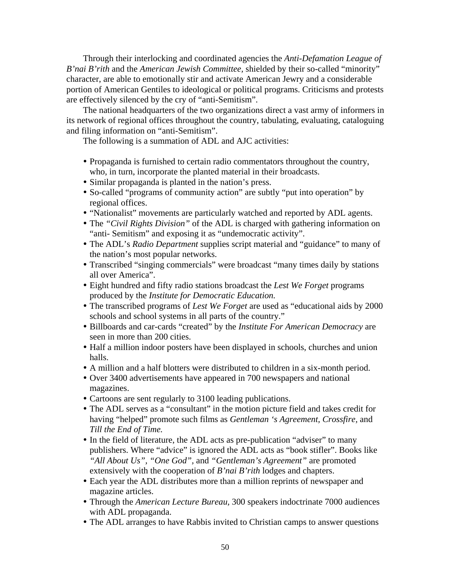Through their interlocking and coordinated agencies the *Anti-Defamation League of B'nai B'rith* and the *American Jewish Committee,* shielded by their so-called "minority" character, are able to emotionally stir and activate American Jewry and a considerable portion of American Gentiles to ideological or political programs. Criticisms and protests are effectively silenced by the cry of "anti-Semitism".

The national headquarters of the two organizations direct a vast army of informers in its network of regional offices throughout the country, tabulating, evaluating, cataloguing and filing information on "anti-Semitism".

The following is a summation of ADL and AJC activities:

- Propaganda is furnished to certain radio commentators throughout the country, who, in turn, incorporate the planted material in their broadcasts.
- Similar propaganda is planted in the nation's press.
- So-called "programs of community action" are subtly "put into operation" by regional offices.
- "Nationalist" movements are particularly watched and reported by ADL agents.
- The *"Civil Rights Division"* of the ADL is charged with gathering information on "anti- Semitism" and exposing it as "undemocratic activity".
- The ADL's *Radio Department* supplies script material and "guidance" to many of the nation's most popular networks.
- Transcribed "singing commercials" were broadcast "many times daily by stations all over America".
- y Eight hundred and fifty radio stations broadcast the *Lest We Forget* programs produced by the *Institute for Democratic Education.*
- The transcribed programs of *Lest We Forget* are used as "educational aids by 2000 schools and school systems in all parts of the country."
- y Billboards and car-cards "created" by the *Institute For American Democracy* are seen in more than 200 cities.
- Half a million indoor posters have been displayed in schools, churches and union halls.
- y A million and a half blotters were distributed to children in a six-month period.
- Over 3400 advertisements have appeared in 700 newspapers and national magazines.
- Cartoons are sent regularly to 3100 leading publications.
- The ADL serves as a "consultant" in the motion picture field and takes credit for having "helped" promote such films as *Gentleman 's Agreement, Crossfire,* and *Till the End of Time.*
- In the field of literature, the ADL acts as pre-publication "adviser" to many publishers. Where "advice" is ignored the ADL acts as "book stifler". Books like *"All About Us", "One God",* and *"Gentleman's Agreement"* are promoted extensively with the cooperation of *B'nai B'rith* lodges and chapters.
- Each year the ADL distributes more than a million reprints of newspaper and magazine articles.
- y Through the *American Lecture Bureau,* 300 speakers indoctrinate 7000 audiences with ADL propaganda.
- The ADL arranges to have Rabbis invited to Christian camps to answer questions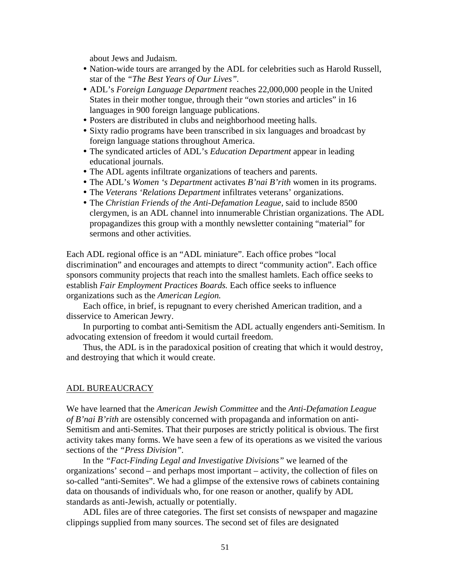about Jews and Judaism.

- Nation-wide tours are arranged by the ADL for celebrities such as Harold Russell, star of the *"The Best Years of Our Lives".*
- y ADL's *Foreign Language Department* reaches 22,000,000 people in the United States in their mother tongue, through their "own stories and articles" in 16 languages in 900 foreign language publications.
- Posters are distributed in clubs and neighborhood meeting halls.
- Sixty radio programs have been transcribed in six languages and broadcast by foreign language stations throughout America.
- The syndicated articles of ADL's *Education Department* appear in leading educational journals.
- The ADL agents infiltrate organizations of teachers and parents.
- The ADL's *Women 's Department* activates *B'nai B'rith* women in its programs.
- The *Veterans 'Relations Department* infiltrates veterans' organizations.
- The *Christian Friends of the Anti-Defamation League*, said to include 8500 clergymen, is an ADL channel into innumerable Christian organizations. The ADL propagandizes this group with a monthly newsletter containing "material" for sermons and other activities.

Each ADL regional office is an "ADL miniature". Each office probes "local discrimination" and encourages and attempts to direct "community action". Each office sponsors community projects that reach into the smallest hamlets. Each office seeks to establish *Fair Employment Practices Boards.* Each office seeks to influence organizations such as the *American Legion.* 

Each office, in brief, is repugnant to every cherished American tradition, and a disservice to American Jewry.

In purporting to combat anti-Semitism the ADL actually engenders anti-Semitism. In advocating extension of freedom it would curtail freedom.

Thus, the ADL is in the paradoxical position of creating that which it would destroy, and destroying that which it would create.

## ADL BUREAUCRACY

We have learned that the *American Jewish Committee* and the *Anti-Defamation League of B'nai B'rith* are ostensibly concerned with propaganda and information on anti-Semitism and anti-Semites. That their purposes are strictly political is obvious. The first activity takes many forms. We have seen a few of its operations as we visited the various sections of the *"Press Division".* 

In the *"Fact-Finding Legal and Investigative Divisions"* we learned of the organizations' second – and perhaps most important – activity, the collection of files on so-called "anti-Semites". We had a glimpse of the extensive rows of cabinets containing data on thousands of individuals who, for one reason or another, qualify by ADL standards as anti-Jewish, actually or potentially.

ADL files are of three categories. The first set consists of newspaper and magazine clippings supplied from many sources. The second set of files are designated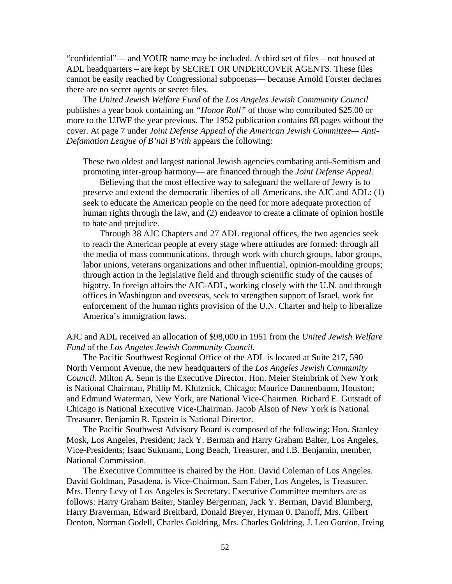"confidential"— and YOUR name may be included. A third set of files – not housed at ADL headquarters – are kept by SECRET OR UNDERCOVER AGENTS. These files cannot be easily reached by Congressional subpoenas— because Arnold Forster declares there are no secret agents or secret files.

The *United Jewish Welfare Fund* of the *Los Angeles Jewish Community Council*  publishes a year book containing an *"Honor Roll"* of those who contributed \$25.00 or more to the UJWF the year previous. The 1952 publication contains 88 pages without the cover. At page 7 under *Joint Defense Appeal of the American Jewish Committee— Anti-Defamation League of B'nai B'rith* appears the following:

These two oldest and largest national Jewish agencies combating anti-Semitism and promoting inter-group harmony— are financed through the *Joint Defense Appeal.* 

Believing that the most effective way to safeguard the welfare of Jewry is to preserve and extend the democratic liberties of all Americans, the AJC and ADL: (1) seek to educate the American people on the need for more adequate protection of human rights through the law, and (2) endeavor to create a climate of opinion hostile to hate and prejudice.

Through 38 AJC Chapters and 27 ADL regional offices, the two agencies seek to reach the American people at every stage where attitudes are formed: through all the media of mass communications, through work with church groups, labor groups, labor unions, veterans organizations and other influential, opinion-moulding groups; through action in the legislative field and through scientific study of the causes of bigotry. In foreign affairs the AJC-ADL, working closely with the U.N. and through offices in Washington and overseas, seek to strengthen support of Israel, work for enforcement of the human rights provision of the U.N. Charter and help to liberalize America's immigration laws.

AJC and ADL received an allocation of \$98,000 in 1951 from the *United Jewish Welfare Fund* of the *Los Angeles Jewish Community Council.* 

The Pacific Southwest Regional Office of the ADL is located at Suite 217, 590 North Vermont Avenue, the new headquarters of the *Los Angeles Jewish Community Council.* Milton A. Senn is the Executive Director. Hon. Meier Steinbrink of New York is National Chairman, Phillip M. Klutznick, Chicago; Maurice Dannenbaum, Houston; and Edmund Waterman, New York, are National Vice-Chairmen. Richard E. Gutstadt of Chicago is National Executive Vice-Chairman. Jacob Alson of New York is National Treasurer. Benjamin R. Epstein is National Director.

The Pacific Southwest Advisory Board is composed of the following: Hon. Stanley Mosk, Los Angeles, President; Jack Y. Berman and Harry Graham Balter, Los Angeles, Vice-Presidents; Isaac Sukmann, Long Beach, Treasurer, and I.B. Benjamin, member, National Commission.

The Executive Committee is chaired by the Hon. David Coleman of Los Angeles. David Goldman, Pasadena, is Vice-Chairman. Sam Faber, Los Angeles, is Treasurer. Mrs. Henry Levy of Los Angeles is Secretary. Executive Committee members are as follows: Harry Graham Baiter, Stanley Bergerman, Jack Y. Berman, David Blumberg, Harry Braverman, Edward Breitbard, Donald Breyer, Hyman 0. Danoff, Mrs. Gilbert Denton, Norman Godell, Charles Goldring, Mrs. Charles Goldring, J. Leo Gordon, Irving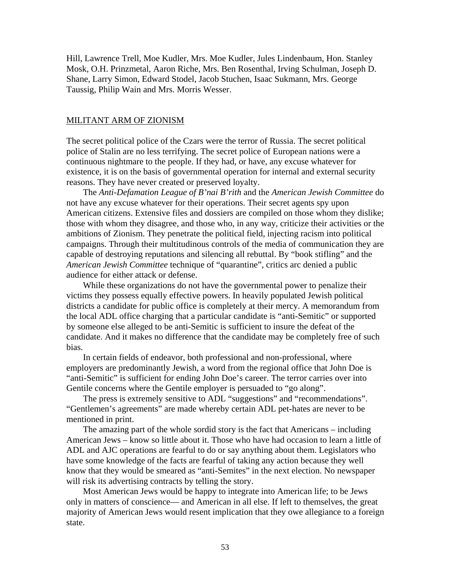Hill, Lawrence Trell, Moe Kudler, Mrs. Moe Kudler, Jules Lindenbaum, Hon. Stanley Mosk, O.H. Prinzmetal, Aaron Riche, Mrs. Ben Rosenthal, Irving Schulman, Joseph D. Shane, Larry Simon, Edward Stodel, Jacob Stuchen, Isaac Sukmann, Mrs. George Taussig, Philip Wain and Mrs. Morris Wesser.

#### MILITANT ARM OF ZIONISM

The secret political police of the Czars were the terror of Russia. The secret political police of Stalin are no less terrifying. The secret police of European nations were a continuous nightmare to the people. If they had, or have, any excuse whatever for existence, it is on the basis of governmental operation for internal and external security reasons. They have never created or preserved loyalty.

The *Anti-Defamation League of B'nai B'rith* and the *American Jewish Committee* do not have any excuse whatever for their operations. Their secret agents spy upon American citizens. Extensive files and dossiers are compiled on those whom they dislike; those with whom they disagree, and those who, in any way, criticize their activities or the ambitions of Zionism. They penetrate the political field, injecting racism into political campaigns. Through their multitudinous controls of the media of communication they are capable of destroying reputations and silencing all rebuttal. By "book stifling" and the *American Jewish Committee* technique of "quarantine", critics arc denied a public audience for either attack or defense.

While these organizations do not have the governmental power to penalize their victims they possess equally effective powers. In heavily populated Jewish political districts a candidate for public office is completely at their mercy. A memorandum from the local ADL office charging that a particular candidate is "anti-Semitic" or supported by someone else alleged to be anti-Semitic is sufficient to insure the defeat of the candidate. And it makes no difference that the candidate may be completely free of such bias.

In certain fields of endeavor, both professional and non-professional, where employers are predominantly Jewish, a word from the regional office that John Doe is "anti-Semitic" is sufficient for ending John Doe's career. The terror carries over into Gentile concerns where the Gentile employer is persuaded to "go along".

The press is extremely sensitive to ADL "suggestions" and "recommendations". "Gentlemen's agreements" are made whereby certain ADL pet-hates are never to be mentioned in print.

The amazing part of the whole sordid story is the fact that Americans – including American Jews – know so little about it. Those who have had occasion to learn a little of ADL and AJC operations are fearful to do or say anything about them. Legislators who have some knowledge of the facts are fearful of taking any action because they well know that they would be smeared as "anti-Semites" in the next election. No newspaper will risk its advertising contracts by telling the story.

Most American Jews would be happy to integrate into American life; to be Jews only in matters of conscience— and American in all else. If left to themselves, the great majority of American Jews would resent implication that they owe allegiance to a foreign state.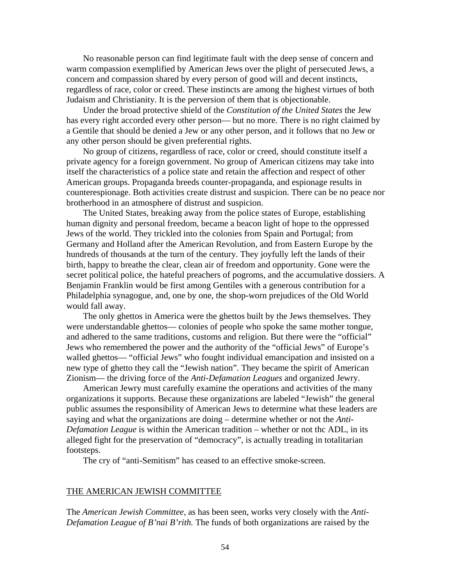No reasonable person can find legitimate fault with the deep sense of concern and warm compassion exemplified by American Jews over the plight of persecuted Jews, a concern and compassion shared by every person of good will and decent instincts, regardless of race, color or creed. These instincts are among the highest virtues of both Judaism and Christianity. It is the perversion of them that is objectionable.

Under the broad protective shield of the *Constitution of the United States* the Jew has every right accorded every other person— but no more. There is no right claimed by a Gentile that should be denied a Jew or any other person, and it follows that no Jew or any other person should be given preferential rights.

No group of citizens, regardless of race, color or creed, should constitute itself a private agency for a foreign government. No group of American citizens may take into itself the characteristics of a police state and retain the affection and respect of other American groups. Propaganda breeds counter-propaganda, and espionage results in counterespionage. Both activities create distrust and suspicion. There can be no peace nor brotherhood in an atmosphere of distrust and suspicion.

The United States, breaking away from the police states of Europe, establishing human dignity and personal freedom, became a beacon light of hope to the oppressed Jews of the world. They trickled into the colonies from Spain and Portugal; from Germany and Holland after the American Revolution, and from Eastern Europe by the hundreds of thousands at the turn of the century. They joyfully left the lands of their birth, happy to breathe the clear, clean air of freedom and opportunity. Gone were the secret political police, the hateful preachers of pogroms, and the accumulative dossiers. A Benjamin Franklin would be first among Gentiles with a generous contribution for a Philadelphia synagogue, and, one by one, the shop-worn prejudices of the Old World would fall away.

The only ghettos in America were the ghettos built by the Jews themselves. They were understandable ghettos— colonies of people who spoke the same mother tongue, and adhered to the same traditions, customs and religion. But there were the "official" Jews who remembered the power and the authority of the "official Jews" of Europe's walled ghettos— "official Jews" who fought individual emancipation and insisted on a new type of ghetto they call the "Jewish nation". They became the spirit of American Zionism— the driving force of the *Anti-Defamation Leagues* and organized Jewry.

American Jewry must carefully examine the operations and activities of the many organizations it supports. Because these organizations are labeled "Jewish" the general public assumes the responsibility of American Jews to determine what these leaders are saying and what the organizations are doing – determine whether or not the *Anti-Defamation League* is within the American tradition – whether or not thc ADL, in its alleged fight for the preservation of "democracy", is actually treading in totalitarian footsteps.

The cry of "anti-Semitism" has ceased to an effective smoke-screen.

## THE AMERICAN JEWISH COMMITTEE

The *American Jewish Committee,* as has been seen, works very closely with the *Anti-Defamation League of B'nai B'rith.* The funds of both organizations are raised by the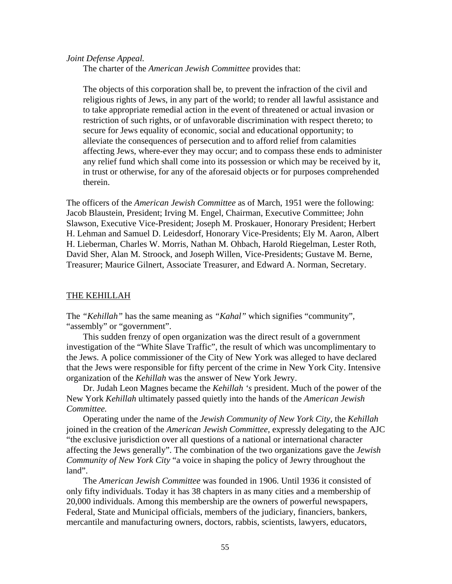*Joint Defense Appeal.* 

The charter of the *American Jewish Committee* provides that:

The objects of this corporation shall be, to prevent the infraction of the civil and religious rights of Jews, in any part of the world; to render all lawful assistance and to take appropriate remedial action in the event of threatened or actual invasion or restriction of such rights, or of unfavorable discrimination with respect thereto; to secure for Jews equality of economic, social and educational opportunity; to alleviate the consequences of persecution and to afford relief from calamities affecting Jews, where-ever they may occur; and to compass these ends to administer any relief fund which shall come into its possession or which may be received by it, in trust or otherwise, for any of the aforesaid objects or for purposes comprehended therein.

The officers of the *American Jewish Committee* as of March, 1951 were the following: Jacob Blaustein, President; Irving M. Engel, Chairman, Executive Committee; John Slawson, Executive Vice-President; Joseph M. Proskauer, Honorary President; Herbert H. Lehman and Samuel D. Leidesdorf, Honorary Vice-Presidents; Ely M. Aaron, Albert H. Lieberman, Charles W. Morris, Nathan M. Ohbach, Harold Riegelman, Lester Roth, David Sher, Alan M. Stroock, and Joseph Willen, Vice-Presidents; Gustave M. Berne, Treasurer; Maurice Gilnert, Associate Treasurer, and Edward A. Norman, Secretary.

## THE KEHILLAH

The *"Kehillah"* has the same meaning as *"Kahal"* which signifies "community", "assembly" or "government".

This sudden frenzy of open organization was the direct result of a government investigation of the "White Slave Traffic", the result of which was uncomplimentary to the Jews. A police commissioner of the City of New York was alleged to have declared that the Jews were responsible for fifty percent of the crime in New York City. Intensive organization of the *Kehillah* was the answer of New York Jewry.

Dr. Judah Leon Magnes became the *Kehillah 's* president. Much of the power of the New York *Kehillah* ultimately passed quietly into the hands of the *American Jewish Committee.* 

Operating under the name of the *Jewish Community of New York City,* the *Kehillah*  joined in the creation of the *American Jewish Committee,* expressly delegating to the AJC "the exclusive jurisdiction over all questions of a national or international character affecting the Jews generally". The combination of the two organizations gave the *Jewish Community of New York City* "a voice in shaping the policy of Jewry throughout the land".

The *American Jewish Committee* was founded in 1906. Until 1936 it consisted of only fifty individuals. Today it has 38 chapters in as many cities and a membership of 20,000 individuals. Among this membership are the owners of powerful newspapers, Federal, State and Municipal officials, members of the judiciary, financiers, bankers, mercantile and manufacturing owners, doctors, rabbis, scientists, lawyers, educators,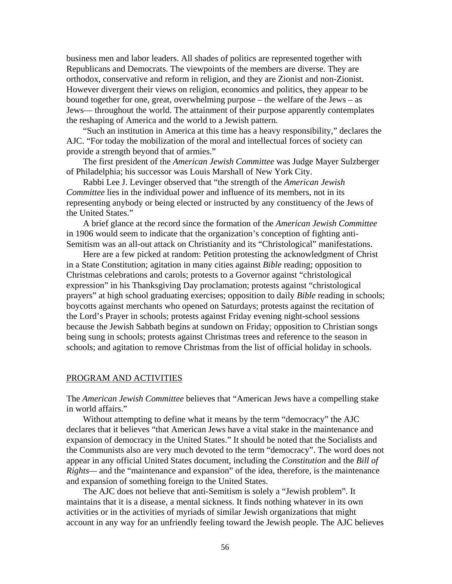business men and labor leaders. All shades of politics are represented together with Republicans and Democrats. The viewpoints of the members are diverse. They are orthodox, conservative and reform in religion, and they are Zionist and non-Zionist. However divergent their views on religion, economics and politics, they appear to be bound together for one, great, overwhelming purpose – the welfare of the Jews – as Jews— throughout the world. The attainment of their purpose apparently contemplates the reshaping of America and the world to a Jewish pattern.

"Such an institution in America at this time has a heavy responsibility," declares the AJC. "For today the mobilization of the moral and intellectual forces of society can provide a strength beyond that of armies."

The first president of the *American Jewish Committee* was Judge Mayer Sulzberger of Philadelphia; his successor was Louis Marshall of New York City.

Rabbi Lee J. Levinger observed that "the strength of the *American Jewish Committee* lies in the individual power and influence of its members, not in its representing anybody or being elected or instructed by any constituency of the Jews of the United States."

A brief glance at the record since the formation of the *American Jewish Committee*  in 1906 would seem to indicate that the organization's conception of fighting anti-Semitism was an all-out attack on Christianity and its "Christological" manifestations.

Here are a few picked at random: Petition protesting the acknowledgment of Christ in a State Constitution; agitation in many cities against *Bible* reading; opposition to Christmas celebrations and carols; protests to a Governor against "christological expression" in his Thanksgiving Day proclamation; protests against "christological prayers" at high school graduating exercises; opposition to daily *Bible* reading in schools; boycotts against merchants who opened on Saturdays; protests against the recitation of the Lord's Prayer in schools; protests against Friday evening night-school sessions because the Jewish Sabbath begins at sundown on Friday; opposition to Christian songs being sung in schools; protests against Christmas trees and reference to the season in schools; and agitation to remove Christmas from the list of official holiday in schools.

## PROGRAM AND ACTIVITIES

The *American Jewish Committee* believes that "American Jews have a compelling stake in world affairs."

Without attempting to define what it means by the term "democracy" the AJC declares that it believes "that American Jews have a vital stake in the maintenance and expansion of democracy in the United States." It should be noted that the Socialists and the Communists also are very much devoted to the term "democracy". The word does not appear in any official United States document, including the *Constitution* and the *Bill of Rights—* and the "maintenance and expansion" of the idea, therefore, is the maintenance and expansion of something foreign to the United States.

The AJC does not believe that anti-Semitism is solely a "Jewish problem". It maintains that it is a disease, a mental sickness. It finds nothing whatever in its own activities or in the activities of myriads of similar Jewish organizations that might account in any way for an unfriendly feeling toward the Jewish people. The AJC believes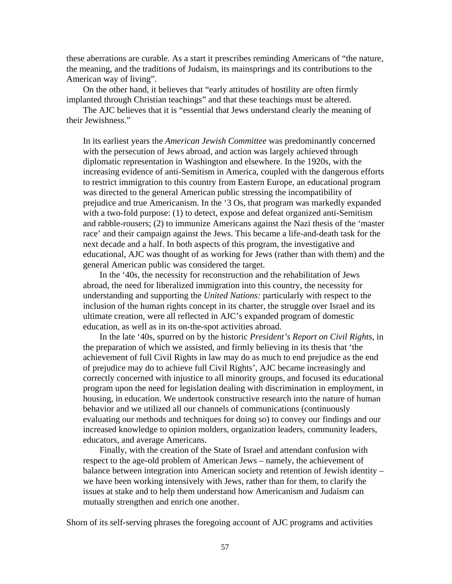these aberrations are curable. As a start it prescribes reminding Americans of "the nature, the meaning, and the traditions of Judaism, its mainsprings and its contributions to the American way of living".

On the other hand, it believes that "early attitudes of hostility are often firmly implanted through Christian teachings" and that these teachings must be altered.

The AJC believes that it is "essential that Jews understand clearly the meaning of their Jewishness."

In its earliest years the *American Jewish Committee* was predominantly concerned with the persecution of Jews abroad, and action was largely achieved through diplomatic representation in Washington and elsewhere. In the 1920s, with the increasing evidence of anti-Semitism in America, coupled with the dangerous efforts to restrict immigration to this country from Eastern Europe, an educational program was directed to the general American public stressing the incompatibility of prejudice and true Americanism. In the '3 Os, that program was markedly expanded with a two-fold purpose: (1) to detect, expose and defeat organized anti-Semitism and rabble-rousers; (2) to immunize Americans against the Nazi thesis of the 'master race' and their campaign against the Jews. This became a life-and-death task for the next decade and a half. In both aspects of this program, the investigative and educational, AJC was thought of as working for Jews (rather than with them) and the general American public was considered the target.

In the '40s, the necessity for reconstruction and the rehabilitation of Jews abroad, the need for liberalized immigration into this country, the necessity for understanding and supporting the *United Nations:* particularly with respect to the inclusion of the human rights concept in its charter, the struggle over Israel and its ultimate creation, were all reflected in AJC's expanded program of domestic education, as well as in its on-the-spot activities abroad.

In the late '40s, spurred on by the historic *President's Report on Civil Rights,* in the preparation of which we assisted, and firmly believing in its thesis that 'the achievement of full Civil Rights in law may do as much to end prejudice as the end of prejudice may do to achieve full Civil Rights', AJC became increasingly and correctly concerned with injustice to all minority groups, and focused its educational program upon the need for legislation dealing with discrimination in employment, in housing, in education. We undertook constructive research into the nature of human behavior and we utilized all our channels of communications (continuously evaluating our methods and techniques for doing so) to convey our findings and our increased knowledge to opinion molders, organization leaders, community leaders, educators, and average Americans.

Finally, with the creation of the State of Israel and attendant confusion with respect to the age-old problem of American Jews – namely, the achievement of balance between integration into American society and retention of Jewish identity – we have been working intensively with Jews, rather than for them, to clarify the issues at stake and to help them understand how Americanism and Judaism can mutually strengthen and enrich one another.

Shorn of its self-serving phrases the foregoing account of AJC programs and activities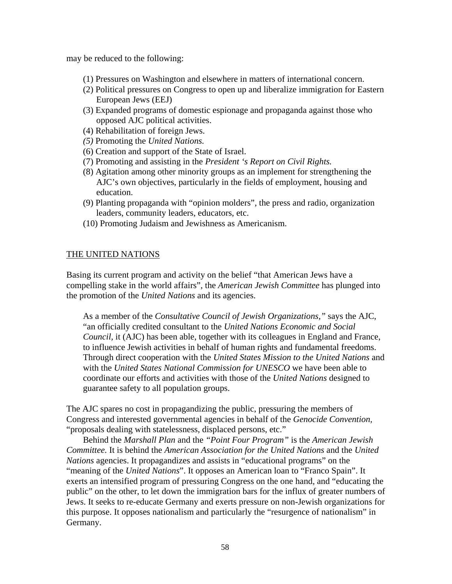may be reduced to the following:

- (1) Pressures on Washington and elsewhere in matters of international concern.
- (2) Political pressures on Congress to open up and liberalize immigration for Eastern European Jews (EEJ)
- (3) Expanded programs of domestic espionage and propaganda against those who opposed AJC political activities.
- (4) Rehabilitation of foreign Jews.
- *(5)* Promoting the *United Nations.*
- (6) Creation and support of the State of Israel.
- (7) Promoting and assisting in the *President 's Report on Civil Rights.*
- (8) Agitation among other minority groups as an implement for strengthening the AJC's own objectives, particularly in the fields of employment, housing and education.
- (9) Planting propaganda with "opinion molders", the press and radio, organization leaders, community leaders, educators, etc.
- (10) Promoting Judaism and Jewishness as Americanism.

# THE UNITED NATIONS

Basing its current program and activity on the belief "that American Jews have a compelling stake in the world affairs", the *American Jewish Committee* has plunged into the promotion of the *United Nations* and its agencies.

As a member of the *Consultative Council of Jewish Organizations,"* says the AJC, "an officially credited consultant to the *United Nations Economic and Social Council*, it (AJC) has been able, together with its colleagues in England and France, to influence Jewish activities in behalf of human rights and fundamental freedoms. Through direct cooperation with the *United States Mission to the United Nations* and with the *United States National Commission for UNESCO* we have been able to coordinate our efforts and activities with those of the *United Nations* designed to guarantee safety to all population groups.

The AJC spares no cost in propagandizing the public, pressuring the members of Congress and interested governmental agencies in behalf of the *Genocide Convention,*  "proposals dealing with statelessness, displaced persons, etc."

Behind the *Marshall Plan* and the *"Point Four Program"* is the *American Jewish Committee.* It is behind the *American Association for the United Nations* and the *United Nations* agencies. It propagandizes and assists in "educational programs" on the "meaning of the *United Nations*". It opposes an American loan to "Franco Spain". It exerts an intensified program of pressuring Congress on the one hand, and "educating the public" on the other, to let down the immigration bars for the influx of greater numbers of Jews. It seeks to re-educate Germany and exerts pressure on non-Jewish organizations for this purpose. It opposes nationalism and particularly the "resurgence of nationalism" in Germany.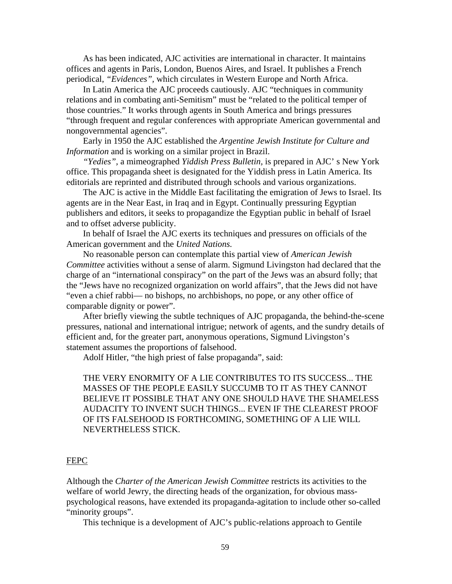As has been indicated, AJC activities are international in character. It maintains offices and agents in Paris, London, Buenos Aires, and Israel. It publishes a French periodical, *"Evidences",* which circulates in Western Europe and North Africa.

In Latin America the AJC proceeds cautiously. AJC "techniques in community relations and in combating anti-Semitism" must be "related to the political temper of those countries." It works through agents in South America and brings pressures "through frequent and regular conferences with appropriate American governmental and nongovernmental agencies".

Early in 1950 the AJC established the *Argentine Jewish Institute for Culture and Information* and is working on a similar project in Brazil.

*"Yedies",* a mimeographed *Yiddish Press Bulletin,* is prepared in AJC' s New York office. This propaganda sheet is designated for the Yiddish press in Latin America. Its editorials are reprinted and distributed through schools and various organizations.

The AJC is active in the Middle East facilitating the emigration of Jews to Israel. Its agents are in the Near East, in Iraq and in Egypt. Continually pressuring Egyptian publishers and editors, it seeks to propagandize the Egyptian public in behalf of Israel and to offset adverse publicity.

In behalf of Israel the AJC exerts its techniques and pressures on officials of the American government and the *United Nations.* 

No reasonable person can contemplate this partial view of *American Jewish Committee* activities without a sense of alarm. Sigmund Livingston had declared that the charge of an "international conspiracy" on the part of the Jews was an absurd folly; that the "Jews have no recognized organization on world affairs", that the Jews did not have "even a chief rabbi— no bishops, no archbishops, no pope, or any other office of comparable dignity or power".

After briefly viewing the subtle techniques of AJC propaganda, the behind-the-scene pressures, national and international intrigue; network of agents, and the sundry details of efficient and, for the greater part, anonymous operations, Sigmund Livingston's statement assumes the proportions of falsehood.

Adolf Hitler, "the high priest of false propaganda", said:

# THE VERY ENORMITY OF A LIE CONTRIBUTES TO ITS SUCCESS... THE MASSES OF THE PEOPLE EASILY SUCCUMB TO IT AS THEY CANNOT BELIEVE IT POSSIBLE THAT ANY ONE SHOULD HAVE THE SHAMELESS AUDACITY TO INVENT SUCH THINGS... EVEN IF THE CLEAREST PROOF OF ITS FALSEHOOD IS FORTHCOMING, SOMETHING OF A LIE WILL NEVERTHELESS STICK.

#### FEPC

Although the *Charter of the American Jewish Committee* restricts its activities to the welfare of world Jewry, the directing heads of the organization, for obvious masspsychological reasons, have extended its propaganda-agitation to include other so-called "minority groups".

This technique is a development of AJC's public-relations approach to Gentile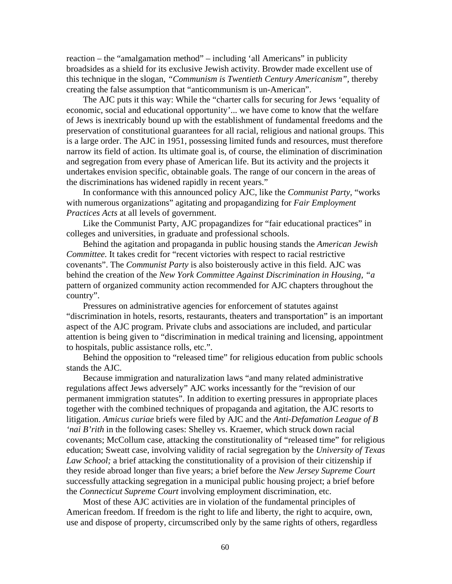reaction – the "amalgamation method" – including 'all Americans" in publicity broadsides as a shield for its exclusive Jewish activity. Browder made excellent use of this technique in the slogan, *"Communism is Twentieth Century Americanism",* thereby creating the false assumption that "anticommunism is un-American".

The AJC puts it this way: While the "charter calls for securing for Jews 'equality of economic, social and educational opportunity'... we have come to know that the welfare of Jews is inextricably bound up with the establishment of fundamental freedoms and the preservation of constitutional guarantees for all racial, religious and national groups. This is a large order. The AJC in 1951, possessing limited funds and resources, must therefore narrow its field of action. Its ultimate goal is, of course, the elimination of discrimination and segregation from every phase of American life. But its activity and the projects it undertakes envision specific, obtainable goals. The range of our concern in the areas of the discriminations has widened rapidly in recent years."

In conformance with this announced policy AJC, like the *Communist Party,* "works with numerous organizations" agitating and propagandizing for *Fair Employment Practices Acts* at all levels of government.

Like the Communist Party, AJC propagandizes for "fair educational practices" in colleges and universities, in graduate and professional schools.

Behind the agitation and propaganda in public housing stands the *American Jewish Committee.* It takes credit for "recent victories with respect to racial restrictive covenants". The *Communist Party* is also boisterously active in this field. AJC was behind the creation of the *New York Committee Against Discrimination in Housing, "a*  pattern of organized community action recommended for AJC chapters throughout the country".

Pressures on administrative agencies for enforcement of statutes against "discrimination in hotels, resorts, restaurants, theaters and transportation" is an important aspect of the AJC program. Private clubs and associations are included, and particular attention is being given to "discrimination in medical training and licensing, appointment to hospitals, public assistance rolls, etc.".

Behind the opposition to "released time" for religious education from public schools stands the AJC.

Because immigration and naturalization laws "and many related administrative regulations affect Jews adversely" AJC works incessantly for the "revision of our permanent immigration statutes". In addition to exerting pressures in appropriate places together with the combined techniques of propaganda and agitation, the AJC resorts to litigation. *Amicus curiae* briefs were filed by AJC and the *Anti-Defamation League of B 'nai B'rith* in the following cases: Shelley vs. Kraemer, which struck down racial covenants; McCollum case, attacking the constitutionality of "released time" for religious education; Sweatt case, involving validity of racial segregation by the *University of Texas Law School;* a brief attacking the constitutionality of a provision of their citizenship if they reside abroad longer than five years; a brief before the *New Jersey Supreme Court*  successfully attacking segregation in a municipal public housing project; a brief before the *Connecticut Supreme Court* involving employment discrimination, etc.

Most of these AJC activities are in violation of the fundamental principles of American freedom. If freedom is the right to life and liberty, the right to acquire, own, use and dispose of property, circumscribed only by the same rights of others, regardless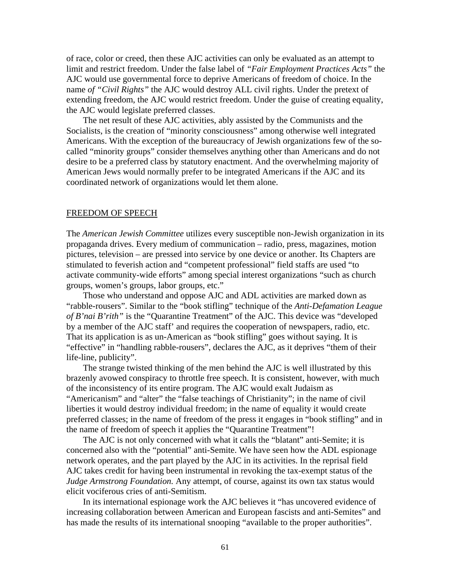of race, color or creed, then these AJC activities can only be evaluated as an attempt to limit and restrict freedom. Under the false label of *"Fair Employment Practices Acts"* the AJC would use governmental force to deprive Americans of freedom of choice. In the name *of "Civil Rights"* the AJC would destroy ALL civil rights. Under the pretext of extending freedom, the AJC would restrict freedom. Under the guise of creating equality, the AJC would legislate preferred classes.

The net result of these AJC activities, ably assisted by the Communists and the Socialists, is the creation of "minority consciousness" among otherwise well integrated Americans. With the exception of the bureaucracy of Jewish organizations few of the socalled "minority groups" consider themselves anything other than Americans and do not desire to be a preferred class by statutory enactment. And the overwhelming majority of American Jews would normally prefer to be integrated Americans if the AJC and its coordinated network of organizations would let them alone.

#### FREEDOM OF SPEECH

The *American Jewish Committee* utilizes every susceptible non-Jewish organization in its propaganda drives. Every medium of communication – radio, press, magazines, motion pictures, television – are pressed into service by one device or another. Its Chapters are stimulated to feverish action and "competent professional" field staffs are used "to activate community-wide efforts" among special interest organizations "such as church groups, women's groups, labor groups, etc."

Those who understand and oppose AJC and ADL activities are marked down as "rabble-rousers". Similar to the "book stifling" technique of the *Anti-Defamation League of B'nai B'rith"* is the "Quarantine Treatment" of the AJC. This device was "developed by a member of the AJC staff' and requires the cooperation of newspapers, radio, etc. That its application is as un-American as "book stifling" goes without saying. It is "effective" in "handling rabble-rousers", declares the AJC, as it deprives "them of their life-line, publicity".

The strange twisted thinking of the men behind the AJC is well illustrated by this brazenly avowed conspiracy to throttle free speech. It is consistent, however, with much of the inconsistency of its entire program. The AJC would exalt Judaism as "Americanism" and "alter" the "false teachings of Christianity"; in the name of civil liberties it would destroy individual freedom; in the name of equality it would create preferred classes; in the name of freedom of the press it engages in "book stifling" and in the name of freedom of speech it applies the "Quarantine Treatment"!

The AJC is not only concerned with what it calls the "blatant" anti-Semite; it is concerned also with the "potential" anti-Semite. We have seen how the ADL espionage network operates, and the part played by the AJC in its activities. In the reprisal field AJC takes credit for having been instrumental in revoking the tax-exempt status of the *Judge Armstrong Foundation.* Any attempt, of course, against its own tax status would elicit vociferous cries of anti-Semitism.

In its international espionage work the AJC believes it "has uncovered evidence of increasing collaboration between American and European fascists and anti-Semites" and has made the results of its international snooping "available to the proper authorities".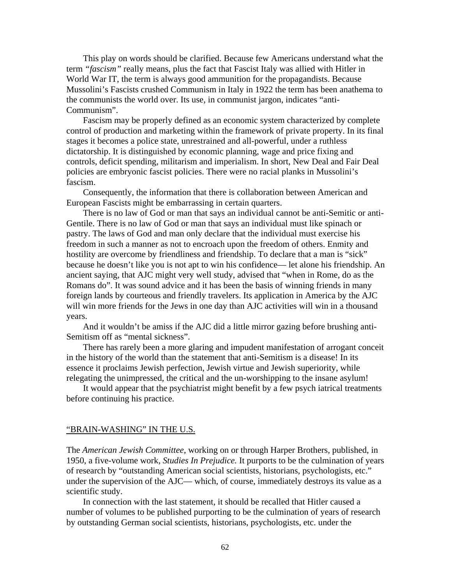This play on words should be clarified. Because few Americans understand what the term *"fascism"* really means, plus the fact that Fascist Italy was allied with Hitler in World War IT, the term is always good ammunition for the propagandists. Because Mussolini's Fascists crushed Communism in Italy in 1922 the term has been anathema to the communists the world over. Its use, in communist jargon, indicates "anti-Communism".

Fascism may be properly defined as an economic system characterized by complete control of production and marketing within the framework of private property. In its final stages it becomes a police state, unrestrained and all-powerful, under a ruthless dictatorship. It is distinguished by economic planning, wage and price fixing and controls, deficit spending, militarism and imperialism. In short, New Deal and Fair Deal policies are embryonic fascist policies. There were no racial planks in Mussolini's fascism.

Consequently, the information that there is collaboration between American and European Fascists might be embarrassing in certain quarters.

There is no law of God or man that says an individual cannot be anti-Semitic or anti-Gentile. There is no law of God or man that says an individual must like spinach or pastry. The laws of God and man only declare that the individual must exercise his freedom in such a manner as not to encroach upon the freedom of others. Enmity and hostility are overcome by friendliness and friendship. To declare that a man is "sick" because he doesn't like you is not apt to win his confidence— let alone his friendship. An ancient saying, that AJC might very well study, advised that "when in Rome, do as the Romans do". It was sound advice and it has been the basis of winning friends in many foreign lands by courteous and friendly travelers. Its application in America by the AJC will win more friends for the Jews in one day than AJC activities will win in a thousand years.

And it wouldn't be amiss if the AJC did a little mirror gazing before brushing anti-Semitism off as "mental sickness".

There has rarely been a more glaring and impudent manifestation of arrogant conceit in the history of the world than the statement that anti-Semitism is a disease! In its essence it proclaims Jewish perfection, Jewish virtue and Jewish superiority, while relegating the unimpressed, the critical and the un-worshipping to the insane asylum!

It would appear that the psychiatrist might benefit by a few psych iatrical treatments before continuing his practice.

## "BRAIN-WASHING" IN THE U.S.

The *American Jewish Committee,* working on or through Harper Brothers, published, in 1950, a five-volume work, *Studies In Prejudice.* It purports to be the culmination of years of research by "outstanding American social scientists, historians, psychologists, etc." under the supervision of the AJC— which, of course, immediately destroys its value as a scientific study.

In connection with the last statement, it should be recalled that Hitler caused a number of volumes to be published purporting to be the culmination of years of research by outstanding German social scientists, historians, psychologists, etc. under the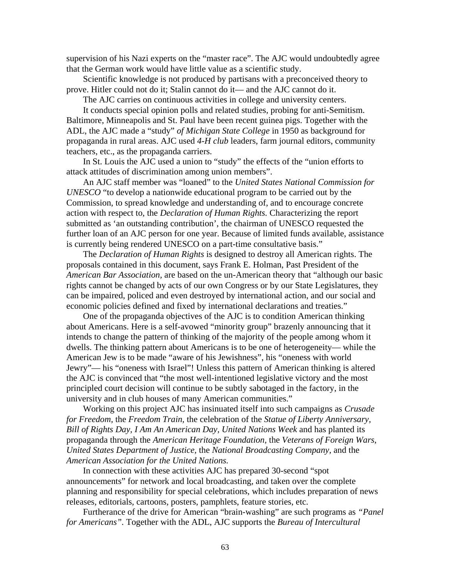supervision of his Nazi experts on the "master race". The AJC would undoubtedly agree that the German work would have little value as a scientific study.

Scientific knowledge is not produced by partisans with a preconceived theory to prove. Hitler could not do it; Stalin cannot do it— and the AJC cannot do it.

The AJC carries on continuous activities in college and university centers.

It conducts special opinion polls and related studies, probing for anti-Semitism. Baltimore, Minneapolis and St. Paul have been recent guinea pigs. Together with the ADL, the AJC made a "study" *of Michigan State College* in 1950 as background for propaganda in rural areas. AJC used *4-H club* leaders, farm journal editors, community teachers, etc., as the propaganda carriers.

In St. Louis the AJC used a union to "study" the effects of the "union efforts to attack attitudes of discrimination among union members".

An AJC staff member was "loaned" to the *United States National Commission for UNESCO* "to develop a nationwide educational program to be carried out by the Commission, to spread knowledge and understanding of, and to encourage concrete action with respect to, the *Declaration of Human Rights.* Characterizing the report submitted as 'an outstanding contribution', the chairman of UNESCO requested the further loan of an AJC person for one year. Because of limited funds available, assistance is currently being rendered UNESCO on a part-time consultative basis."

The *Declaration of Human Rights* is designed to destroy all American rights. The proposals contained in this document, says Frank E. Holman, Past President of the *American Bar Association,* are based on the un-American theory that "although our basic rights cannot be changed by acts of our own Congress or by our State Legislatures, they can be impaired, policed and even destroyed by international action, and our social and economic policies defined and fixed by international declarations and treaties."

One of the propaganda objectives of the AJC is to condition American thinking about Americans. Here is a self-avowed "minority group" brazenly announcing that it intends to change the pattern of thinking of the majority of the people among whom it dwells. The thinking pattern about Americans is to be one of heterogeneity— while the American Jew is to be made "aware of his Jewishness", his "oneness with world Jewry"— his "oneness with Israel"! Unless this pattern of American thinking is altered the AJC is convinced that "the most well-intentioned legislative victory and the most principled court decision will continue to be subtly sabotaged in the factory, in the university and in club houses of many American communities."

Working on this project AJC has insinuated itself into such campaigns as *Crusade for Freedom,* the *Freedom Train,* the celebration of the *Statue of Liberty Anniversary, Bill of Rights Day, I Am An American Day, United Nations Week* and has planted its propaganda through the *American Heritage Foundation,* the *Veterans of Foreign Wars, United States Department of Justice,* the *National Broadcasting Company,* and the *American Association for the United Nations.* 

In connection with these activities AJC has prepared 30-second "spot announcements" for network and local broadcasting, and taken over the complete planning and responsibility for special celebrations, which includes preparation of news releases, editorials, cartoons, posters, pamphlets, feature stories, etc.

Furtherance of the drive for American "brain-washing" are such programs as *"Panel for Americans".* Together with the ADL, AJC supports the *Bureau of Intercultural*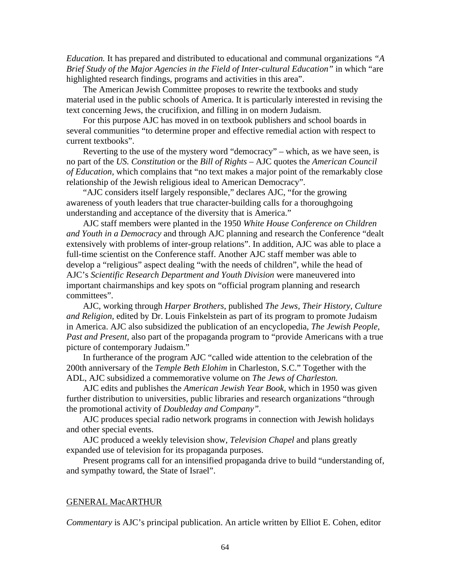*Education.* It has prepared and distributed to educational and communal organizations *"A Brief Study of the Major Agencies in the Field of Inter-cultural Education"* in which "are highlighted research findings, programs and activities in this area".

The American Jewish Committee proposes to rewrite the textbooks and study material used in the public schools of America. It is particularly interested in revising the text concerning Jews, the crucifixion, and filling in on modern Judaism.

For this purpose AJC has moved in on textbook publishers and school boards in several communities "to determine proper and effective remedial action with respect to current textbooks".

Reverting to the use of the mystery word "democracy" – which, as we have seen, is no part of the *US. Constitution* or the *Bill of Rights –* AJC quotes the *American Council of Education,* which complains that "no text makes a major point of the remarkably close relationship of the Jewish religious ideal to American Democracy".

"AJC considers itself largely responsible," declares AJC, "for the growing awareness of youth leaders that true character-building calls for a thoroughgoing understanding and acceptance of the diversity that is America."

AJC staff members were planted in the 1950 *White House Conference on Children and Youth in a Democracy* and through AJC planning and research the Conference "dealt extensively with problems of inter-group relations". In addition, AJC was able to place a full-time scientist on the Conference staff. Another AJC staff member was able to develop a "religious" aspect dealing "with the needs of children", while the head of AJC's *Scientific Research Department and Youth Division* were maneuvered into important chairmanships and key spots on "official program planning and research committees".

AJC, working through *Harper Brothers,* published *The Jews, Their History, Culture and Religion,* edited by Dr. Louis Finkelstein as part of its program to promote Judaism in America. AJC also subsidized the publication of an encyclopedia, *The Jewish People, Past and Present,* also part of the propaganda program to "provide Americans with a true picture of contemporary Judaism."

In furtherance of the program AJC "called wide attention to the celebration of the 200th anniversary of the *Temple Beth Elohim* in Charleston, S.C." Together with the ADL, AJC subsidized a commemorative volume on *The Jews of Charleston.* 

AJC edits and publishes the *American Jewish Year Book,* which in 1950 was given further distribution to universities, public libraries and research organizations "through the promotional activity of *Doubleday and Company".* 

AJC produces special radio network programs in connection with Jewish holidays and other special events.

AJC produced a weekly television show, *Television Chapel* and plans greatly expanded use of television for its propaganda purposes.

Present programs call for an intensified propaganda drive to build "understanding of, and sympathy toward, the State of Israel".

#### GENERAL MacARTHUR

*Commentary* is AJC's principal publication. An article written by Elliot E. Cohen, editor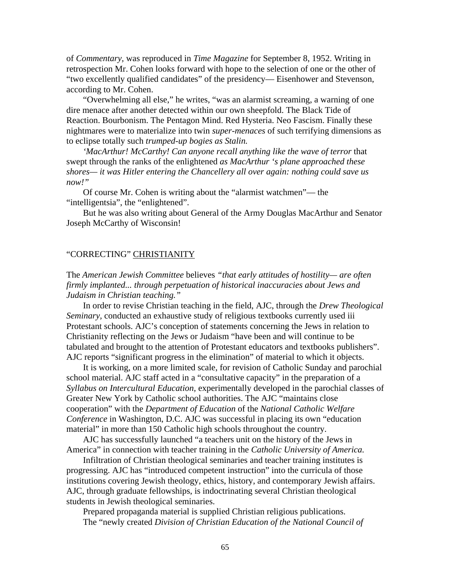of *Commentary,* was reproduced in *Time Magazine* for September 8, 1952. Writing in retrospection Mr. Cohen looks forward with hope to the selection of one or the other of "two excellently qualified candidates" of the presidency— Eisenhower and Stevenson, according to Mr. Cohen.

"Overwhelming all else," he writes, "was an alarmist screaming, a warning of one dire menace after another detected within our own sheepfold. The Black Tide of Reaction. Bourbonism. The Pentagon Mind. Red Hysteria. Neo Fascism. Finally these nightmares were to materialize into twin *super-menaces* of such terrifying dimensions as to eclipse totally such *trumped-up bogies as Stalin.* 

'MacArthur! McCarthy! Can anyone recall anything like the wave of terror that swept through the ranks of the enlightened *as MacArthur 's plane approached these shores— it was Hitler entering the Chancellery all over again: nothing could save us now!"* 

Of course Mr. Cohen is writing about the "alarmist watchmen"— the "intelligentsia", the "enlightened".

But he was also writing about General of the Army Douglas MacArthur and Senator Joseph McCarthy of Wisconsin!

## "CORRECTING" CHRISTIANITY

The *American Jewish Committee* believes *"that early attitudes of hostility— are often firmly implanted... through perpetuation of historical inaccuracies about Jews and Judaism in Christian teaching."* 

In order to revise Christian teaching in the field, AJC, through the *Drew Theological Seminary,* conducted an exhaustive study of religious textbooks currently used iii Protestant schools. AJC's conception of statements concerning the Jews in relation to Christianity reflecting on the Jews or Judaism "have been and will continue to be tabulated and brought to the attention of Protestant educators and textbooks publishers". AJC reports "significant progress in the elimination" of material to which it objects.

It is working, on a more limited scale, for revision of Catholic Sunday and parochial school material. AJC staff acted in a "consultative capacity" in the preparation of a *Syllabus on Intercultural Education,* experimentally developed in the parochial classes of Greater New York by Catholic school authorities. The AJC "maintains close cooperation" with the *Department of Education* of the *National Catholic Welfare Conference* in Washington, D.C. AJC was successful in placing its own "education" material" in more than 150 Catholic high schools throughout the country.

AJC has successfully launched "a teachers unit on the history of the Jews in America" in connection with teacher training in the *Catholic University of America.* 

Infiltration of Christian theological seminaries and teacher training institutes is progressing. AJC has "introduced competent instruction" into the curricula of those institutions covering Jewish theology, ethics, history, and contemporary Jewish affairs. AJC, through graduate fellowships, is indoctrinating several Christian theological students in Jewish theological seminaries.

Prepared propaganda material is supplied Christian religious publications. The "newly created *Division of Christian Education of the National Council of*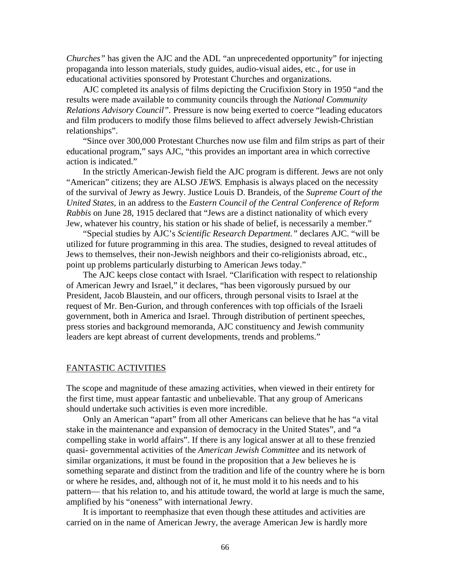*Churches"* has given the AJC and the ADL "an unprecedented opportunity" for injecting propaganda into lesson materials, study guides, audio-visual aides, etc., for use in educational activities sponsored by Protestant Churches and organizations.

AJC completed its analysis of films depicting the Crucifixion Story in 1950 "and the results were made available to community councils through the *National Community Relations Advisory Council".* Pressure is now being exerted to coerce "leading educators and film producers to modify those films believed to affect adversely Jewish-Christian relationships".

"Since over 300,000 Protestant Churches now use film and film strips as part of their educational program," says AJC, "this provides an important area in which corrective action is indicated."

In the strictly American-Jewish field the AJC program is different. Jews are not only "American" citizens; they are ALSO *JEWS.* Emphasis is always placed on the necessity of the survival of Jewry as Jewry. Justice Louis D. Brandeis, of the *Supreme Court of the United States,* in an address to the *Eastern Council of the Central Conference of Reform Rabbis* on June 28, 1915 declared that "Jews are a distinct nationality of which every Jew, whatever his country, his station or his shade of belief, is necessarily a member."

"Special studies by AJC's *Scientific Research Department."* declares AJC. "will be utilized for future programming in this area. The studies, designed to reveal attitudes of Jews to themselves, their non-Jewish neighbors and their co-religionists abroad, etc., point up problems particularly disturbing to American Jews today."

The AJC keeps close contact with Israel. "Clarification with respect to relationship of American Jewry and Israel," it declares, "has been vigorously pursued by our President, Jacob Blaustein, and our officers, through personal visits to Israel at the request of Mr. Ben-Gurion, and through conferences with top officials of the Israeli government, both in America and Israel. Through distribution of pertinent speeches, press stories and background memoranda, AJC constituency and Jewish community leaders are kept abreast of current developments, trends and problems."

#### FANTASTIC ACTIVITIES

The scope and magnitude of these amazing activities, when viewed in their entirety for the first time, must appear fantastic and unbelievable. That any group of Americans should undertake such activities is even more incredible.

Only an American "apart" from all other Americans can believe that he has "a vital stake in the maintenance and expansion of democracy in the United States", and "a compelling stake in world affairs". If there is any logical answer at all to these frenzied quasi- governmental activities of the *American Jewish Committee* and its network of similar organizations, it must be found in the proposition that a Jew believes he is something separate and distinct from the tradition and life of the country where he is born or where he resides, and, although not of it, he must mold it to his needs and to his pattern— that his relation to, and his attitude toward, the world at large is much the same, amplified by his "oneness" with international Jewry.

It is important to reemphasize that even though these attitudes and activities are carried on in the name of American Jewry, the average American Jew is hardly more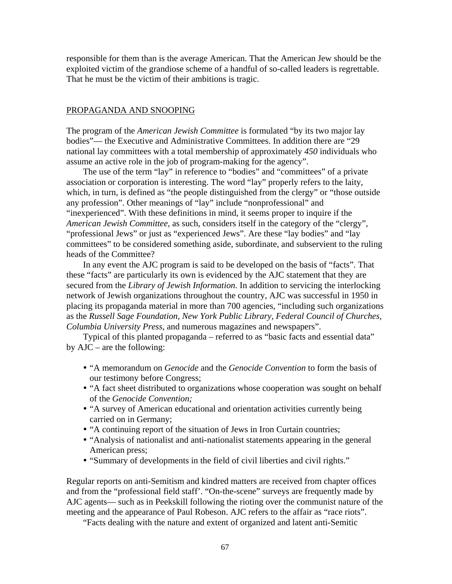responsible for them than is the average American. That the American Jew should be the exploited victim of the grandiose scheme of a handful of so-called leaders is regrettable. That he must be the victim of their ambitions is tragic.

## PROPAGANDA AND SNOOPING

The program of the *American Jewish Committee* is formulated "by its two major lay bodies"— the Executive and Administrative Committees. In addition there are "29 national lay committees with a total membership of approximately *450* individuals who assume an active role in the job of program-making for the agency".

The use of the term "lay" in reference to "bodies" and "committees" of a private association or corporation is interesting. The word "lay" properly refers to the laity, which, in turn, is defined as "the people distinguished from the clergy" or "those outside any profession". Other meanings of "lay" include "nonprofessional" and "inexperienced". With these definitions in mind, it seems proper to inquire if the *American Jewish Committee,* as such, considers itself in the category of the "clergy", "professional Jews" or just as "experienced Jews". Are these "lay bodies" and "lay committees" to be considered something aside, subordinate, and subservient to the ruling heads of the Committee?

In any event the AJC program is said to be developed on the basis of "facts". That these "facts" are particularly its own is evidenced by the AJC statement that they are secured from the *Library of Jewish Information.* In addition to servicing the interlocking network of Jewish organizations throughout the country, AJC was successful in 1950 in placing its propaganda material in more than 700 agencies, "including such organizations as the *Russell Sage Foundation, New York Public Library, Federal Council of Churches, Columbia University Press,* and numerous magazines and newspapers".

Typical of this planted propaganda – referred to as "basic facts and essential data" by  $AJC$  – are the following:

- y "A memorandum on *Genocide* and the *Genocide Convention* to form the basis of our testimony before Congress;
- "A fact sheet distributed to organizations whose cooperation was sought on behalf of the *Genocide Convention;*
- "A survey of American educational and orientation activities currently being carried on in Germany;
- "A continuing report of the situation of Jews in Iron Curtain countries;
- "Analysis of nationalist and anti-nationalist statements appearing in the general American press;
- "Summary of developments in the field of civil liberties and civil rights."

Regular reports on anti-Semitism and kindred matters are received from chapter offices and from the "professional field staff'. "On-the-scene" surveys are frequently made by AJC agents— such as in Peekskill following the rioting over the communist nature of the meeting and the appearance of Paul Robeson. AJC refers to the affair as "race riots".

"Facts dealing with the nature and extent of organized and latent anti-Semitic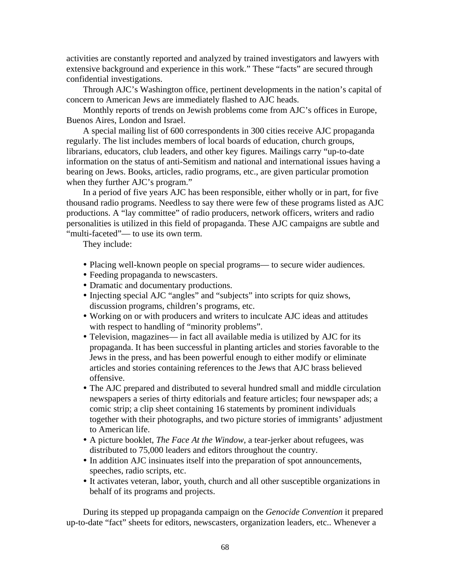activities are constantly reported and analyzed by trained investigators and lawyers with extensive background and experience in this work." These "facts" are secured through confidential investigations.

Through AJC's Washington office, pertinent developments in the nation's capital of concern to American Jews are immediately flashed to AJC heads.

Monthly reports of trends on Jewish problems come from AJC's offices in Europe, Buenos Aires, London and Israel.

A special mailing list of 600 correspondents in 300 cities receive AJC propaganda regularly. The list includes members of local boards of education, church groups, librarians, educators, club leaders, and other key figures. Mailings carry "up-to-date information on the status of anti-Semitism and national and international issues having a bearing on Jews. Books, articles, radio programs, etc., are given particular promotion when they further AJC's program."

In a period of five years AJC has been responsible, either wholly or in part, for five thousand radio programs. Needless to say there were few of these programs listed as AJC productions. A "lay committee" of radio producers, network officers, writers and radio personalities is utilized in this field of propaganda. These AJC campaigns are subtle and "multi-faceted"— to use its own term.

They include:

- Placing well-known people on special programs— to secure wider audiences.
- Feeding propaganda to newscasters.
- Dramatic and documentary productions.
- Injecting special AJC "angles" and "subjects" into scripts for quiz shows, discussion programs, children's programs, etc.
- y Working on or with producers and writers to inculcate AJC ideas and attitudes with respect to handling of "minority problems".
- Television, magazines— in fact all available media is utilized by AJC for its propaganda. It has been successful in planting articles and stories favorable to the Jews in the press, and has been powerful enough to either modify or eliminate articles and stories containing references to the Jews that AJC brass believed offensive.
- The AJC prepared and distributed to several hundred small and middle circulation newspapers a series of thirty editorials and feature articles; four newspaper ads; a comic strip; a clip sheet containing 16 statements by prominent individuals together with their photographs, and two picture stories of immigrants' adjustment to American life.
- y A picture booklet, *The Face At the Window,* a tear-jerker about refugees, was distributed to 75,000 leaders and editors throughout the country.
- In addition AJC insinuates itself into the preparation of spot announcements, speeches, radio scripts, etc.
- It activates veteran, labor, youth, church and all other susceptible organizations in behalf of its programs and projects.

During its stepped up propaganda campaign on the *Genocide Convention* it prepared up-to-date "fact" sheets for editors, newscasters, organization leaders, etc.. Whenever a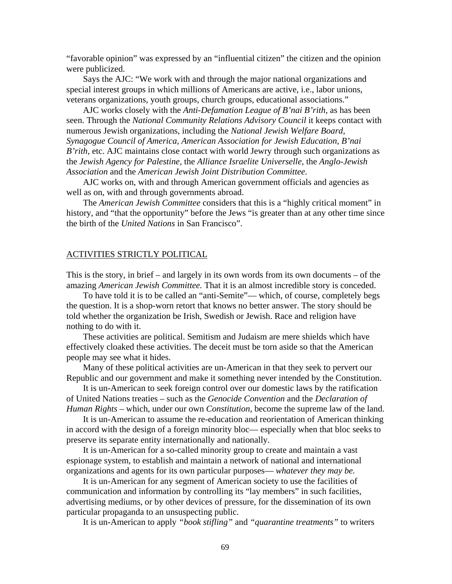"favorable opinion" was expressed by an "influential citizen" the citizen and the opinion were publicized.

Says the AJC: "We work with and through the major national organizations and special interest groups in which millions of Americans are active, i.e., labor unions, veterans organizations, youth groups, church groups, educational associations."

AJC works closely with the *Anti-Defamation League of B'nai B'rith,* as has been seen. Through the *National Community Relations Advisory Council* it keeps contact with numerous Jewish organizations, including the *National Jewish Welfare Board, Synagogue Council of America, American Association for Jewish Education, B'nai B'rith,* etc. AJC maintains close contact with world Jewry through such organizations as the *Jewish Agency for Palestine,* the *Alliance Israelite Universelle,* the *Anglo-Jewish Association* and the *American Jewish Joint Distribution Committee.* 

AJC works on, with and through American government officials and agencies as well as on, with and through governments abroad.

The *American Jewish Committee* considers that this is a "highly critical moment" in history, and "that the opportunity" before the Jews "is greater than at any other time since the birth of the *United Nations* in San Francisco".

#### ACTIVITIES STRICTLY POLITICAL

This is the story, in brief – and largely in its own words from its own documents – of the amazing *American Jewish Committee.* That it is an almost incredible story is conceded.

To have told it is to be called an "anti-Semite"— which, of course, completely begs the question. It is a shop-worn retort that knows no better answer. The story should be told whether the organization be Irish, Swedish or Jewish. Race and religion have nothing to do with it.

These activities are political. Semitism and Judaism are mere shields which have effectively cloaked these activities. The deceit must be torn aside so that the American people may see what it hides.

Many of these political activities are un-American in that they seek to pervert our Republic and our government and make it something never intended by the Constitution.

It is un-American to seek foreign control over our domestic laws by the ratification of United Nations treaties – such as the *Genocide Convention* and the *Declaration of Human Rights –* which, under our own *Constitution,* become the supreme law of the land.

It is un-American to assume the re-education and reorientation of American thinking in accord with the design of a foreign minority bloc— especially when that bloc seeks to preserve its separate entity internationally and nationally.

It is un-American for a so-called minority group to create and maintain a vast espionage system, to establish and maintain a network of national and international organizations and agents for its own particular purposes— *whatever they may be.* 

It is un-American for any segment of American society to use the facilities of communication and information by controlling its "lay members" in such facilities, advertising mediums, or by other devices of pressure, for the dissemination of its own particular propaganda to an unsuspecting public.

It is un-American to apply *"book stifling"* and *"quarantine treatments"* to writers